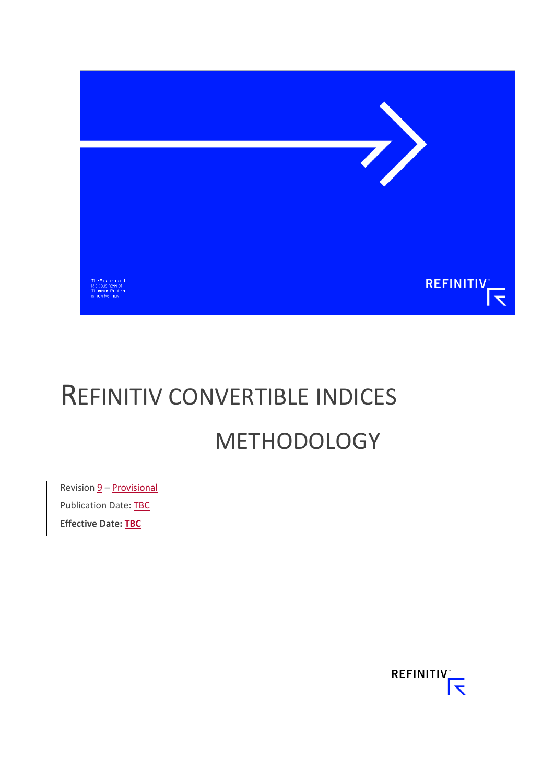

# REFINITIV CONVERTIBLE INDICES METHODOLOGY

Revision  $\underline{9}$  – **Provisional** Publication Date: TBC **Effective Date: TBC**

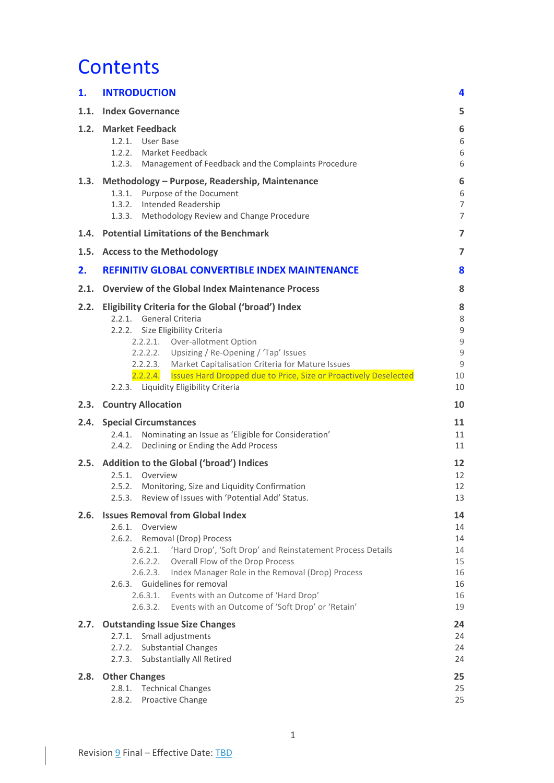## **Contents**

| 1.   | <b>INTRODUCTION</b>                                                                                                                                                                                                                                                                                                                                                                                                                  |                                                                                   |  |  |
|------|--------------------------------------------------------------------------------------------------------------------------------------------------------------------------------------------------------------------------------------------------------------------------------------------------------------------------------------------------------------------------------------------------------------------------------------|-----------------------------------------------------------------------------------|--|--|
| 1.1. | <b>Index Governance</b>                                                                                                                                                                                                                                                                                                                                                                                                              | 5                                                                                 |  |  |
|      | 1.2. Market Feedback<br>1.2.1. User Base<br>1.2.2. Market Feedback<br>1.2.3. Management of Feedback and the Complaints Procedure                                                                                                                                                                                                                                                                                                     | 6<br>6<br>6<br>6                                                                  |  |  |
|      | 1.3. Methodology - Purpose, Readership, Maintenance<br>1.3.1. Purpose of the Document<br>1.3.2.<br>Intended Readership<br>Methodology Review and Change Procedure<br>1.3.3.                                                                                                                                                                                                                                                          | 6<br>6<br>$\overline{7}$<br>$\overline{7}$                                        |  |  |
| 1.4. | <b>Potential Limitations of the Benchmark</b>                                                                                                                                                                                                                                                                                                                                                                                        | $\overline{7}$                                                                    |  |  |
| 1.5. | <b>Access to the Methodology</b>                                                                                                                                                                                                                                                                                                                                                                                                     | $\overline{7}$                                                                    |  |  |
| 2.   | <b>REFINITIV GLOBAL CONVERTIBLE INDEX MAINTENANCE</b>                                                                                                                                                                                                                                                                                                                                                                                | 8                                                                                 |  |  |
| 2.1. | <b>Overview of the Global Index Maintenance Process</b>                                                                                                                                                                                                                                                                                                                                                                              | 8                                                                                 |  |  |
| 2.2. | Eligibility Criteria for the Global ('broad') Index<br>2.2.1. General Criteria<br>2.2.2. Size Eligibility Criteria<br>2.2.2.1. Over-allotment Option<br>2.2.2.2. Upsizing / Re-Opening / 'Tap' Issues<br>2.2.2.3. Market Capitalisation Criteria for Mature Issues<br>2.2.2.4. Issues Hard Dropped due to Price, Size or Proactively Deselected<br>2.2.3. Liquidity Eligibility Criteria                                             | 8<br>8<br>$\mathsf 9$<br>$\mathsf 9$<br>$\mathsf 9$<br>$\overline{9}$<br>10<br>10 |  |  |
| 2.3. | <b>Country Allocation</b>                                                                                                                                                                                                                                                                                                                                                                                                            | 10                                                                                |  |  |
| 2.4. | <b>Special Circumstances</b><br>2.4.1.<br>Nominating an Issue as 'Eligible for Consideration'                                                                                                                                                                                                                                                                                                                                        | 11                                                                                |  |  |
|      | Declining or Ending the Add Process<br>2.4.2.                                                                                                                                                                                                                                                                                                                                                                                        | 11<br>11                                                                          |  |  |
| 2.5. | Addition to the Global ('broad') Indices<br>2.5.1. Overview<br>2.5.2. Monitoring, Size and Liquidity Confirmation<br>2.5.3. Review of Issues with 'Potential Add' Status.                                                                                                                                                                                                                                                            | 12<br>12<br>12<br>13                                                              |  |  |
|      | 2.6. Issues Removal from Global Index<br>2.6.1. Overview<br>2.6.2.<br>Removal (Drop) Process<br>2.6.2.1. 'Hard Drop', 'Soft Drop' and Reinstatement Process Details<br>Overall Flow of the Drop Process<br>2.6.2.2.<br>2.6.2.3. Index Manager Role in the Removal (Drop) Process<br>2.6.3. Guidelines for removal<br>2.6.3.1. Events with an Outcome of 'Hard Drop'<br>2.6.3.2.<br>Events with an Outcome of 'Soft Drop' or 'Retain' | 14<br>14<br>14<br>14<br>15<br>16<br>16<br>16<br>19                                |  |  |
| 2.7. | <b>Outstanding Issue Size Changes</b>                                                                                                                                                                                                                                                                                                                                                                                                | 24                                                                                |  |  |
|      | 2.7.1. Small adjustments<br>2.7.2. Substantial Changes<br>2.7.3. Substantially All Retired                                                                                                                                                                                                                                                                                                                                           | 24<br>24<br>24                                                                    |  |  |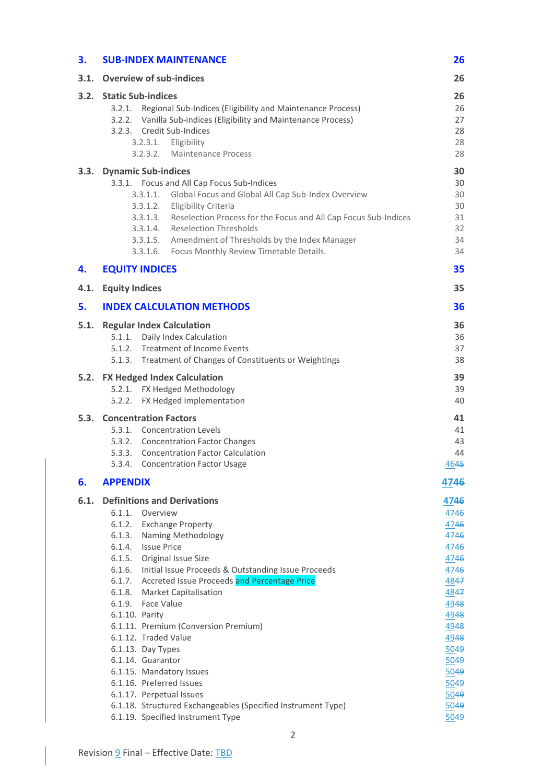| <b>SUB-INDEX MAINTENANCE</b>                                                                                                                                                                                                                                                                                                                                                                                                                                                                                                                                                           | 26                                                                                                                                                           |  |  |  |  |
|----------------------------------------------------------------------------------------------------------------------------------------------------------------------------------------------------------------------------------------------------------------------------------------------------------------------------------------------------------------------------------------------------------------------------------------------------------------------------------------------------------------------------------------------------------------------------------------|--------------------------------------------------------------------------------------------------------------------------------------------------------------|--|--|--|--|
| <b>Overview of sub-indices</b><br>3.1.                                                                                                                                                                                                                                                                                                                                                                                                                                                                                                                                                 |                                                                                                                                                              |  |  |  |  |
| 3.2. Static Sub-indices<br>3.2.1. Regional Sub-Indices (Eligibility and Maintenance Process)<br>3.2.2. Vanilla Sub-indices (Eligibility and Maintenance Process)<br>3.2.3. Credit Sub-Indices<br>3.2.3.1.<br>Eligibility<br>3.2.3.2. Maintenance Process                                                                                                                                                                                                                                                                                                                               | 26<br>26<br>27<br>28<br>28<br>28                                                                                                                             |  |  |  |  |
| 3.3.<br><b>Dynamic Sub-indices</b><br>3.3.1. Focus and All Cap Focus Sub-Indices<br>3.3.1.1. Global Focus and Global All Cap Sub-Index Overview<br>3.3.1.2.<br>Eligibility Criteria<br>3.3.1.3. Reselection Process for the Focus and All Cap Focus Sub-Indices<br>3.3.1.4. Reselection Thresholds<br>3.3.1.5. Amendment of Thresholds by the Index Manager<br>3.3.1.6. Focus Monthly Review Timetable Details.                                                                                                                                                                        | 30<br>30<br>30<br>30<br>31<br>32<br>34<br>34                                                                                                                 |  |  |  |  |
| <b>EQUITY INDICES</b>                                                                                                                                                                                                                                                                                                                                                                                                                                                                                                                                                                  | 35                                                                                                                                                           |  |  |  |  |
| <b>Equity Indices</b>                                                                                                                                                                                                                                                                                                                                                                                                                                                                                                                                                                  | 35                                                                                                                                                           |  |  |  |  |
| <b>INDEX CALCULATION METHODS</b>                                                                                                                                                                                                                                                                                                                                                                                                                                                                                                                                                       | 36                                                                                                                                                           |  |  |  |  |
| 5.1.<br><b>Regular Index Calculation</b><br>5.1.1. Daily Index Calculation<br>5.1.2. Treatment of Income Events<br>5.1.3. Treatment of Changes of Constituents or Weightings                                                                                                                                                                                                                                                                                                                                                                                                           | 36<br>36<br>37<br>38                                                                                                                                         |  |  |  |  |
| <b>FX Hedged Index Calculation</b><br>5.2.<br>5.2.1. FX Hedged Methodology<br>5.2.2. FX Hedged Implementation                                                                                                                                                                                                                                                                                                                                                                                                                                                                          | 39<br>39<br>40                                                                                                                                               |  |  |  |  |
| <b>Concentration Factors</b><br>5.3.<br>5.3.1. Concentration Levels<br>5.3.2. Concentration Factor Changes<br>5.3.3. Concentration Factor Calculation<br>5.3.4. Concentration Factor Usage                                                                                                                                                                                                                                                                                                                                                                                             | 41<br>41<br>43<br>44<br>4645                                                                                                                                 |  |  |  |  |
| <b>APPENDIX</b>                                                                                                                                                                                                                                                                                                                                                                                                                                                                                                                                                                        | 4746                                                                                                                                                         |  |  |  |  |
| 6.1.1. Overview<br>6.1.2. Exchange Property<br>6.1.3. Naming Methodology<br>6.1.4. Issue Price<br>6.1.5. Original Issue Size<br>6.1.6. Initial Issue Proceeds & Outstanding Issue Proceeds<br>6.1.7. Accreted Issue Proceeds and Percentage Price<br>6.1.8. Market Capitalisation<br>6.1.9. Face Value<br>6.1.10. Parity<br>6.1.11. Premium (Conversion Premium)<br>6.1.12. Traded Value<br>6.1.13. Day Types<br>6.1.14. Guarantor<br>6.1.15. Mandatory Issues<br>6.1.16. Preferred Issues<br>6.1.17. Perpetual Issues<br>6.1.18. Structured Exchangeables (Specified Instrument Type) | 4746<br>4746<br>4746<br>4746<br>4746<br>4746<br>4746<br>4847<br>4847<br>4948<br>4948<br>4948<br>4948<br>5049<br>5049<br>5049<br>5049<br>5049<br>5049<br>5049 |  |  |  |  |
|                                                                                                                                                                                                                                                                                                                                                                                                                                                                                                                                                                                        | 6.1.<br><b>Definitions and Derivations</b><br>6.1.19. Specified Instrument Type                                                                              |  |  |  |  |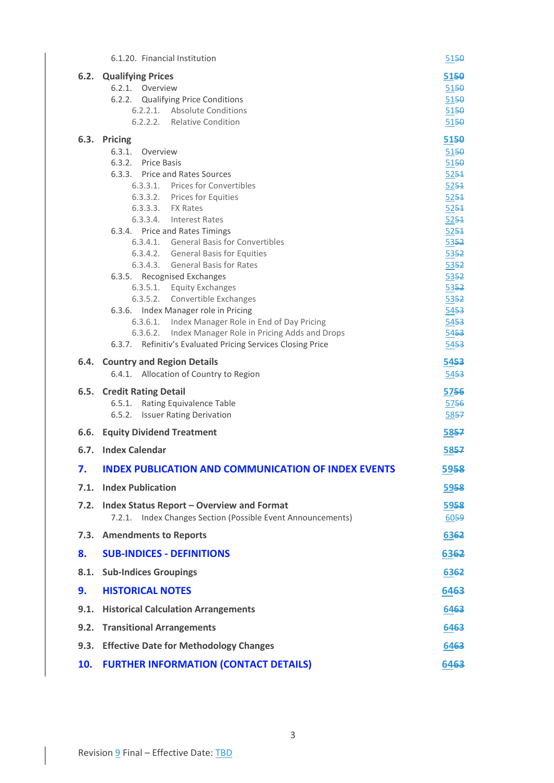|      | 6.1.20. Financial Institution                                                                                                                                                                                                                                                                                                                                                                                                                                                                                                                                                                                                                                                             | 5150                                                                                                                                                             |
|------|-------------------------------------------------------------------------------------------------------------------------------------------------------------------------------------------------------------------------------------------------------------------------------------------------------------------------------------------------------------------------------------------------------------------------------------------------------------------------------------------------------------------------------------------------------------------------------------------------------------------------------------------------------------------------------------------|------------------------------------------------------------------------------------------------------------------------------------------------------------------|
|      | 6.2. Qualifying Prices<br>6.2.1. Overview<br>6.2.2. Qualifying Price Conditions<br>6.2.2.1. Absolute Conditions<br>6.2.2.2. Relative Condition                                                                                                                                                                                                                                                                                                                                                                                                                                                                                                                                            | 5150<br>5150<br>5150<br>5150<br>5150                                                                                                                             |
|      | 6.3. Pricing<br>6.3.1.<br>Overview<br>6.3.2. Price Basis<br>6.3.3. Price and Rates Sources<br>6.3.3.1. Prices for Convertibles<br>6.3.3.2. Prices for Equities<br>6.3.3.3. FX Rates<br>6.3.3.4. Interest Rates<br>6.3.4. Price and Rates Timings<br>6.3.4.1. General Basis for Convertibles<br>6.3.4.2. General Basis for Equities<br>6.3.4.3. General Basis for Rates<br>6.3.5. Recognised Exchanges<br>6.3.5.1. Equity Exchanges<br>6.3.5.2. Convertible Exchanges<br>6.3.6. Index Manager role in Pricing<br>6.3.6.1. Index Manager Role in End of Day Pricing<br>6.3.6.2. Index Manager Role in Pricing Adds and Drops<br>6.3.7. Refinitiv's Evaluated Pricing Services Closing Price | 5150<br>5150<br>5150<br>5251<br>5251<br>5251<br>5251<br>5251<br>5251<br>5352<br>5352<br>5352<br>5352<br>5352<br>5352<br>5453<br>54 <del>53</del><br>5453<br>5453 |
|      | 6.4. Country and Region Details<br>6.4.1. Allocation of Country to Region                                                                                                                                                                                                                                                                                                                                                                                                                                                                                                                                                                                                                 | 5453<br>5453                                                                                                                                                     |
|      | 6.5. Credit Rating Detail<br>6.5.1. Rating Equivalence Table<br>6.5.2. Issuer Rating Derivation                                                                                                                                                                                                                                                                                                                                                                                                                                                                                                                                                                                           | 5756<br>5756<br>5857                                                                                                                                             |
|      | <b>6.6. Equity Dividend Treatment</b>                                                                                                                                                                                                                                                                                                                                                                                                                                                                                                                                                                                                                                                     | 5857                                                                                                                                                             |
|      | 6.7. Index Calendar                                                                                                                                                                                                                                                                                                                                                                                                                                                                                                                                                                                                                                                                       | 5857                                                                                                                                                             |
| 7.   | <b>INDEX PUBLICATION AND COMMUNICATION OF INDEX EVENTS</b>                                                                                                                                                                                                                                                                                                                                                                                                                                                                                                                                                                                                                                | 5958                                                                                                                                                             |
| 7.1. | <b>Index Publication</b>                                                                                                                                                                                                                                                                                                                                                                                                                                                                                                                                                                                                                                                                  | 5958                                                                                                                                                             |
| 7.2. | <b>Index Status Report - Overview and Format</b><br>7.2.1. Index Changes Section (Possible Event Announcements)                                                                                                                                                                                                                                                                                                                                                                                                                                                                                                                                                                           | 5958<br>6059                                                                                                                                                     |
| 7.3. | <b>Amendments to Reports</b>                                                                                                                                                                                                                                                                                                                                                                                                                                                                                                                                                                                                                                                              | 6362                                                                                                                                                             |
| 8.   | <b>SUB-INDICES - DEFINITIONS</b>                                                                                                                                                                                                                                                                                                                                                                                                                                                                                                                                                                                                                                                          | 6362                                                                                                                                                             |
| 8.1. | <b>Sub-Indices Groupings</b>                                                                                                                                                                                                                                                                                                                                                                                                                                                                                                                                                                                                                                                              | 6362                                                                                                                                                             |
| 9.   | <b>HISTORICAL NOTES</b>                                                                                                                                                                                                                                                                                                                                                                                                                                                                                                                                                                                                                                                                   | 6463                                                                                                                                                             |
| 9.1. | <b>Historical Calculation Arrangements</b>                                                                                                                                                                                                                                                                                                                                                                                                                                                                                                                                                                                                                                                | 6463                                                                                                                                                             |
| 9.2. | <b>Transitional Arrangements</b>                                                                                                                                                                                                                                                                                                                                                                                                                                                                                                                                                                                                                                                          | 6463                                                                                                                                                             |
| 9.3. | <b>Effective Date for Methodology Changes</b>                                                                                                                                                                                                                                                                                                                                                                                                                                                                                                                                                                                                                                             | 6463                                                                                                                                                             |
| 10.  | <b>FURTHER INFORMATION (CONTACT DETAILS)</b>                                                                                                                                                                                                                                                                                                                                                                                                                                                                                                                                                                                                                                              | 6463                                                                                                                                                             |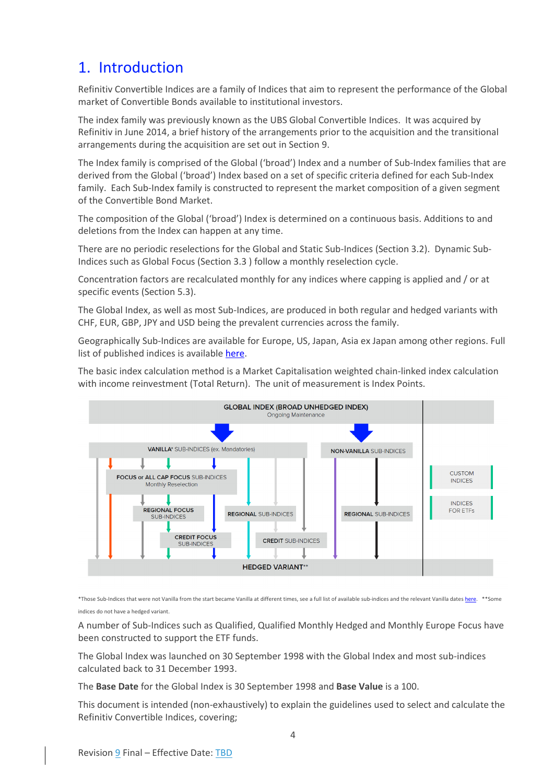## <span id="page-4-0"></span>1. Introduction

Refinitiv Convertible Indices are a family of Indices that aim to represent the performance of the Global market of Convertible Bonds available to institutional investors.

The index family was previously known as the UBS Global Convertible Indices. It was acquired by Refinitiv in June 2014, a brief history of the arrangements prior to the acquisition and the transitional arrangements during the acquisition are set out in Section [9.](#page-64-0)

The Index family is comprised of the Global ('broad') Index and a number of Sub-Index families that are derived from the Global ('broad') Index based on a set of specific criteria defined for each Sub-Index family. Each Sub-Index family is constructed to represent the market composition of a given segment of the Convertible Bond Market.

The composition of the Global ('broad') Index is determined on a continuous basis. Additions to and deletions from the Index can happen at any time.

There are no periodic reselections for the Global and Static Sub-Indices (Section [3.2\)](#page-26-2). Dynamic Sub-Indices such as Global Focus (Section [3.3](#page-30-0) ) follow a monthly reselection cycle.

Concentration factors are recalculated monthly for any indices where capping is applied and / or at specific events (Sectio[n 5.3\)](#page-41-0).

The Global Index, as well as most Sub-Indices, are produced in both regular and hedged variants with CHF, EUR, GBP, JPY and USD being the prevalent currencies across the family.

Geographically Sub-Indices are available for Europe, US, Japan, Asia ex Japan among other regions. Full list of published indices is available [here.](https://www.refinitiv.com/content/dam/marketing/en_us/documents/fact-sheets/convertible-bond-indices-from-refinitiv.pdf)

The basic index calculation method is a Market Capitalisation weighted chain-linked index calculation with income reinvestment (Total Return). The unit of measurement is Index Points.



\*Those Sub-Indices that were not Vanilla from the start became Vanilla at different times, see a full list of available sub-indices and the relevant Vanilla date[s here.](https://www.refinitiv.com/content/dam/marketing/en_us/documents/fact-sheets/convertible-bond-indices-from-refinitiv.pdf) \*\*Some indices do not have a hedged variant.

A number of Sub-Indices such as Qualified, Qualified Monthly Hedged and Monthly Europe Focus have been constructed to support the ETF funds.

The Global Index was launched on 30 September 1998 with the Global Index and most sub-indices calculated back to 31 December 1993.

The **Base Date** for the Global Index is 30 September 1998 and **Base Value** is a 100.

This document is intended (non-exhaustively) to explain the guidelines used to select and calculate the Refinitiv Convertible Indices, covering;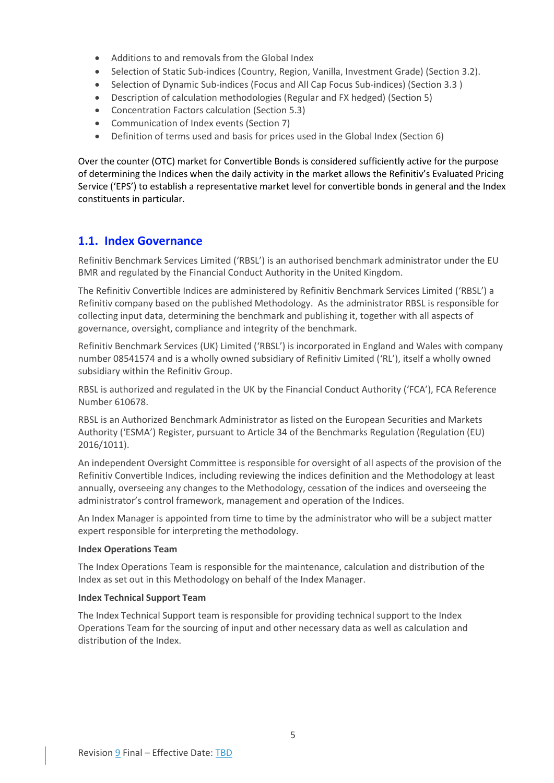- Additions to and removals from the Global Index
- Selection of Static Sub-indices (Country, Region, Vanilla, Investment Grade) (Sectio[n 3.2\)](#page-26-2).
- Selection of Dynamic Sub-indices (Focus and All Cap Focus Sub-indices) (Section [3.3](#page-30-0) )
- Description of calculation methodologies (Regular and FX hedged) (Section [5\)](#page-36-0)
- Concentration Factors calculation (Section [5.3\)](#page-41-0)
- Communication of Index events (Section [7\)](#page-59-0)
- Definition of terms used and basis for prices used in the Global Index (Section [6\)](#page-47-0)

Over the counter (OTC) market for Convertible Bonds is considered sufficiently active for the purpose of determining the Indices when the daily activity in the market allows the Refinitiv's Evaluated Pricing Service ('EPS') to establish a representative market level for convertible bonds in general and the Index constituents in particular.

## <span id="page-5-0"></span>**1.1. Index Governance**

Refinitiv Benchmark Services Limited ('RBSL') is an authorised benchmark administrator under the EU BMR and regulated by the Financial Conduct Authority in the United Kingdom.

The Refinitiv Convertible Indices are administered by Refinitiv Benchmark Services Limited ('RBSL') a Refinitiv company based on the published Methodology. As the administrator RBSL is responsible for collecting input data, determining the benchmark and publishing it, together with all aspects of governance, oversight, compliance and integrity of the benchmark.

Refinitiv Benchmark Services (UK) Limited ('RBSL') is incorporated in England and Wales with company number 08541574 and is a wholly owned subsidiary of Refinitiv Limited ('RL'), itself a wholly owned subsidiary within the Refinitiv Group.

RBSL is authorized and regulated in the UK by the Financial Conduct Authority ('FCA'), FCA Reference Number 610678.

RBSL is an Authorized Benchmark Administrator as listed on the European Securities and Markets Authority ('ESMA') Register, pursuant to Article 34 of the Benchmarks Regulation (Regulation (EU) 2016/1011).

An independent Oversight Committee is responsible for oversight of all aspects of the provision of the Refinitiv Convertible Indices, including reviewing the indices definition and the Methodology at least annually, overseeing any changes to the Methodology, cessation of the indices and overseeing the administrator's control framework, management and operation of the Indices.

An Index Manager is appointed from time to time by the administrator who will be a subject matter expert responsible for interpreting the methodology.

#### **Index Operations Team**

The Index Operations Team is responsible for the maintenance, calculation and distribution of the Index as set out in this Methodology on behalf of the Index Manager.

#### **Index Technical Support Team**

The Index Technical Support team is responsible for providing technical support to the Index Operations Team for the sourcing of input and other necessary data as well as calculation and distribution of the Index.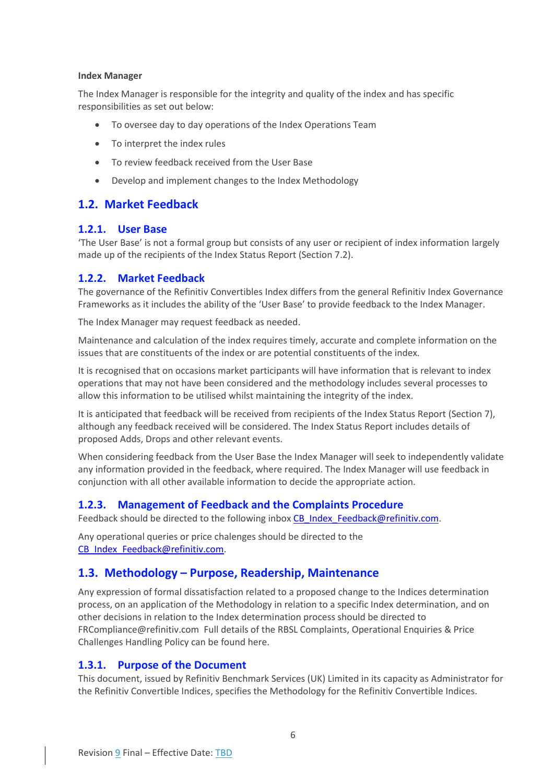#### **Index Manager**

The Index Manager is responsible for the integrity and quality of the index and has specific responsibilities as set out below:

- To oversee day to day operations of the Index Operations Team
- To interpret the index rules
- To review feedback received from the User Base
- Develop and implement changes to the Index Methodology

## <span id="page-6-0"></span>**1.2. Market Feedback**

### <span id="page-6-1"></span>**1.2.1. User Base**

'The User Base' is not a formal group but consists of any user or recipient of index information largely made up of the recipients of the Index Status Report (Section [7.2\)](#page-59-2).

### <span id="page-6-2"></span>**1.2.2. Market Feedback**

The governance of the Refinitiv Convertibles Index differs from the general Refinitiv Index Governance Frameworks as it includes the ability of the 'User Base' to provide feedback to the Index Manager.

The Index Manager may request feedback as needed.

Maintenance and calculation of the index requires timely, accurate and complete information on the issues that are constituents of the index or are potential constituents of the index.

It is recognised that on occasions market participants will have information that is relevant to index operations that may not have been considered and the methodology includes several processes to allow this information to be utilised whilst maintaining the integrity of the index.

It is anticipated that feedback will be received from recipients of the Index Status Report (Sectio[n 7\)](#page-59-0), although any feedback received will be considered. The Index Status Report includes details of proposed Adds, Drops and other relevant events.

When considering feedback from the User Base the Index Manager will seek to independently validate any information provided in the feedback, where required. The Index Manager will use feedback in conjunction with all other available information to decide the appropriate action.

## <span id="page-6-3"></span>**1.2.3. Management of Feedback and the Complaints Procedure**

Feedback should be directed to the following inbox CB\_Index\_Feedback@refinitiv.com.

Any operational queries or price chalenges should be directed to the [CB\\_Index\\_Feedback@refinitiv.com.](mailto:CB_Index_Feedback@refinitiv.com)

## <span id="page-6-4"></span>**1.3. Methodology – Purpose, Readership, Maintenance**

Any expression of formal dissatisfaction related to a proposed change to the Indices determination process, on an application of the Methodology in relation to a specific Index determination, and on other decisions in relation to the Index determination process should be directed to [FRCompliance@refinitiv.com](mailto:FRCompliance@refinitiv.com) Full details of the RBSL Complaints, Operational Enquiries & Price Challenges Handling Policy can be found [here.](https://www.refinitiv.com/content/dam/marketing/en_us/documents/methodology/rbsl-complaints-operational-enquiries-handling-policy.pdf)

### <span id="page-6-5"></span>**1.3.1. Purpose of the Document**

This document, issued by Refinitiv Benchmark Services (UK) Limited in its capacity as Administrator for the Refinitiv Convertible Indices, specifies the Methodology for the Refinitiv Convertible Indices.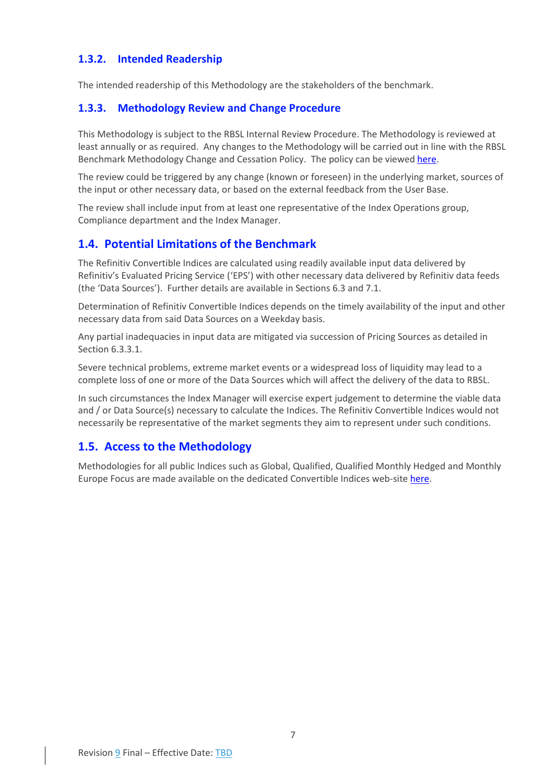## <span id="page-7-0"></span>**1.3.2. Intended Readership**

The intended readership of this Methodology are the stakeholders of the benchmark.

## <span id="page-7-1"></span>**1.3.3. Methodology Review and Change Procedure**

This Methodology is subject to the RBSL Internal Review Procedure. The Methodology is reviewed at least annually or as required. Any changes to the Methodology will be carried out in line with the RBSL Benchmark Methodology Change and Cessation Policy. The policy can be viewe[d here.](https://www.refinitiv.com/content/dam/marketing/en_us/documents/methodology/rbsl-benchmark-methodology-change-cessation-policy.pdf)

The review could be triggered by any change (known or foreseen) in the underlying market, sources of the input or other necessary data, or based on the external feedback from the User Base.

The review shall include input from at least one representative of the Index Operations group, Compliance department and the Index Manager.

## <span id="page-7-2"></span>**1.4. Potential Limitations of the Benchmark**

The Refinitiv Convertible Indices are calculated using readily available input data delivered by Refinitiv's Evaluated Pricing Service ('EPS') with other necessary data delivered by Refinitiv data feeds (the 'Data Sources'). Further details are available in Sections [6.3](#page-51-6) and [7.1.](#page-59-1)

Determination of Refinitiv Convertible Indices depends on the timely availability of the input and other necessary data from said Data Sources on a Weekday basis.

Any partial inadequacies in input data are mitigated via succession of Pricing Sources as detailed in Sectio[n 6.3.3.1.](#page-52-1)

Severe technical problems, extreme market events or a widespread loss of liquidity may lead to a complete loss of one or more of the Data Sources which will affect the delivery of the data to RBSL.

In such circumstances the Index Manager will exercise expert judgement to determine the viable data and / or Data Source(s) necessary to calculate the Indices. The Refinitiv Convertible Indices would not necessarily be representative of the market segments they aim to represent under such conditions.

## <span id="page-7-3"></span>**1.5. Access to the Methodology**

Methodologies for all public Indices such as Global, Qualified, Qualified Monthly Hedged and Monthly Europe Focus are made available on the dedicated Convertible Indices web-site [here.](https://www.refinitiv.com/en/financial-data/indices/convertible-indices)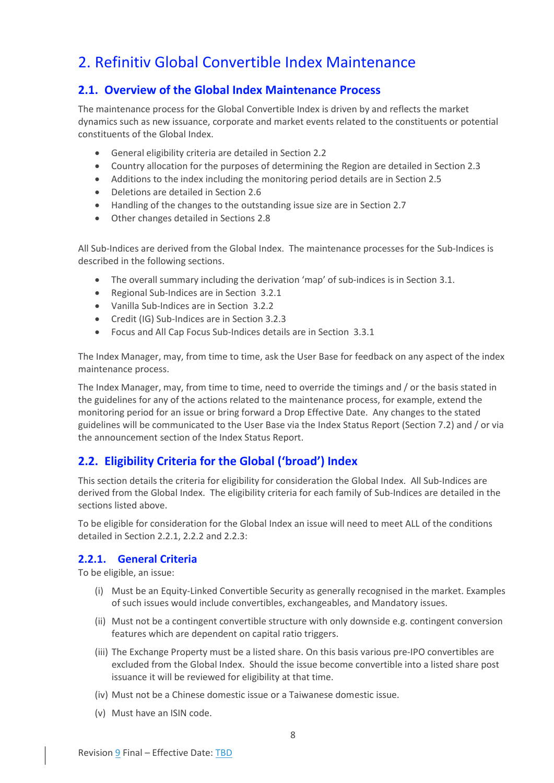## <span id="page-8-0"></span>2. Refinitiv Global Convertible Index Maintenance

## <span id="page-8-1"></span>**2.1. Overview of the Global Index Maintenance Process**

The maintenance process for the Global Convertible Index is driven by and reflects the market dynamics such as new issuance, corporate and market events related to the constituents or potential constituents of the Global Index.

- General eligibility criteria are detailed in Section [2.2](#page-8-2)
- Country allocation for the purposes of determining the Region are detailed in Sectio[n 2.3](#page-10-2)
- Additions to the index including the monitoring period details are in Sectio[n 2.5](#page-12-0)
- Deletions are detailed in Section [2.6](#page-14-0)
- Handling of the changes to the outstanding issue size are in Sectio[n 2.7](#page-24-0)
- Other changes detailed in Section[s 2.8](#page-25-0)

All Sub-Indices are derived from the Global Index. The maintenance processes for the Sub-Indices is described in the following sections.

- The overall summary including the derivation 'map' of sub-indices is in Section [3.1.](#page-26-1)
- Regional Sub-Indices are in Section [3.2.1](#page-26-3)
- Vanilla Sub-Indices are in Section [3.2.2](#page-27-0)
- Credit (IG) Sub-Indices are in Section [3.2.3](#page-28-0)
- Focus and All Cap Focus Sub-Indices details are in Section [3.3.1](#page-30-1)

The Index Manager, may, from time to time, ask the User Base for feedback on any aspect of the index maintenance process.

The Index Manager, may, from time to time, need to override the timings and / or the basis stated in the guidelines for any of the actions related to the maintenance process, for example, extend the monitoring period for an issue or bring forward a Drop Effective Date. Any changes to the stated guidelines will be communicated to the User Base via the Index Status Report (Section [7.2\)](#page-59-2) and / or via the announcement section of the Index Status Report.

## <span id="page-8-2"></span>**2.2. Eligibility Criteria for the Global ('broad') Index**

This section details the criteria for eligibility for consideration the Global Index. All Sub-Indices are derived from the Global Index. The eligibility criteria for each family of Sub-Indices are detailed in the sections listed above.

To be eligible for consideration for the Global Index an issue will need to meet ALL of the conditions detailed in Section [2.2.1,](#page-8-3) [2.2.2](#page-9-0) and [2.2.3:](#page-10-1)

### <span id="page-8-3"></span>**2.2.1. General Criteria**

To be eligible, an issue:

- (i) Must be an Equity-Linked Convertible Security as generally recognised in the market. Examples of such issues would include convertibles, exchangeables, and Mandatory issues.
- (ii) Must not be a contingent convertible structure with only downside e.g. contingent conversion features which are dependent on capital ratio triggers.
- (iii) The Exchange Property must be a listed share. On this basis various pre-IPO convertibles are excluded from the Global Index. Should the issue become convertible into a listed share post issuance it will be reviewed for eligibility at that time.
- (iv) Must not be a Chinese domestic issue or a Taiwanese domestic issue.
- (v) Must have an ISIN code.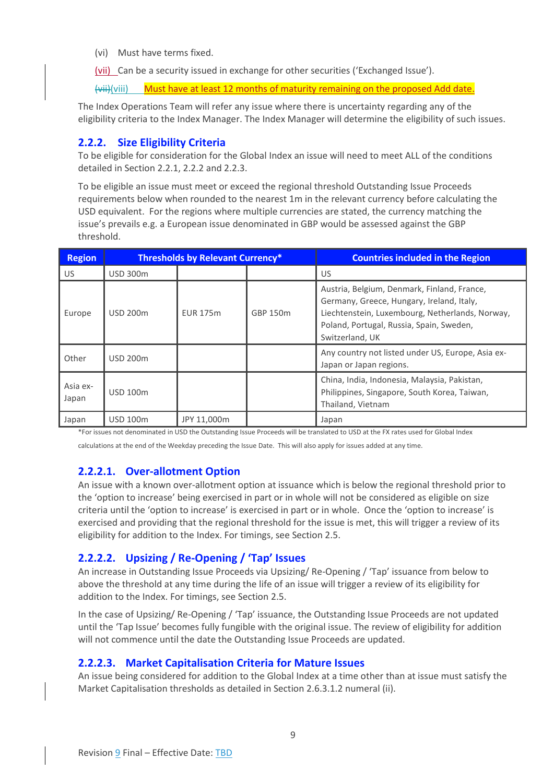(vi) Must have terms fixed.

<span id="page-9-4"></span>(vii) Can be a security issued in exchange for other securities ('Exchanged Issue').

(vii)(viii) Must have at least 12 months of maturity remaining on the proposed Add date.

The Index Operations Team will refer any issue where there is uncertainty regarding any of the eligibility criteria to the Index Manager. The Index Manager will determine the eligibility of such issues.

### <span id="page-9-0"></span>**2.2.2. Size Eligibility Criteria**

To be eligible for consideration for the Global Index an issue will need to meet ALL of the conditions detailed in Section [2.2.1,](#page-8-3) [2.2.2](#page-9-0) and [2.2.3.](#page-10-1)

To be eligible an issue must meet or exceed the regional threshold Outstanding Issue Proceeds requirements below when rounded to the nearest 1m in the relevant currency before calculating the USD equivalent. For the regions where multiple currencies are stated, the currency matching the issue's prevails e.g. a European issue denominated in GBP would be assessed against the GBP threshold.

| <b>Region</b>     | <b>Thresholds by Relevant Currency*</b> |                 |          | <b>Countries included in the Region</b>                                                                                                                                                                    |
|-------------------|-----------------------------------------|-----------------|----------|------------------------------------------------------------------------------------------------------------------------------------------------------------------------------------------------------------|
| US.               | <b>USD 300m</b>                         |                 |          | US                                                                                                                                                                                                         |
| Europe            | <b>USD 200m</b>                         | <b>EUR 175m</b> | GBP 150m | Austria, Belgium, Denmark, Finland, France,<br>Germany, Greece, Hungary, Ireland, Italy,<br>Liechtenstein, Luxembourg, Netherlands, Norway,<br>Poland, Portugal, Russia, Spain, Sweden,<br>Switzerland, UK |
| Other             | <b>USD 200m</b>                         |                 |          | Any country not listed under US, Europe, Asia ex-<br>Japan or Japan regions.                                                                                                                               |
| Asia ex-<br>Japan | <b>USD 100m</b>                         |                 |          | China, India, Indonesia, Malaysia, Pakistan,<br>Philippines, Singapore, South Korea, Taiwan,<br>Thailand, Vietnam                                                                                          |
| Japan             | <b>USD 100m</b>                         | JPY 11.000m     |          | Japan                                                                                                                                                                                                      |

\*For issues not denominated in USD the Outstanding Issue Proceeds will be translated to USD at the FX rates used for Global Index

calculations at the end of the Weekday preceding the Issue Date. This will also apply for issues added at any time.

### <span id="page-9-1"></span>**2.2.2.1. Over-allotment Option**

An issue with a known over-allotment option at issuance which is below the regional threshold prior to the 'option to increase' being exercised in part or in whole will not be considered as eligible on size criteria until the 'option to increase' is exercised in part or in whole. Once the 'option to increase' is exercised and providing that the regional threshold for the issue is met, this will trigger a review of its eligibility for addition to the Index. For timings, see Section 2.5.

### <span id="page-9-2"></span>**2.2.2.2. Upsizing / Re-Opening / 'Tap' Issues**

An increase in Outstanding Issue Proceeds via Upsizing/ Re-Opening / 'Tap' issuance from below to above the threshold at any time during the life of an issue will trigger a review of its eligibility for addition to the Index. For timings, see Section [2.5.](#page-12-0)

In the case of Upsizing/ Re-Opening / 'Tap' issuance, the Outstanding Issue Proceeds are not updated until the 'Tap Issue' becomes fully fungible with the original issue. The review of eligibility for addition will not commence until the date the Outstanding Issue Proceeds are updated.

### <span id="page-9-3"></span>**2.2.2.3. Market Capitalisation Criteria for Mature Issues**

An issue being considered for addition to the Global Index at a time other than at issue must satisfy the Market Capitalisation thresholds as detailed in Sectio[n 2.6.3.1.2](#page-17-0) numeral [\(ii\).](#page-18-0)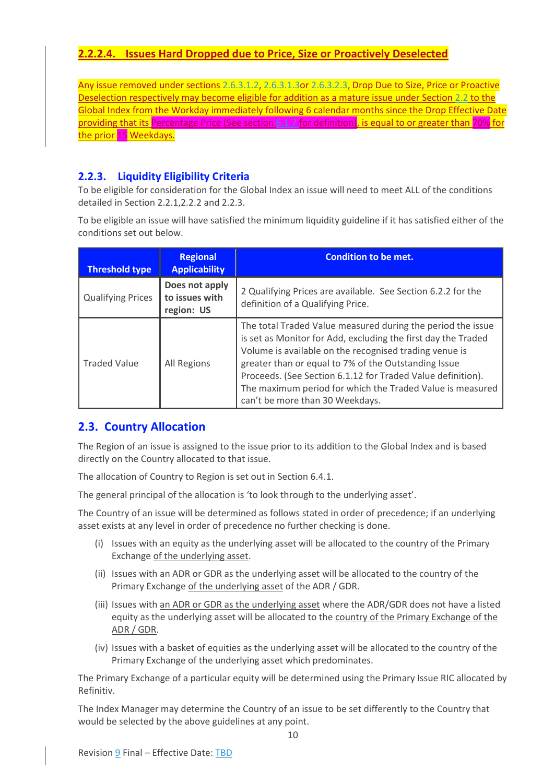## <span id="page-10-0"></span>**2.2.2.4. Issues Hard Dropped due to Price, Size or Proactively Deselected**

Any issue removed under sections [2.6.3.1.2,](#page-17-0) [2.6.3.1.3o](#page-18-1)[r 2.6.3.2.3,](#page-23-0) Drop Due to Size, Price or Proactive Deselection respectively may become eligible for addition as a mature issue under Section [2.2](#page-8-2) to the Global Index from the Workday immediately following 6 calendar months since the Drop Effective Date providing that its Percentage Price (See sectio[n 6.1.7](#page-48-0) for definition), is equal to or greater than 70% for the prior 15 Weekdays.

## <span id="page-10-1"></span>**2.2.3. Liquidity Eligibility Criteria**

To be eligible for consideration for the Global Index an issue will need to meet ALL of the conditions detailed in Section [2.2.1](#page-8-3)[,2.2.2](#page-9-0) an[d 2.2.3.](#page-10-1)

To be eligible an issue will have satisfied the minimum liquidity guideline if it has satisfied either of the conditions set out below.

| <b>Threshold type</b>    | <b>Regional</b><br><b>Applicability</b>        | <b>Condition to be met.</b>                                                                                                                                                                                                                                                                                                                                                                                   |
|--------------------------|------------------------------------------------|---------------------------------------------------------------------------------------------------------------------------------------------------------------------------------------------------------------------------------------------------------------------------------------------------------------------------------------------------------------------------------------------------------------|
| <b>Qualifying Prices</b> | Does not apply<br>to issues with<br>region: US | 2 Qualifying Prices are available. See Section 6.2.2 for the<br>definition of a Qualifying Price.                                                                                                                                                                                                                                                                                                             |
| <b>Traded Value</b>      | All Regions                                    | The total Traded Value measured during the period the issue<br>is set as Monitor for Add, excluding the first day the Traded<br>Volume is available on the recognised trading venue is<br>greater than or equal to 7% of the Outstanding Issue<br>Proceeds. (See Section 6.1.12 for Traded Value definition).<br>The maximum period for which the Traded Value is measured<br>can't be more than 30 Weekdays. |

## <span id="page-10-2"></span>**2.3. Country Allocation**

The Region of an issue is assigned to the issue prior to its addition to the Global Index and is based directly on the Country allocated to that issue.

The allocation of Country to Region is set out in Sectio[n 6.4.1.](#page-54-5)

The general principal of the allocation is 'to look through to the underlying asset'.

The Country of an issue will be determined as follows stated in order of precedence; if an underlying asset exists at any level in order of precedence no further checking is done.

- (i) Issues with an equity as the underlying asset will be allocated to the country of the Primary Exchange of the underlying asset.
- (ii) Issues with an ADR or GDR as the underlying asset will be allocated to the country of the Primary Exchange of the underlying asset of the ADR / GDR.
- (iii) Issues with an ADR or GDR as the underlying asset where the ADR/GDR does not have a listed equity as the underlying asset will be allocated to the country of the Primary Exchange of the ADR / GDR.
- (iv) Issues with a basket of equities as the underlying asset will be allocated to the country of the Primary Exchange of the underlying asset which predominates.

The Primary Exchange of a particular equity will be determined using the Primary Issue RIC allocated by Refinitiv.

The Index Manager may determine the Country of an issue to be set differently to the Country that would be selected by the above guidelines at any point.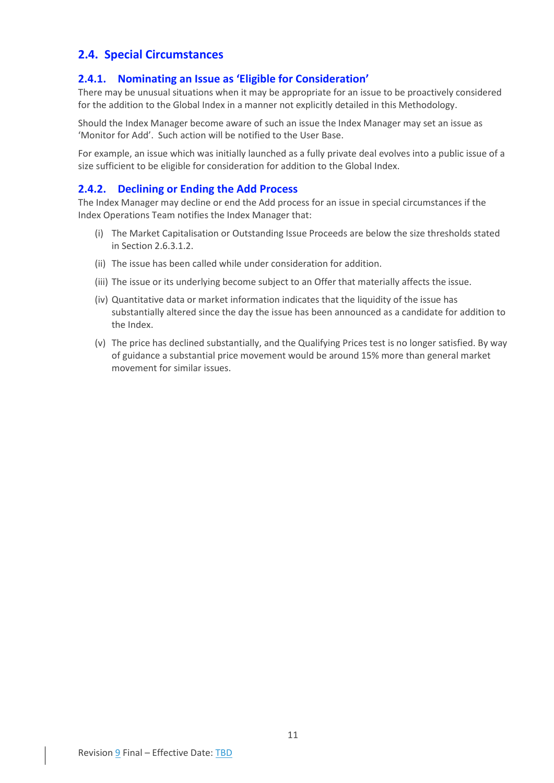## <span id="page-11-0"></span>**2.4. Special Circumstances**

## <span id="page-11-1"></span>**2.4.1. Nominating an Issue as 'Eligible for Consideration'**

There may be unusual situations when it may be appropriate for an issue to be proactively considered for the addition to the Global Index in a manner not explicitly detailed in this Methodology.

Should the Index Manager become aware of such an issue the Index Manager may set an issue as 'Monitor for Add'. Such action will be notified to the User Base.

For example, an issue which was initially launched as a fully private deal evolves into a public issue of a size sufficient to be eligible for consideration for addition to the Global Index.

### <span id="page-11-2"></span>**2.4.2. Declining or Ending the Add Process**

The Index Manager may decline or end the Add process for an issue in special circumstances if the Index Operations Team notifies the Index Manager that:

- (i) The Market Capitalisation or Outstanding Issue Proceeds are below the size thresholds stated in Section 2.6.3.1.2.
- (ii) The issue has been called while under consideration for addition.
- (iii) The issue or its underlying become subject to an Offer that materially affects the issue.
- (iv) Quantitative data or market information indicates that the liquidity of the issue has substantially altered since the day the issue has been announced as a candidate for addition to the Index.
- (v) The price has declined substantially, and the Qualifying Prices test is no longer satisfied. By way of guidance a substantial price movement would be around 15% more than general market movement for similar issues.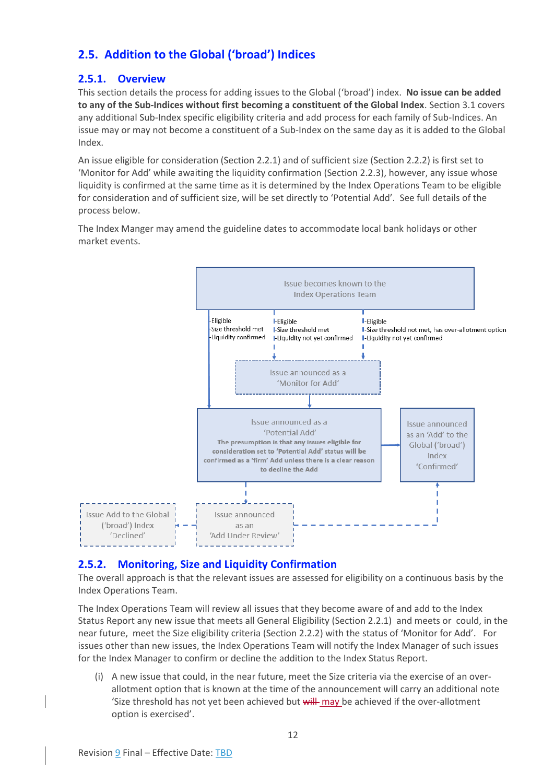## <span id="page-12-0"></span>**2.5. Addition to the Global ('broad') Indices**

## <span id="page-12-1"></span>**2.5.1. Overview**

This section details the process for adding issues to the Global ('broad') index. **No issue can be added to any of the Sub-Indices without first becoming a constituent of the Global Index**. Section [3.1](#page-26-1) covers any additional Sub-Index specific eligibility criteria and add process for each family of Sub-Indices. An issue may or may not become a constituent of a Sub-Index on the same day as it is added to the Global Index.

An issue eligible for consideration (Section [2.2.1\)](#page-8-3) and of sufficient size (Section [2.2.2\)](#page-9-0) is first set to 'Monitor for Add' while awaiting the liquidity confirmation (Section [2.2.3\)](#page-10-1), however, any issue whose liquidity is confirmed at the same time as it is determined by the Index Operations Team to be eligible for consideration and of sufficient size, will be set directly to 'Potential Add'. See full details of the process below.

The Index Manger may amend the guideline dates to accommodate local bank holidays or other market events.



## <span id="page-12-2"></span>**2.5.2. Monitoring, Size and Liquidity Confirmation**

The overall approach is that the relevant issues are assessed for eligibility on a continuous basis by the Index Operations Team.

The Index Operations Team will review all issues that they become aware of and add to the Index Status Report any new issue that meets all General Eligibility (Sectio[n 2.2.1\)](#page-8-3) and meets or could, in the near future, meet the Size eligibility criteria (Sectio[n 2.2.2\)](#page-9-0) with the status of 'Monitor for Add'. For issues other than new issues, the Index Operations Team will notify the Index Manager of such issues for the Index Manager to confirm or decline the addition to the Index Status Report.

(i) A new issue that could, in the near future, meet the Size criteria via the exercise of an overallotment option that is known at the time of the announcement will carry an additional note 'Size threshold has not yet been achieved but will may be achieved if the over-allotment option is exercised'.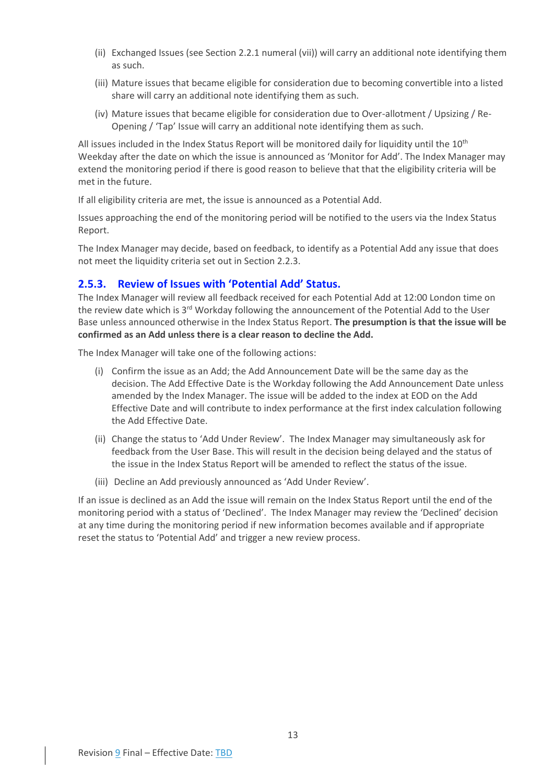- (ii) Exchanged Issues (see Sectio[n 2.2.1](#page-8-3) numeral [\(vii\)\)](#page-9-4) will carry an additional note identifying them as such.
- (iii) Mature issues that became eligible for consideration due to becoming convertible into a listed share will carry an additional note identifying them as such.
- (iv) Mature issues that became eligible for consideration due to Over-allotment / Upsizing / Re-Opening / 'Tap' Issue will carry an additional note identifying them as such.

All issues included in the Index Status Report will be monitored daily for liquidity until the  $10^{\text{th}}$ Weekday after the date on which the issue is announced as 'Monitor for Add'. The Index Manager may extend the monitoring period if there is good reason to believe that that the eligibility criteria will be met in the future.

If all eligibility criteria are met, the issue is announced as a Potential Add.

Issues approaching the end of the monitoring period will be notified to the users via the Index Status Report.

The Index Manager may decide, based on feedback, to identify as a Potential Add any issue that does not meet the liquidity criteria set out in Section [2.2.3.](#page-10-1)

### <span id="page-13-0"></span>**2.5.3. Review of Issues with 'Potential Add' Status.**

The Index Manager will review all feedback received for each Potential Add at 12:00 London time on the review date which is 3<sup>rd</sup> Workday following the announcement of the Potential Add to the User Base unless announced otherwise in the Index Status Report. **The presumption is that the issue will be confirmed as an Add unless there is a clear reason to decline the Add.**

The Index Manager will take one of the following actions:

- (i) Confirm the issue as an Add; the Add Announcement Date will be the same day as the decision. The Add Effective Date is the Workday following the Add Announcement Date unless amended by the Index Manager. The issue will be added to the index at EOD on the Add Effective Date and will contribute to index performance at the first index calculation following the Add Effective Date.
- (ii) Change the status to 'Add Under Review'. The Index Manager may simultaneously ask for feedback from the User Base. This will result in the decision being delayed and the status of the issue in the Index Status Report will be amended to reflect the status of the issue.
- (iii) Decline an Add previously announced as 'Add Under Review'.

If an issue is declined as an Add the issue will remain on the Index Status Report until the end of the monitoring period with a status of 'Declined'. The Index Manager may review the 'Declined' decision at any time during the monitoring period if new information becomes available and if appropriate reset the status to 'Potential Add' and trigger a new review process.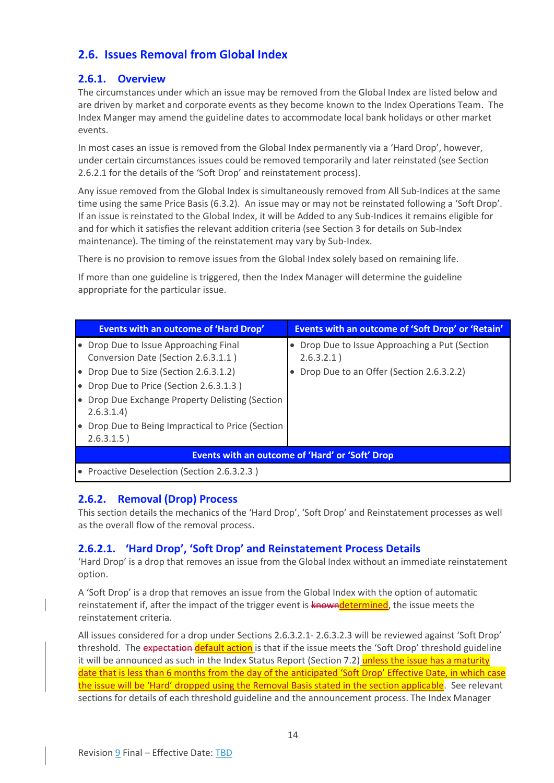## <span id="page-14-0"></span>**2.6. Issues Removal from Global Index**

## <span id="page-14-1"></span>**2.6.1. Overview**

The circumstances under which an issue may be removed from the Global Index are listed below and are driven by market and corporate events as they become known to the Index Operations Team. The Index Manger may amend the guideline dates to accommodate local bank holidays or other market events.

In most cases an issue is removed from the Global Index permanently via a 'Hard Drop', however, under certain circumstances issues could be removed temporarily and later reinstated (see Section [2.6.2.1](#page-14-3) for the details of the 'Soft Drop' and reinstatement process).

Any issue removed from the Global Index is simultaneously removed from All Sub-Indices at the same time using the same Price Basis [\(6.3.2\)](#page-51-8). An issue may or may not be reinstated following a 'Soft Drop'. If an issue is reinstated to the Global Index, it will be Added to any Sub-Indices it remains eligible for and for which it satisfies the relevant addition criteria (see Section [3](#page-26-0) for details on Sub-Index maintenance). The timing of the reinstatement may vary by Sub-Index.

There is no provision to remove issues from the Global Index solely based on remaining life.

If more than one guideline is triggered, then the Index Manager will determine the guideline appropriate for the particular issue.

|                                                 | <b>Events with an outcome of 'Hard Drop'</b>    | Events with an outcome of 'Soft Drop' or 'Retain'         |  |  |
|-------------------------------------------------|-------------------------------------------------|-----------------------------------------------------------|--|--|
|                                                 | • Drop Due to Issue Approaching Final           | Drop Due to Issue Approaching a Put (Section<br>$\bullet$ |  |  |
|                                                 | Conversion Date (Section 2.6.3.1.1)             | 2.6.3.2.1)                                                |  |  |
|                                                 | • Drop Due to Size (Section 2.6.3.1.2)          | Drop Due to an Offer (Section 2.6.3.2.2)                  |  |  |
|                                                 | • Drop Due to Price (Section 2.6.3.1.3)         |                                                           |  |  |
|                                                 | Drop Due Exchange Property Delisting (Section   |                                                           |  |  |
|                                                 | 2.6.3.1.4                                       |                                                           |  |  |
| $\bullet$                                       | Drop Due to Being Impractical to Price (Section |                                                           |  |  |
|                                                 | 2.6.3.1.5)                                      |                                                           |  |  |
| Events with an outcome of 'Hard' or 'Soft' Drop |                                                 |                                                           |  |  |
|                                                 | • Proactive Deselection (Section 2.6.3.2.3)     |                                                           |  |  |

## <span id="page-14-2"></span>**2.6.2. Removal (Drop) Process**

This section details the mechanics of the 'Hard Drop', 'Soft Drop' and Reinstatement processes as well as the overall flow of the removal process.

## <span id="page-14-3"></span>**2.6.2.1. 'Hard Drop', 'Soft Drop' and Reinstatement Process Details**

'Hard Drop' is a drop that removes an issue from the Global Index without an immediate reinstatement option.

A 'Soft Drop' is a drop that removes an issue from the Global Index with the option of automatic reinstatement if, after the impact of the trigger event is knowndetermined, the issue meets the reinstatement criteria.

All issues considered for a drop under Sections [2.6.3.2.1-](#page-19-3) [2.6.3.2.3](#page-23-0) will be reviewed against 'Soft Drop' threshold. The expectation default action is that if the issue meets the 'Soft Drop' threshold guideline it will be announced as such in the Index Status Report (Sectio[n 7.2\)](#page-59-2) unless the issue has a maturity date that is less than 6 months from the day of the anticipated 'Soft Drop' Effective Date, in which case the issue will be 'Hard' dropped using the Removal Basis stated in the section applicable. See relevant sections for details of each threshold guideline and the announcement process. The Index Manager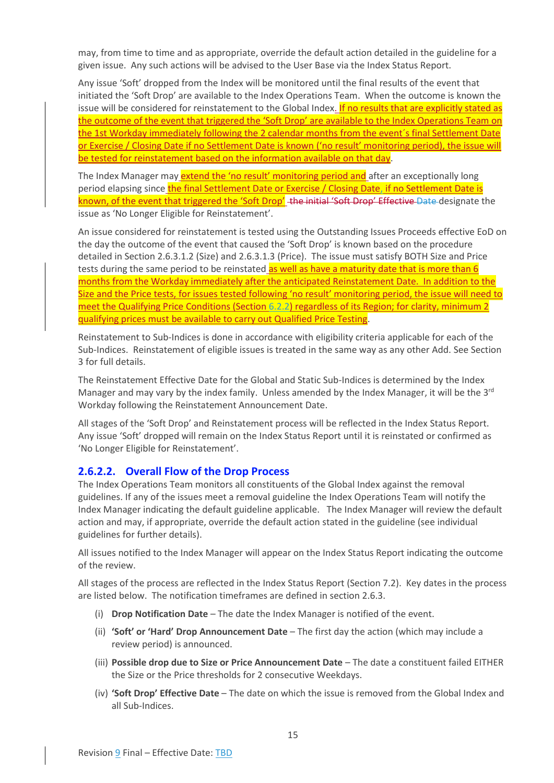may, from time to time and as appropriate, override the default action detailed in the guideline for a given issue. Any such actions will be advised to the User Base via the Index Status Report.

Any issue 'Soft' dropped from the Index will be monitored until the final results of the event that initiated the 'Soft Drop' are available to the Index Operations Team. When the outcome is known the issue will be considered for reinstatement to the Global Index. If no results that are explicitly stated as the outcome of the event that triggered the 'Soft Drop' are available to the Index Operations Team on the 1st Workday immediately following the 2 calendar months from the event´s final Settlement Date or Exercise / Closing Date if no Settlement Date is known ('no result' monitoring period), the issue will be tested for reinstatement based on the information available on that day.

The Index Manager may **extend the 'no result' monitoring period and** after an exceptionally long period elapsing since the final Settlement Date or Exercise / Closing Date, if no Settlement Date is known, of the event that triggered the 'Soft Drop' the initial 'Soft Drop' Effective Date designate the issue as 'No Longer Eligible for Reinstatement'.

An issue considered for reinstatement is tested using the Outstanding Issues Proceeds effective EoD on the day the outcome of the event that caused the 'Soft Drop' is known based on the procedure detailed in Section [2.6.3.1.2](#page-17-0) (Size) an[d 2.6.3.1.3](#page-18-1) (Price). The issue must satisfy BOTH Size and Price tests during the same period to be reinstated as well as have a maturity date that is more than 6 months from the Workday immediately after the anticipated Reinstatement Date. In addition to the Size and the Price tests, for issues tested following 'no result' monitoring period, the issue will need to meet the Qualifying Price Conditions (Section [6.2.2\)](#page-51-3) regardless of its Region; for clarity, minimum 2 qualifying prices must be available to carry out Qualified Price Testing.

Reinstatement to Sub-Indices is done in accordance with eligibility criteria applicable for each of the Sub-Indices. Reinstatement of eligible issues is treated in the same way as any other Add. See Section [3](#page-26-0) for full details.

The Reinstatement Effective Date for the Global and Static Sub-Indices is determined by the Index Manager and may vary by the index family. Unless amended by the Index Manager, it will be the  $3^{rd}$ Workday following the Reinstatement Announcement Date.

All stages of the 'Soft Drop' and Reinstatement process will be reflected in the Index Status Report. Any issue 'Soft' dropped will remain on the Index Status Report until it is reinstated or confirmed as 'No Longer Eligible for Reinstatement'.

## <span id="page-15-0"></span>**2.6.2.2. Overall Flow of the Drop Process**

The Index Operations Team monitors all constituents of the Global Index against the removal guidelines. If any of the issues meet a removal guideline the Index Operations Team will notify the Index Manager indicating the default guideline applicable. The Index Manager will review the default action and may, if appropriate, override the default action stated in the guideline (see individual guidelines for further details).

All issues notified to the Index Manager will appear on the Index Status Report indicating the outcome of the review.

All stages of the process are reflected in the Index Status Report (Sectio[n 7.2\)](#page-59-2). Key dates in the process are listed below. The notification timeframes are defined in section [2.6.3.](#page-16-1)

- (i) **Drop Notification Date** The date the Index Manager is notified of the event.
- (ii) **'Soft' or 'Hard' Drop Announcement Date** The first day the action (which may include a review period) is announced.
- (iii) **Possible drop due to Size or Price Announcement Date**  The date a constituent failed EITHER the Size or the Price thresholds for 2 consecutive Weekdays.
- (iv) **'Soft Drop' Effective Date** The date on which the issue is removed from the Global Index and all Sub-Indices.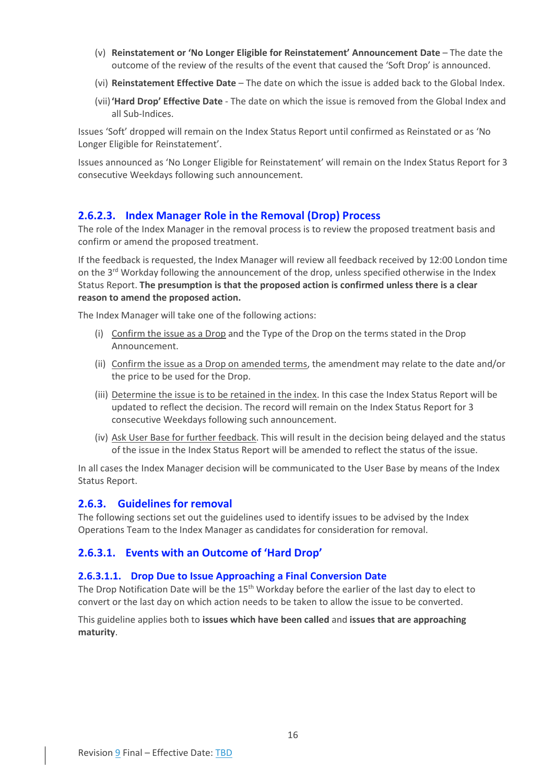- (v) **Reinstatement or 'No Longer Eligible for Reinstatement' Announcement Date** The date the outcome of the review of the results of the event that caused the 'Soft Drop' is announced.
- (vi) **Reinstatement Effective Date** The date on which the issue is added back to the Global Index.
- (vii)**'Hard Drop' Effective Date** The date on which the issue is removed from the Global Index and all Sub-Indices.

Issues 'Soft' dropped will remain on the Index Status Report until confirmed as Reinstated or as 'No Longer Eligible for Reinstatement'.

Issues announced as 'No Longer Eligible for Reinstatement' will remain on the Index Status Report for 3 consecutive Weekdays following such announcement.

### <span id="page-16-0"></span>**2.6.2.3. Index Manager Role in the Removal (Drop) Process**

The role of the Index Manager in the removal process is to review the proposed treatment basis and confirm or amend the proposed treatment.

If the feedback is requested, the Index Manager will review all feedback received by 12:00 London time on the 3<sup>rd</sup> Workday following the announcement of the drop, unless specified otherwise in the Index Status Report. **The presumption is that the proposed action is confirmed unless there is a clear reason to amend the proposed action.**

The Index Manager will take one of the following actions:

- (i) Confirm the issue as a Drop and the Type of the Drop on the terms stated in the Drop Announcement.
- (ii) Confirm the issue as a Drop on amended terms, the amendment may relate to the date and/or the price to be used for the Drop.
- (iii) Determine the issue is to be retained in the index. In this case the Index Status Report will be updated to reflect the decision. The record will remain on the Index Status Report for 3 consecutive Weekdays following such announcement.
- (iv) Ask User Base for further feedback. This will result in the decision being delayed and the status of the issue in the Index Status Report will be amended to reflect the status of the issue.

In all cases the Index Manager decision will be communicated to the User Base by means of the Index Status Report.

### <span id="page-16-1"></span>**2.6.3. Guidelines for removal**

The following sections set out the guidelines used to identify issues to be advised by the Index Operations Team to the Index Manager as candidates for consideration for removal.

### <span id="page-16-2"></span>**2.6.3.1. Events with an Outcome of 'Hard Drop'**

#### <span id="page-16-3"></span>**2.6.3.1.1. Drop Due to Issue Approaching a Final Conversion Date**

The Drop Notification Date will be the 15<sup>th</sup> Workday before the earlier of the last day to elect to convert or the last day on which action needs to be taken to allow the issue to be converted.

This guideline applies both to **issues which have been called** and **issues that are approaching maturity**.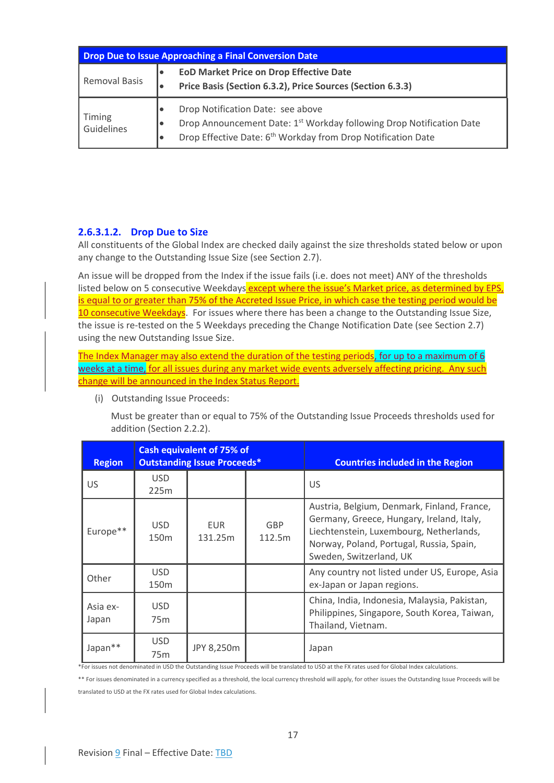| <b>Drop Due to Issue Approaching a Final Conversion Date</b> |                                                                                                                                                                                                                                          |  |  |
|--------------------------------------------------------------|------------------------------------------------------------------------------------------------------------------------------------------------------------------------------------------------------------------------------------------|--|--|
| Removal Basis                                                | <b>EOD Market Price on Drop Effective Date</b><br>$\bullet$<br>Price Basis (Section 6.3.2), Price Sources (Section 6.3.3)<br>٠                                                                                                           |  |  |
| Timing<br>Guidelines                                         | Drop Notification Date: see above<br>$\bullet$<br>Drop Announcement Date: 1 <sup>st</sup> Workday following Drop Notification Date<br>$\bullet$<br>Drop Effective Date: 6 <sup>th</sup> Workday from Drop Notification Date<br>$\bullet$ |  |  |

### <span id="page-17-0"></span>**2.6.3.1.2. Drop Due to Size**

All constituents of the Global Index are checked daily against the size thresholds stated below or upon any change to the Outstanding Issue Size (see Sectio[n 2.7\)](#page-24-0).

An issue will be dropped from the Index if the issue fails (i.e. does not meet) ANY of the thresholds listed below on 5 consecutive Weekdays except where the issue's Market price, as determined by EPS, is equal to or greater than 75% of the Accreted Issue Price, in which case the testing period would be 10 consecutive Weekdays. For issues where there has been a change to the Outstanding Issue Size, the issue is re-tested on the 5 Weekdays preceding the Change Notification Date (see Section [2.7\)](#page-24-0) using the new Outstanding Issue Size.

The Index Manager may also extend the duration of the testing periods, for up to a maximum of 6 weeks at a time, for all issues during any market wide events adversely affecting pricing. Any such change will be announced in the Index Status Report.

(i) Outstanding Issue Proceeds:

Must be greater than or equal to 75% of the Outstanding Issue Proceeds thresholds used for addition (Sectio[n 2.2.2\)](#page-9-0).

| <b>Region</b>     |                                | <b>Cash equivalent of 75% of</b><br><b>Outstanding Issue Proceeds*</b> |               | <b>Countries included in the Region</b>                                                                                                                                                                    |
|-------------------|--------------------------------|------------------------------------------------------------------------|---------------|------------------------------------------------------------------------------------------------------------------------------------------------------------------------------------------------------------|
| US                | <b>USD</b><br>225m             |                                                                        |               | US                                                                                                                                                                                                         |
| Europe**          | <b>USD</b><br>150 <sub>m</sub> | EUR.<br>131.25m                                                        | GBP<br>112.5m | Austria, Belgium, Denmark, Finland, France,<br>Germany, Greece, Hungary, Ireland, Italy,<br>Liechtenstein, Luxembourg, Netherlands,<br>Norway, Poland, Portugal, Russia, Spain,<br>Sweden, Switzerland, UK |
| Other             | <b>USD</b><br>150 <sub>m</sub> |                                                                        |               | Any country not listed under US, Europe, Asia<br>ex-Japan or Japan regions.                                                                                                                                |
| Asia ex-<br>Japan | <b>USD</b><br>75 <sub>m</sub>  |                                                                        |               | China, India, Indonesia, Malaysia, Pakistan,<br>Philippines, Singapore, South Korea, Taiwan,<br>Thailand, Vietnam.                                                                                         |
| Japan**           | <b>USD</b><br>75 <sub>m</sub>  | JPY 8,250m                                                             |               | Japan                                                                                                                                                                                                      |

\*For issues not denominated in USD the Outstanding Issue Proceeds will be translated to USD at the FX rates used for Global Index calculations.

\*\* For issues denominated in a currency specified as a threshold, the local currency threshold will apply, for other issues the Outstanding Issue Proceeds will be translated to USD at the FX rates used for Global Index calculations.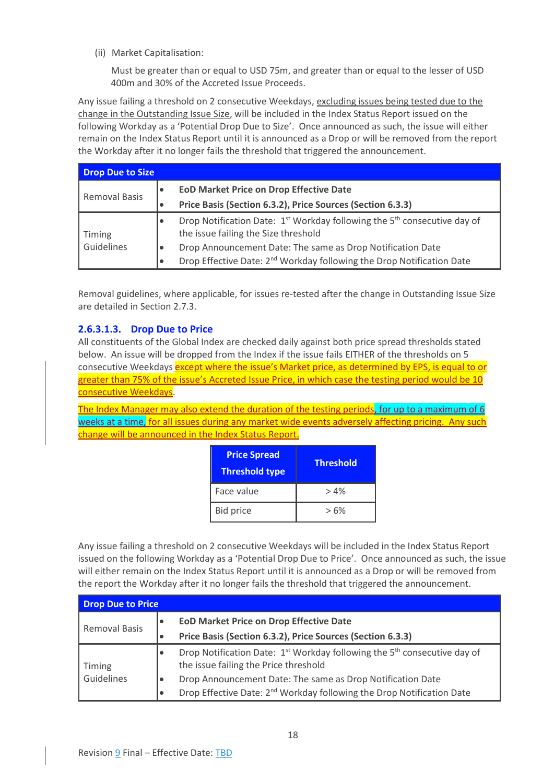<span id="page-18-0"></span>(ii) Market Capitalisation:

Must be greater than or equal to USD 75m, and greater than or equal to the lesser of USD 400m and 30% of the Accreted Issue Proceeds.

Any issue failing a threshold on 2 consecutive Weekdays, excluding issues being tested due to the change in the Outstanding Issue Size, will be included in the Index Status Report issued on the following Workday as a 'Potential Drop Due to Size'. Once announced as such, the issue will either remain on the Index Status Report until it is announced as a Drop or will be removed from the report the Workday after it no longer fails the threshold that triggered the announcement.

| <b>Drop Due to Size</b>    |           |                                                                                                                                          |  |
|----------------------------|-----------|------------------------------------------------------------------------------------------------------------------------------------------|--|
|                            | l e       | <b>EOD Market Price on Drop Effective Date</b>                                                                                           |  |
| <b>Removal Basis</b><br>I۰ |           | Price Basis (Section 6.3.2), Price Sources (Section 6.3.3)                                                                               |  |
| <b>Timing</b>              |           | Drop Notification Date: 1 <sup>st</sup> Workday following the 5 <sup>th</sup> consecutive day of<br>the issue failing the Size threshold |  |
| Guidelines                 |           | Drop Announcement Date: The same as Drop Notification Date                                                                               |  |
|                            | $\bullet$ | Drop Effective Date: 2 <sup>nd</sup> Workday following the Drop Notification Date                                                        |  |

Removal guidelines, where applicable, for issues re-tested after the change in Outstanding Issue Size are detailed in Sectio[n 2.7.3.](#page-24-3)

## <span id="page-18-1"></span>**2.6.3.1.3. Drop Due to Price**

All constituents of the Global Index are checked daily against both price spread thresholds stated below. An issue will be dropped from the Index if the issue fails EITHER of the thresholds on 5 consecutive Weekdays except where the issue's Market price, as determined by EPS, is equal to or greater than 75% of the issue's Accreted Issue Price, in which case the testing period would be 10 consecutive Weekdays.

The Index Manager may also extend the duration of the testing periods, for up to a maximum of 6 weeks at a time, for all issues during any market wide events adversely affecting pricing. Any such change will be announced in the Index Status Report.

| <b>Price Spread</b><br><b>Threshold type</b> | <b>Threshold</b> |
|----------------------------------------------|------------------|
| Face value                                   | >4%              |
| <b>Bid price</b>                             | $>6\%$           |

Any issue failing a threshold on 2 consecutive Weekdays will be included in the Index Status Report issued on the following Workday as a 'Potential Drop Due to Price'. Once announced as such, the issue will either remain on the Index Status Report until it is announced as a Drop or will be removed from the report the Workday after it no longer fails the threshold that triggered the announcement.

| Drop Due to Price    |                                                                                                                                                |  |  |
|----------------------|------------------------------------------------------------------------------------------------------------------------------------------------|--|--|
| <b>Removal Basis</b> | <b>EOD Market Price on Drop Effective Date</b><br>$\bullet$<br>Price Basis (Section 6.3.2), Price Sources (Section 6.3.3)<br>٠                 |  |  |
| Timing               | Drop Notification Date: 1 <sup>st</sup> Workday following the 5 <sup>th</sup> consecutive day of<br>٠<br>the issue failing the Price threshold |  |  |
| Guidelines           | Drop Announcement Date: The same as Drop Notification Date<br>$\bullet$                                                                        |  |  |
|                      | Drop Effective Date: 2 <sup>nd</sup> Workday following the Drop Notification Date<br>٠                                                         |  |  |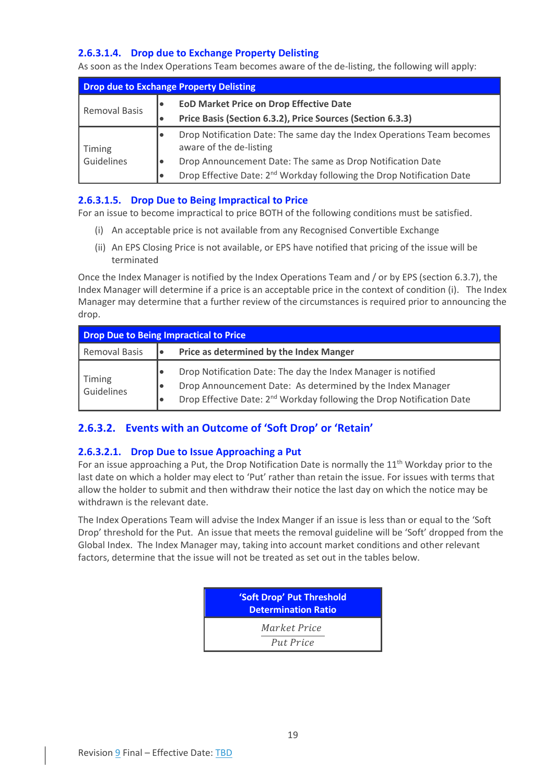## <span id="page-19-1"></span>**2.6.3.1.4. Drop due to Exchange Property Delisting**

As soon as the Index Operations Team becomes aware of the de-listing, the following will apply:

| <b>Drop due to Exchange Property Delisting</b> |                                                                                                   |  |  |
|------------------------------------------------|---------------------------------------------------------------------------------------------------|--|--|
| <b>Removal Basis</b>                           | <b>EoD Market Price on Drop Effective Date</b>                                                    |  |  |
|                                                | Price Basis (Section 6.3.2), Price Sources (Section 6.3.3)                                        |  |  |
| Timing                                         | Drop Notification Date: The same day the Index Operations Team becomes<br>aware of the de-listing |  |  |
| Guidelines                                     | Drop Announcement Date: The same as Drop Notification Date                                        |  |  |
|                                                | Drop Effective Date: 2 <sup>nd</sup> Workday following the Drop Notification Date<br>lo           |  |  |

### <span id="page-19-2"></span>**2.6.3.1.5. Drop Due to Being Impractical to Price**

For an issue to become impractical to price BOTH of the following conditions must be satisfied.

- (i) An acceptable price is not available from any Recognised Convertible Exchange
- (ii) An EPS Closing Price is not available, or EPS have notified that pricing of the issue will be terminated

Once the Index Manager is notified by the Index Operations Team and / or by EPS (section [6.3.7\)](#page-54-3), the Index Manager will determine if a price is an acceptable price in the context of condition (i). The Index Manager may determine that a further review of the circumstances is required prior to announcing the drop.

| Drop Due to Being Impractical to Price |                                                                                                                                                                                                                                     |  |  |
|----------------------------------------|-------------------------------------------------------------------------------------------------------------------------------------------------------------------------------------------------------------------------------------|--|--|
| <b>Removal Basis</b>                   | Price as determined by the Index Manger                                                                                                                                                                                             |  |  |
| Timing<br>Guidelines                   | Drop Notification Date: The day the Index Manager is notified<br>10<br>Drop Announcement Date: As determined by the Index Manager<br>, ●<br>Drop Effective Date: 2 <sup>nd</sup> Workday following the Drop Notification Date<br>10 |  |  |

## <span id="page-19-0"></span>**2.6.3.2. Events with an Outcome of 'Soft Drop' or 'Retain'**

### <span id="page-19-3"></span>**2.6.3.2.1. Drop Due to Issue Approaching a Put**

For an issue approaching a Put, the Drop Notification Date is normally the  $11<sup>th</sup>$  Workday prior to the last date on which a holder may elect to 'Put' rather than retain the issue. For issues with terms that allow the holder to submit and then withdraw their notice the last day on which the notice may be withdrawn is the relevant date.

The Index Operations Team will advise the Index Manger if an issue is less than or equal to the 'Soft Drop' threshold for the Put. An issue that meets the removal guideline will be 'Soft' dropped from the Global Index. The Index Manager may, taking into account market conditions and other relevant factors, determine that the issue will not be treated as set out in the tables below.

| 'Soft Drop' Put Threshold<br><b>Determination Ratio</b> |
|---------------------------------------------------------|
| Market Price<br>Put Price                               |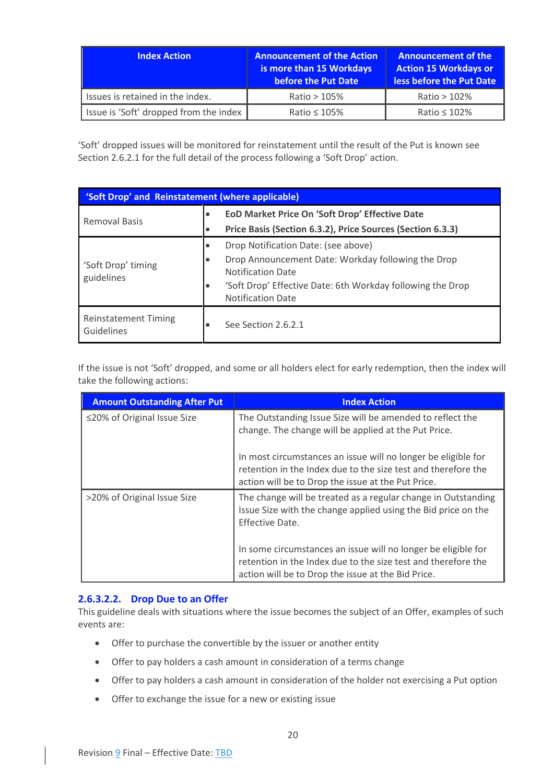| <b>Index Action</b>                    | <b>Announcement of the Action</b><br>is more than 15 Workdays<br>before the Put Date | <b>Announcement of the</b><br><b>Action 15 Workdays or</b><br>less before the Put Date |
|----------------------------------------|--------------------------------------------------------------------------------------|----------------------------------------------------------------------------------------|
| Issues is retained in the index.       | Ratio $>105\%$                                                                       | Ratio $>102\%$                                                                         |
| Issue is 'Soft' dropped from the index | Ratio $\leq 105\%$                                                                   | Ratio ≤ 102%                                                                           |

'Soft' dropped issues will be monitored for reinstatement until the result of the Put is known see Sectio[n 2.6.2.1](#page-14-3) for the full detail of the process following a 'Soft Drop' action.

| 'Soft Drop' and Reinstatement (where applicable) |   |                                                                                        |  |  |
|--------------------------------------------------|---|----------------------------------------------------------------------------------------|--|--|
| <b>Removal Basis</b>                             |   | EoD Market Price On 'Soft Drop' Effective Date                                         |  |  |
|                                                  |   | Price Basis (Section 6.3.2), Price Sources (Section 6.3.3)                             |  |  |
|                                                  | ٠ | Drop Notification Date: (see above)                                                    |  |  |
| 'Soft Drop' timing<br>guidelines                 |   | Drop Announcement Date: Workday following the Drop<br><b>Notification Date</b>         |  |  |
|                                                  |   | 'Soft Drop' Effective Date: 6th Workday following the Drop<br><b>Notification Date</b> |  |  |
| <b>Reinstatement Timing</b><br>Guidelines        |   | See Section 2.6.2.1                                                                    |  |  |

If the issue is not 'Soft' dropped, and some or all holders elect for early redemption, then the index will take the following actions:

| <b>Amount Outstanding After Put</b> | <b>Index Action</b>                                                                                                                                                                  |
|-------------------------------------|--------------------------------------------------------------------------------------------------------------------------------------------------------------------------------------|
| ≤20% of Original Issue Size         | The Outstanding Issue Size will be amended to reflect the<br>change. The change will be applied at the Put Price.                                                                    |
|                                     | In most circumstances an issue will no longer be eligible for<br>retention in the Index due to the size test and therefore the<br>action will be to Drop the issue at the Put Price. |
| >20% of Original Issue Size         | The change will be treated as a regular change in Outstanding<br>Issue Size with the change applied using the Bid price on the<br>Effective Date.                                    |
|                                     | In some circumstances an issue will no longer be eligible for<br>retention in the Index due to the size test and therefore the<br>action will be to Drop the issue at the Bid Price. |

### <span id="page-20-0"></span>**2.6.3.2.2. Drop Due to an Offer**

This guideline deals with situations where the issue becomes the subject of an Offer, examples of such events are:

- Offer to purchase the convertible by the issuer or another entity
- Offer to pay holders a cash amount in consideration of a terms change
- Offer to pay holders a cash amount in consideration of the holder not exercising a Put option
- Offer to exchange the issue for a new or existing issue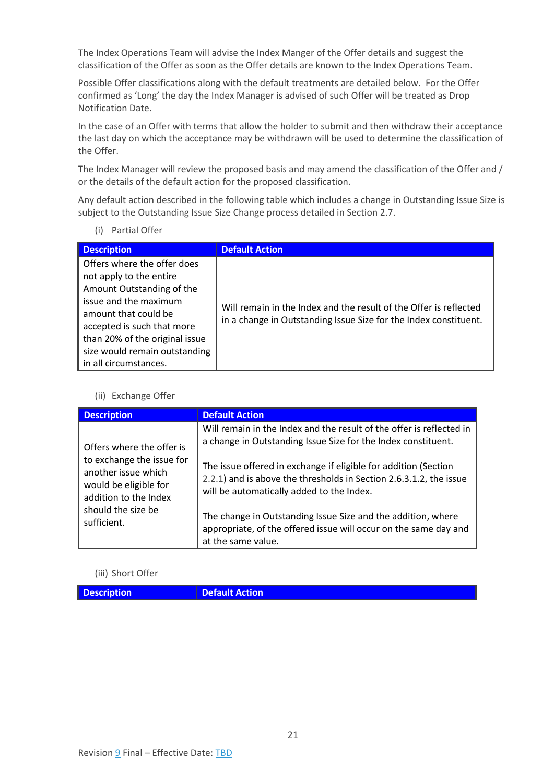The Index Operations Team will advise the Index Manger of the Offer details and suggest the classification of the Offer as soon as the Offer details are known to the Index Operations Team.

Possible Offer classifications along with the default treatments are detailed below. For the Offer confirmed as 'Long' the day the Index Manager is advised of such Offer will be treated as Drop Notification Date.

In the case of an Offer with terms that allow the holder to submit and then withdraw their acceptance the last day on which the acceptance may be withdrawn will be used to determine the classification of the Offer.

The Index Manager will review the proposed basis and may amend the classification of the Offer and / or the details of the default action for the proposed classification.

Any default action described in the following table which includes a change in Outstanding Issue Size is subject to the Outstanding Issue Size Change process detailed in Sectio[n 2.7.](#page-24-0)

(i) Partial Offer

| <b>Description</b>                                                                                                                                                                                                                                             | <b>Default Action</b>                                                                                                                 |
|----------------------------------------------------------------------------------------------------------------------------------------------------------------------------------------------------------------------------------------------------------------|---------------------------------------------------------------------------------------------------------------------------------------|
| Offers where the offer does<br>not apply to the entire<br>Amount Outstanding of the<br>issue and the maximum<br>amount that could be<br>accepted is such that more<br>than 20% of the original issue<br>size would remain outstanding<br>in all circumstances. | Will remain in the Index and the result of the Offer is reflected<br>in a change in Outstanding Issue Size for the Index constituent. |

#### (ii) Exchange Offer

| <b>Description</b>                                                                                 | <b>Default Action</b>                                                                                                                                                              |
|----------------------------------------------------------------------------------------------------|------------------------------------------------------------------------------------------------------------------------------------------------------------------------------------|
| Offers where the offer is                                                                          | Will remain in the Index and the result of the offer is reflected in<br>a change in Outstanding Issue Size for the Index constituent.                                              |
| to exchange the issue for<br>another issue which<br>would be eligible for<br>addition to the Index | The issue offered in exchange if eligible for addition (Section<br>2.2.1) and is above the thresholds in Section 2.6.3.1.2, the issue<br>will be automatically added to the Index. |
| should the size be<br>sufficient.                                                                  | The change in Outstanding Issue Size and the addition, where<br>appropriate, of the offered issue will occur on the same day and<br>at the same value.                             |

### (iii) Short Offer

**Description Default Action**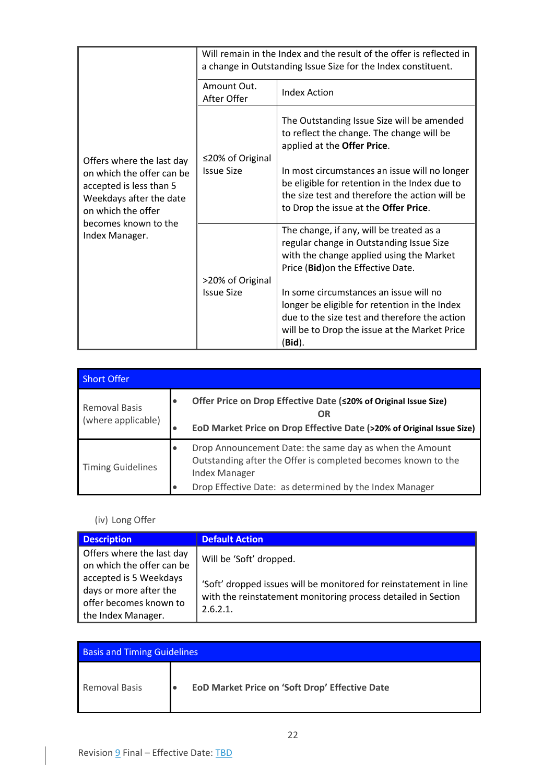|                                                                                                                                    |                            | Will remain in the Index and the result of the offer is reflected in<br>a change in Outstanding Issue Size for the Index constituent.                                                               |
|------------------------------------------------------------------------------------------------------------------------------------|----------------------------|-----------------------------------------------------------------------------------------------------------------------------------------------------------------------------------------------------|
|                                                                                                                                    | Amount Out.<br>After Offer | <b>Index Action</b>                                                                                                                                                                                 |
|                                                                                                                                    | ≤20% of Original           | The Outstanding Issue Size will be amended<br>to reflect the change. The change will be<br>applied at the Offer Price.                                                                              |
| Offers where the last day<br>on which the offer can be<br>accepted is less than 5<br>Weekdays after the date<br>on which the offer | <b>Issue Size</b>          | In most circumstances an issue will no longer<br>be eligible for retention in the Index due to<br>the size test and therefore the action will be<br>to Drop the issue at the Offer Price.           |
| becomes known to the<br>Index Manager.                                                                                             | >20% of Original           | The change, if any, will be treated as a<br>regular change in Outstanding Issue Size<br>with the change applied using the Market<br>Price (Bid) on the Effective Date.                              |
|                                                                                                                                    | <b>Issue Size</b>          | In some circumstances an issue will no<br>longer be eligible for retention in the Index<br>due to the size test and therefore the action<br>will be to Drop the issue at the Market Price<br>(Bid). |

| <b>Short Offer</b>                         |                        |                                                                                                                                                                                                             |
|--------------------------------------------|------------------------|-------------------------------------------------------------------------------------------------------------------------------------------------------------------------------------------------------------|
| <b>Removal Basis</b><br>(where applicable) | $\bullet$              | Offer Price on Drop Effective Date (<20% of Original Issue Size)<br><b>OR</b><br>EoD Market Price on Drop Effective Date (>20% of Original Issue Size)                                                      |
| <b>Timing Guidelines</b>                   | $\bullet$<br>$\bullet$ | Drop Announcement Date: the same day as when the Amount<br>Outstanding after the Offer is completed becomes known to the<br><b>Index Manager</b><br>Drop Effective Date: as determined by the Index Manager |

## (iv) Long Offer

| <b>Description</b>                                                                               | <b>Default Action</b>                                                                                                                         |
|--------------------------------------------------------------------------------------------------|-----------------------------------------------------------------------------------------------------------------------------------------------|
| Offers where the last day<br>on which the offer can be                                           | Will be 'Soft' dropped.                                                                                                                       |
| accepted is 5 Weekdays<br>days or more after the<br>offer becomes known to<br>the Index Manager. | 'Soft' dropped issues will be monitored for reinstatement in line<br>with the reinstatement monitoring process detailed in Section<br>2.6.2.1 |

| <b>Basis and Timing Guidelines</b> |  |                                                |
|------------------------------------|--|------------------------------------------------|
| <b>Removal Basis</b>               |  | EoD Market Price on 'Soft Drop' Effective Date |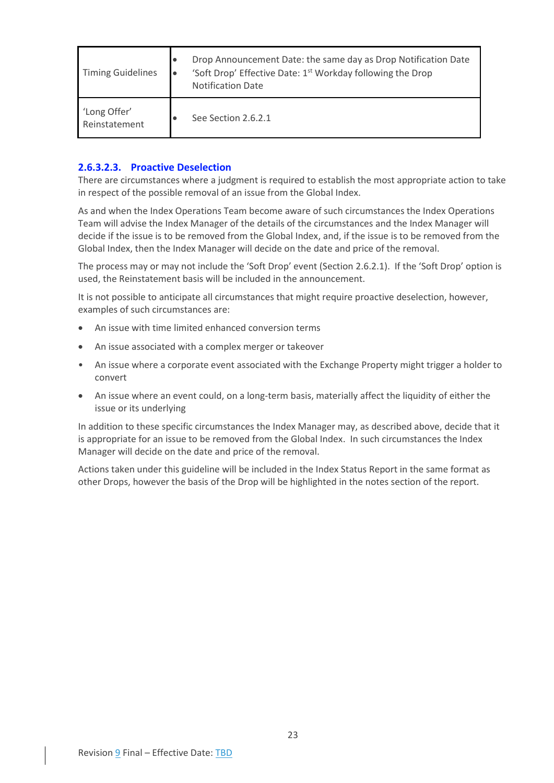| <b>Timing Guidelines</b>      | Drop Announcement Date: the same day as Drop Notification Date<br>'Soft Drop' Effective Date: 1 <sup>st</sup> Workday following the Drop<br><b>Notification Date</b> |
|-------------------------------|----------------------------------------------------------------------------------------------------------------------------------------------------------------------|
| 'Long Offer'<br>Reinstatement | See Section 2.6.2.1                                                                                                                                                  |

### <span id="page-23-0"></span>**2.6.3.2.3. Proactive Deselection**

There are circumstances where a judgment is required to establish the most appropriate action to take in respect of the possible removal of an issue from the Global Index.

As and when the Index Operations Team become aware of such circumstances the Index Operations Team will advise the Index Manager of the details of the circumstances and the Index Manager will decide if the issue is to be removed from the Global Index, and, if the issue is to be removed from the Global Index, then the Index Manager will decide on the date and price of the removal.

The process may or may not include the 'Soft Drop' event (Section [2.6.2.1](#page-14-3)). If the 'Soft Drop' option is used, the Reinstatement basis will be included in the announcement.

It is not possible to anticipate all circumstances that might require proactive deselection, however, examples of such circumstances are:

- An issue with time limited enhanced conversion terms
- An issue associated with a complex merger or takeover
- An issue where a corporate event associated with the Exchange Property might trigger a holder to convert
- An issue where an event could, on a long-term basis, materially affect the liquidity of either the issue or its underlying

In addition to these specific circumstances the Index Manager may, as described above, decide that it is appropriate for an issue to be removed from the Global Index. In such circumstances the Index Manager will decide on the date and price of the removal.

Actions taken under this guideline will be included in the Index Status Report in the same format as other Drops, however the basis of the Drop will be highlighted in the notes section of the report.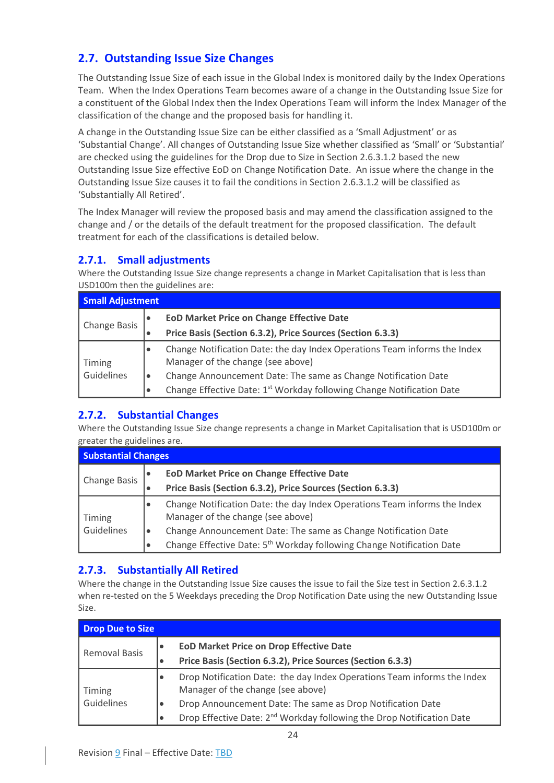## <span id="page-24-0"></span>**2.7. Outstanding Issue Size Changes**

The Outstanding Issue Size of each issue in the Global Index is monitored daily by the Index Operations Team. When the Index Operations Team becomes aware of a change in the Outstanding Issue Size for a constituent of the Global Index then the Index Operations Team will inform the Index Manager of the classification of the change and the proposed basis for handling it.

A change in the Outstanding Issue Size can be either classified as a 'Small Adjustment' or as 'Substantial Change'. All changes of Outstanding Issue Size whether classified as 'Small' or 'Substantial' are checked using the guidelines for the Drop due to Size in Section [2.6.3.1.2](#page-17-0) based the new Outstanding Issue Size effective EoD on Change Notification Date. An issue where the change in the Outstanding Issue Size causes it to fail the conditions in Sectio[n 2.6.3.1.2](#page-17-0) will be classified as 'Substantially All Retired'.

The Index Manager will review the proposed basis and may amend the classification assigned to the change and / or the details of the default treatment for the proposed classification. The default treatment for each of the classifications is detailed below.

## <span id="page-24-1"></span>**2.7.1. Small adjustments**

Where the Outstanding Issue Size change represents a change in Market Capitalisation that is less than USD100m then the guidelines are:

| <b>Small Adjustment</b> |                                                                                                                             |  |  |  |  |
|-------------------------|-----------------------------------------------------------------------------------------------------------------------------|--|--|--|--|
| <b>Change Basis</b>     | <b>EOD Market Price on Change Effective Date</b><br>٠                                                                       |  |  |  |  |
|                         | Price Basis (Section 6.3.2), Price Sources (Section 6.3.3)<br>٠                                                             |  |  |  |  |
| Timing<br>Guidelines    | Change Notification Date: the day Index Operations Team informs the Index<br>$\bullet$<br>Manager of the change (see above) |  |  |  |  |
|                         | Change Announcement Date: The same as Change Notification Date<br>$\bullet$                                                 |  |  |  |  |
|                         | Change Effective Date: 1 <sup>st</sup> Workday following Change Notification Date<br>$\bullet$                              |  |  |  |  |

## <span id="page-24-2"></span>**2.7.2. Substantial Changes**

Where the Outstanding Issue Size change represents a change in Market Capitalisation that is USD100m or greater the guidelines are.

| <b>Substantial Changes</b> |                                                                                                                |  |  |  |  |
|----------------------------|----------------------------------------------------------------------------------------------------------------|--|--|--|--|
| <b>Change Basis</b>        | <b>EOD Market Price on Change Effective Date</b><br>Price Basis (Section 6.3.2), Price Sources (Section 6.3.3) |  |  |  |  |
| Timing<br>Guidelines       | Change Notification Date: the day Index Operations Team informs the Index<br>Manager of the change (see above) |  |  |  |  |
|                            | Change Announcement Date: The same as Change Notification Date<br>l O                                          |  |  |  |  |
|                            | Change Effective Date: 5 <sup>th</sup> Workday following Change Notification Date<br>$\bullet$                 |  |  |  |  |

## <span id="page-24-3"></span>**2.7.3. Substantially All Retired**

Where the change in the Outstanding Issue Size causes the issue to fail the Size test in Sectio[n 2.6.3.1.2](#page-17-0) when re-tested on the 5 Weekdays preceding the Drop Notification Date using the new Outstanding Issue Size.

| Drop Due to Size     |     |                                                                                                              |  |  |  |
|----------------------|-----|--------------------------------------------------------------------------------------------------------------|--|--|--|
| <b>Removal Basis</b> | l e | <b>EOD Market Price on Drop Effective Date</b>                                                               |  |  |  |
|                      | l e | Price Basis (Section 6.3.2), Price Sources (Section 6.3.3)                                                   |  |  |  |
| Timing               |     | Drop Notification Date: the day Index Operations Team informs the Index<br>Manager of the change (see above) |  |  |  |
| Guidelines           |     | Drop Announcement Date: The same as Drop Notification Date                                                   |  |  |  |
|                      | l e | Drop Effective Date: 2 <sup>nd</sup> Workday following the Drop Notification Date                            |  |  |  |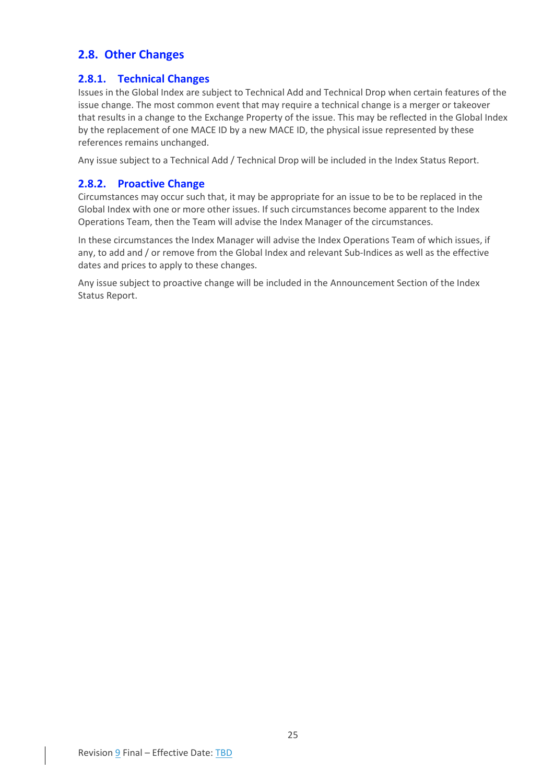## <span id="page-25-0"></span>**2.8. Other Changes**

## <span id="page-25-1"></span>**2.8.1. Technical Changes**

Issues in the Global Index are subject to Technical Add and Technical Drop when certain features of the issue change. The most common event that may require a technical change is a merger or takeover that results in a change to the Exchange Property of the issue. This may be reflected in the Global Index by the replacement of one MACE ID by a new MACE ID, the physical issue represented by these references remains unchanged.

Any issue subject to a Technical Add / Technical Drop will be included in the Index Status Report.

### <span id="page-25-2"></span>**2.8.2. Proactive Change**

Circumstances may occur such that, it may be appropriate for an issue to be to be replaced in the Global Index with one or more other issues. If such circumstances become apparent to the Index Operations Team, then the Team will advise the Index Manager of the circumstances.

In these circumstances the Index Manager will advise the Index Operations Team of which issues, if any, to add and / or remove from the Global Index and relevant Sub-Indices as well as the effective dates and prices to apply to these changes.

Any issue subject to proactive change will be included in the Announcement Section of the Index Status Report.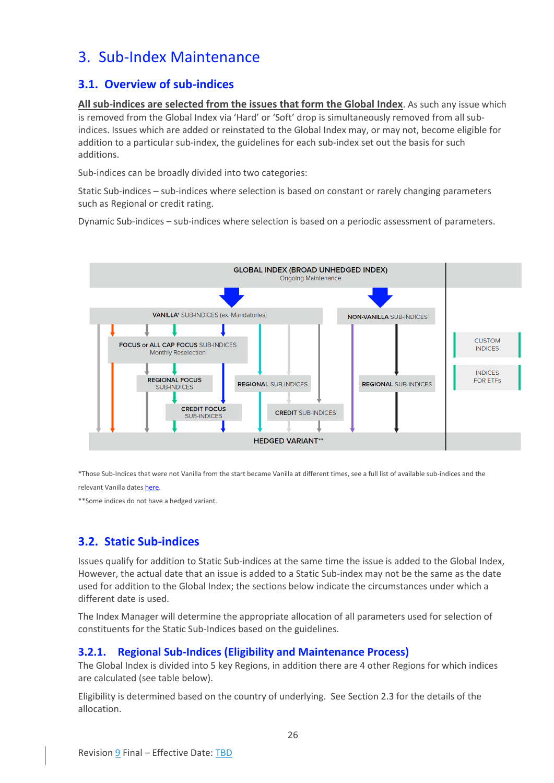## <span id="page-26-0"></span>3. Sub-Index Maintenance

## <span id="page-26-1"></span>**3.1. Overview of sub-indices**

**All sub-indices are selected from the issues that form the Global Index**. As such any issue which is removed from the Global Index via 'Hard' or 'Soft' drop is simultaneously removed from all subindices. Issues which are added or reinstated to the Global Index may, or may not, become eligible for addition to a particular sub-index, the guidelines for each sub-index set out the basis for such additions.

Sub-indices can be broadly divided into two categories:

Static Sub-indices – sub-indices where selection is based on constant or rarely changing parameters such as Regional or credit rating.

Dynamic Sub-indices – sub-indices where selection is based on a periodic assessment of parameters.



\*Those Sub-Indices that were not Vanilla from the start became Vanilla at different times, see a full list of available sub-indices and the relevant Vanilla dates [here.](https://www.refinitiv.com/content/dam/marketing/en_us/documents/fact-sheets/convertible-bond-indices-from-refinitiv.pdf) 

\*\*Some indices do not have a hedged variant.

## <span id="page-26-2"></span>**3.2. Static Sub-indices**

Issues qualify for addition to Static Sub-indices at the same time the issue is added to the Global Index, However, the actual date that an issue is added to a Static Sub-index may not be the same as the date used for addition to the Global Index; the sections below indicate the circumstances under which a different date is used.

The Index Manager will determine the appropriate allocation of all parameters used for selection of constituents for the Static Sub-Indices based on the guidelines.

### <span id="page-26-3"></span>**3.2.1. Regional Sub-Indices (Eligibility and Maintenance Process)**

The Global Index is divided into 5 key Regions, in addition there are 4 other Regions for which indices are calculated (see table below).

Eligibility is determined based on the country of underlying. See Sectio[n 2.3](#page-10-2) for the details of the allocation.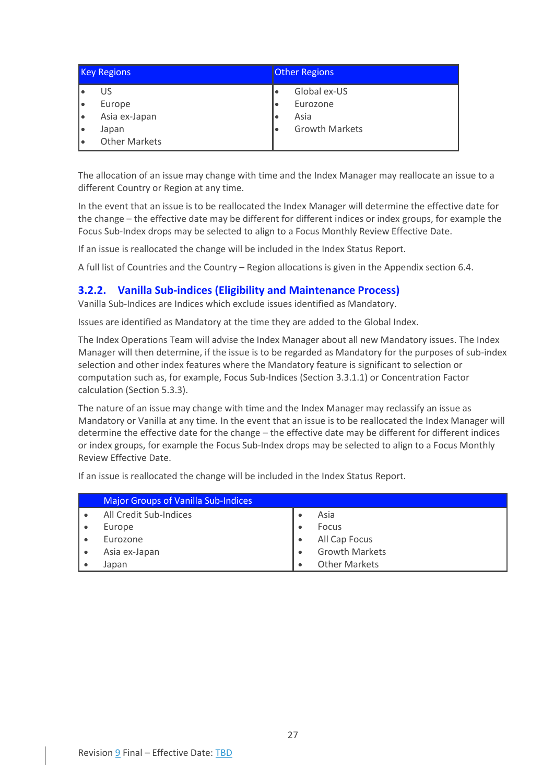| <b>Key Regions</b> |                      | <b>Other Regions</b>  |  |
|--------------------|----------------------|-----------------------|--|
|                    | US                   | Global ex-US          |  |
|                    | Europe               | Eurozone              |  |
|                    | Asia ex-Japan        | Asia                  |  |
|                    | Japan                | <b>Growth Markets</b> |  |
|                    | <b>Other Markets</b> |                       |  |

The allocation of an issue may change with time and the Index Manager may reallocate an issue to a different Country or Region at any time.

In the event that an issue is to be reallocated the Index Manager will determine the effective date for the change – the effective date may be different for different indices or index groups, for example the Focus Sub-Index drops may be selected to align to a Focus Monthly Review Effective Date.

If an issue is reallocated the change will be included in the Index Status Report.

A full list of Countries and the Country – Region allocations is given in the Appendix sectio[n 6.4.](#page-54-4)

### <span id="page-27-0"></span>**3.2.2. Vanilla Sub-indices (Eligibility and Maintenance Process)**

Vanilla Sub-Indices are Indices which exclude issues identified as Mandatory.

Issues are identified as Mandatory at the time they are added to the Global Index.

The Index Operations Team will advise the Index Manager about all new Mandatory issues. The Index Manager will then determine, if the issue is to be regarded as Mandatory for the purposes of sub-index selection and other index features where the Mandatory feature is significant to selection or computation such as, for example, Focus Sub-Indices (Section [3.3.1.1\)](#page-30-2) or Concentration Factor calculation (Sectio[n 5.3.3\)](#page-44-0).

The nature of an issue may change with time and the Index Manager may reclassify an issue as Mandatory or Vanilla at any time. In the event that an issue is to be reallocated the Index Manager will determine the effective date for the change – the effective date may be different for different indices or index groups, for example the Focus Sub-Index drops may be selected to align to a Focus Monthly Review Effective Date.

If an issue is reallocated the change will be included in the Index Status Report.

| <b>Major Groups of Vanilla Sub-Indices</b> |  |                       |  |  |
|--------------------------------------------|--|-----------------------|--|--|
| All Credit Sub-Indices                     |  | Asia                  |  |  |
| Europe                                     |  | <b>Focus</b>          |  |  |
| Eurozone                                   |  | All Cap Focus         |  |  |
| Asia ex-Japan                              |  | <b>Growth Markets</b> |  |  |
| Japan                                      |  | <b>Other Markets</b>  |  |  |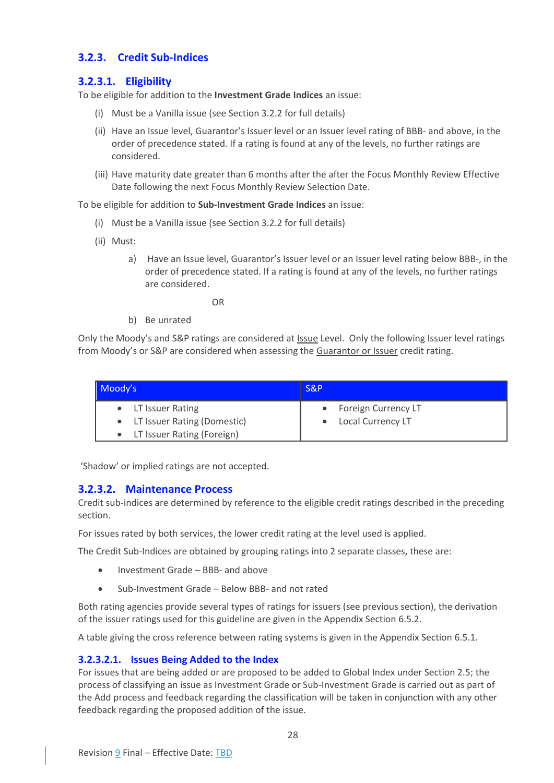## <span id="page-28-0"></span>**3.2.3. Credit Sub-Indices**

## <span id="page-28-1"></span>**3.2.3.1. Eligibility**

To be eligible for addition to the **Investment Grade Indices** an issue:

- (i) Must be a Vanilla issue (see Section [3.2.2](#page-27-0) for full details)
- (ii) Have an Issue level, Guarantor's Issuer level or an Issuer level rating of BBB- and above, in the order of precedence stated. If a rating is found at any of the levels, no further ratings are considered.
- (iii) Have maturity date greater than 6 months after the after the Focus Monthly Review Effective Date following the next Focus Monthly Review Selection Date.

To be eligible for addition to **Sub-Investment Grade Indices** an issue:

- (i) Must be a Vanilla issue (see Section [3.2.2](#page-27-0) for full details)
- (ii) Must:
	- a) Have an Issue level, Guarantor's Issuer level or an Issuer level rating below BBB-, in the order of precedence stated. If a rating is found at any of the levels, no further ratings are considered.

OR

b) Be unrated

Only the Moody's and S&P ratings are considered at **Issue Level.** Only the following Issuer level ratings from Moody's or S&P are considered when assessing the Guarantor or Issuer credit rating.

| Moody's                       | S&P                   |  |  |
|-------------------------------|-----------------------|--|--|
| • LT Issuer Rating            | • Foreign Currency LT |  |  |
| • LT Issuer Rating (Domestic) | • Local Currency LT   |  |  |
| • LT Issuer Rating (Foreign)  |                       |  |  |

'Shadow' or implied ratings are not accepted.

### <span id="page-28-2"></span>**3.2.3.2. Maintenance Process**

Credit sub-indices are determined by reference to the eligible credit ratings described in the preceding section.

For issues rated by both services, the lower credit rating at the level used is applied.

The Credit Sub-Indices are obtained by grouping ratings into 2 separate classes, these are:

- Investment Grade BBB- and above
- Sub-Investment Grade Below BBB- and not rated

Both rating agencies provide several types of ratings for issuers (see previous section), the derivation of the issuer ratings used for this guideline are given in the Appendix Section [6.5.2.](#page-58-0)

A table giving the cross reference between rating systems is given in the Appendix Section [6.5.1.](#page-57-1)

### **3.2.3.2.1. Issues Being Added to the Index**

For issues that are being added or are proposed to be added to Global Index under Section 2.5; the process of classifying an issue as Investment Grade or Sub-Investment Grade is carried out as part of the Add process and feedback regarding the classification will be taken in conjunction with any other feedback regarding the proposed addition of the issue.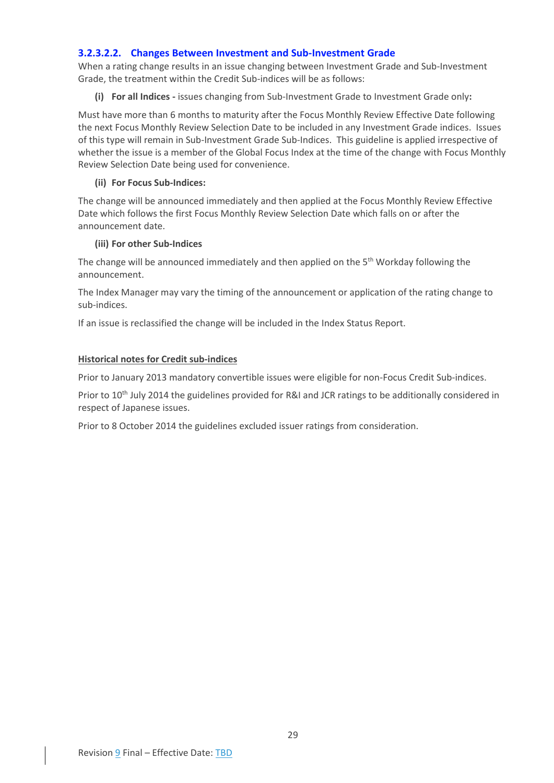#### **3.2.3.2.2. Changes Between Investment and Sub-Investment Grade**

When a rating change results in an issue changing between Investment Grade and Sub-Investment Grade, the treatment within the Credit Sub-indices will be as follows:

**(i) For all Indices -** issues changing from Sub-Investment Grade to Investment Grade only**:**

Must have more than 6 months to maturity after the Focus Monthly Review Effective Date following the next Focus Monthly Review Selection Date to be included in any Investment Grade indices. Issues of this type will remain in Sub-Investment Grade Sub-Indices. This guideline is applied irrespective of whether the issue is a member of the Global Focus Index at the time of the change with Focus Monthly Review Selection Date being used for convenience.

#### **(ii) For Focus Sub-Indices:**

The change will be announced immediately and then applied at the Focus Monthly Review Effective Date which follows the first Focus Monthly Review Selection Date which falls on or after the announcement date.

#### **(iii) For other Sub-Indices**

The change will be announced immediately and then applied on the 5<sup>th</sup> Workday following the announcement.

The Index Manager may vary the timing of the announcement or application of the rating change to sub-indices.

If an issue is reclassified the change will be included in the Index Status Report.

#### **Historical notes for Credit sub-indices**

Prior to January 2013 mandatory convertible issues were eligible for non-Focus Credit Sub-indices.

Prior to 10<sup>th</sup> July 2014 the guidelines provided for R&I and JCR ratings to be additionally considered in respect of Japanese issues.

Prior to 8 October 2014 the guidelines excluded issuer ratings from consideration.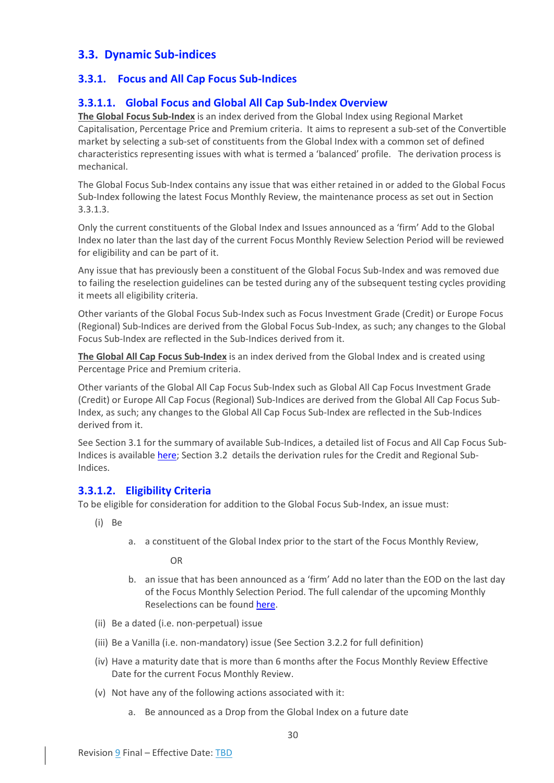## <span id="page-30-0"></span>**3.3. Dynamic Sub-indices**

## <span id="page-30-1"></span>**3.3.1. Focus and All Cap Focus Sub-Indices**

## <span id="page-30-2"></span>**3.3.1.1. Global Focus and Global All Cap Sub-Index Overview**

**The Global Focus Sub-Index** is an index derived from the Global Index using Regional Market Capitalisation, Percentage Price and Premium criteria. It aims to represent a sub-set of the Convertible market by selecting a sub-set of constituents from the Global Index with a common set of defined characteristics representing issues with what is termed a 'balanced' profile. The derivation process is mechanical.

The Global Focus Sub-Index contains any issue that was either retained in or added to the Global Focus Sub-Index following the latest Focus Monthly Review, the maintenance process as set out in Section 3.3.1.3.

Only the current constituents of the Global Index and Issues announced as a 'firm' Add to the Global Index no later than the last day of the current Focus Monthly Review Selection Period will be reviewed for eligibility and can be part of it.

Any issue that has previously been a constituent of the Global Focus Sub-Index and was removed due to failing the reselection guidelines can be tested during any of the subsequent testing cycles providing it meets all eligibility criteria.

Other variants of the Global Focus Sub-Index such as Focus Investment Grade (Credit) or Europe Focus (Regional) Sub-Indices are derived from the Global Focus Sub-Index, as such; any changes to the Global Focus Sub-Index are reflected in the Sub-Indices derived from it.

**The Global All Cap Focus Sub-Index** is an index derived from the Global Index and is created using Percentage Price and Premium criteria.

Other variants of the Global All Cap Focus Sub-Index such as Global All Cap Focus Investment Grade (Credit) or Europe All Cap Focus (Regional) Sub-Indices are derived from the Global All Cap Focus Sub-Index, as such; any changes to the Global All Cap Focus Sub-Index are reflected in the Sub-Indices derived from it.

See Section [3.1](#page-26-1) for the summary of available Sub-Indices, a detailed list of Focus and All Cap Focus SubIndices is available [here;](https://www.refinitiv.com/content/dam/marketing/en_us/documents/fact-sheets/convertible-bond-indices-from-refinitiv.pdf) Sectio[n 3.2](#page-26-2) details the derivation rules for the Credit and Regional Sub-Indices.

### <span id="page-30-3"></span>**3.3.1.2. Eligibility Criteria**

To be eligible for consideration for addition to the Global Focus Sub-Index, an issue must:

- (i) Be
- a. a constituent of the Global Index prior to the start of the Focus Monthly Review,

OR

- b. an issue that has been announced as a 'firm' Add no later than the EOD on the last day of the Focus Monthly Selection Period. The full calendar of the upcoming Monthly Reselections can be found [here.](https://www.refinitiv.com/content/dam/marketing/en_us/documents/methodology/convertible-indices-calendar.pdf)
- (ii) Be a dated (i.e. non-perpetual) issue
- (iii) Be a Vanilla (i.e. non-mandatory) issue (See Sectio[n 3.2.2](#page-27-0) for full definition)
- (iv) Have a maturity date that is more than 6 months after the Focus Monthly Review Effective Date for the current Focus Monthly Review.
- (v) Not have any of the following actions associated with it:
	- a. Be announced as a Drop from the Global Index on a future date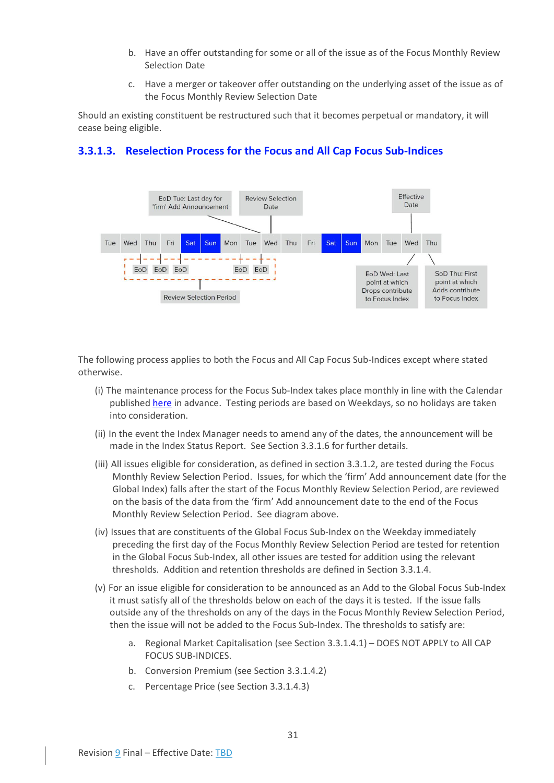- b. Have an offer outstanding for some or all of the issue as of the Focus Monthly Review Selection Date
- c. Have a merger or takeover offer outstanding on the underlying asset of the issue as of the Focus Monthly Review Selection Date

Should an existing constituent be restructured such that it becomes perpetual or mandatory, it will cease being eligible.



## <span id="page-31-0"></span>**3.3.1.3. Reselection Process for the Focus and All Cap Focus Sub-Indices**

The following process applies to both the Focus and All Cap Focus Sub-Indices except where stated otherwise.

- (i) The maintenance process for the Focus Sub-Index takes place monthly in line with the Calendar published [here](https://www.refinitiv.com/content/dam/marketing/en_us/documents/methodology/convertible-indices-calendar.pdf) in advance. Testing periods are based on Weekdays, so no holidays are taken into consideration.
- (ii) In the event the Index Manager needs to amend any of the dates, the announcement will be made in the Index Status Report. See Sectio[n 3.3.1.6](#page-34-1) for further details.
- (iii) All issues eligible for consideration, as defined in section [3.3.1.2,](#page-30-3) are tested during the Focus Monthly Review Selection Period. Issues, for which the 'firm' Add announcement date (for the Global Index) falls after the start of the Focus Monthly Review Selection Period, are reviewed on the basis of the data from the 'firm' Add announcement date to the end of the Focus Monthly Review Selection Period. See diagram above.
- (iv) Issues that are constituents of the Global Focus Sub-Index on the Weekday immediately preceding the first day of the Focus Monthly Review Selection Period are tested for retention in the Global Focus Sub-Index, all other issues are tested for addition using the relevant thresholds. Addition and retention thresholds are defined in Section [3.3.1.4.](#page-32-0)
- (v) For an issue eligible for consideration to be announced as an Add to the Global Focus Sub-Index it must satisfy all of the thresholds below on each of the days it is tested. If the issue falls outside any of the thresholds on any of the days in the Focus Monthly Review Selection Period, then the issue will not be added to the Focus Sub-Index. The thresholds to satisfy are:
	- a. Regional Market Capitalisation (see Section [3.3.1.4.1\)](#page-32-1) DOES NOT APPLY to All CAP FOCUS SUB-INDICES.
	- b. Conversion Premium (see Sectio[n 3.3.1.4.2\)](#page-33-0)
	- c. Percentage Price (see Section [3.3.1.4.3\)](#page-33-1)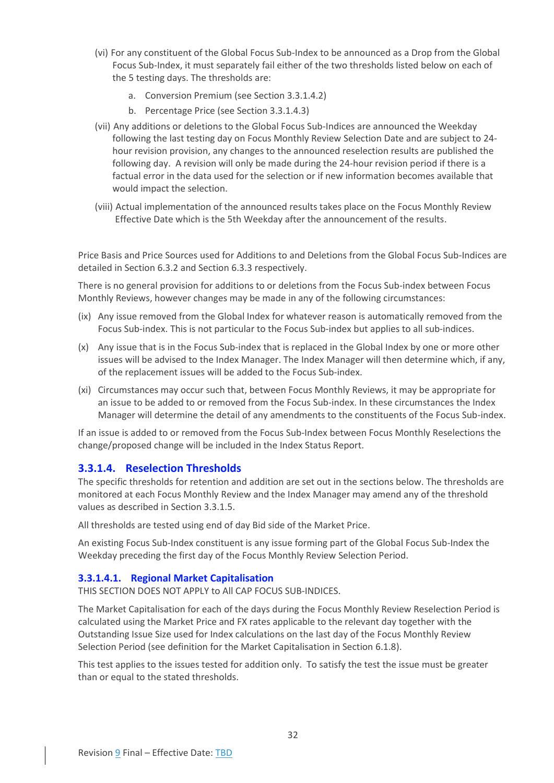- (vi) For any constituent of the Global Focus Sub-Index to be announced as a Drop from the Global Focus Sub-Index, it must separately fail either of the two thresholds listed below on each of the 5 testing days. The thresholds are:
	- a. Conversion Premium (see Sectio[n 3.3.1.4.2\)](#page-33-0)
	- b. Percentage Price (see Section 3.3.1.4.3)
- (vii) Any additions or deletions to the Global Focus Sub-Indices are announced the Weekday following the last testing day on Focus Monthly Review Selection Date and are subject to 24 hour revision provision, any changes to the announced reselection results are published the following day. A revision will only be made during the 24-hour revision period if there is a factual error in the data used for the selection or if new information becomes available that would impact the selection.
- (viii) Actual implementation of the announced results takes place on the Focus Monthly Review Effective Date which is the 5th Weekday after the announcement of the results.

Price Basis and Price Sources used for Additions to and Deletions from the Global Focus Sub-Indices are detailed in Section [6.3.2](#page-51-8) and Section [6.3.3](#page-52-0) respectively.

There is no general provision for additions to or deletions from the Focus Sub-index between Focus Monthly Reviews, however changes may be made in any of the following circumstances:

- (ix) Any issue removed from the Global Index for whatever reason is automatically removed from the Focus Sub-index. This is not particular to the Focus Sub-index but applies to all sub-indices.
- (x) Any issue that is in the Focus Sub-index that is replaced in the Global Index by one or more other issues will be advised to the Index Manager. The Index Manager will then determine which, if any, of the replacement issues will be added to the Focus Sub-index.
- (xi) Circumstances may occur such that, between Focus Monthly Reviews, it may be appropriate for an issue to be added to or removed from the Focus Sub-index. In these circumstances the Index Manager will determine the detail of any amendments to the constituents of the Focus Sub-index.

If an issue is added to or removed from the Focus Sub-Index between Focus Monthly Reselections the change/proposed change will be included in the Index Status Report.

### <span id="page-32-0"></span>**3.3.1.4. Reselection Thresholds**

The specific thresholds for retention and addition are set out in the sections below. The thresholds are monitored at each Focus Monthly Review and the Index Manager may amend any of the threshold values as described in Section [3.3.1.5.](#page-34-0)

All thresholds are tested using end of day Bid side of the Market Price.

An existing Focus Sub-Index constituent is any issue forming part of the Global Focus Sub-Index the Weekday preceding the first day of the Focus Monthly Review Selection Period.

#### <span id="page-32-1"></span>**3.3.1.4.1. Regional Market Capitalisation**

THIS SECTION DOES NOT APPLY to All CAP FOCUS SUB-INDICES.

The Market Capitalisation for each of the days during the Focus Monthly Review Reselection Period is calculated using the Market Price and FX rates applicable to the relevant day together with the Outstanding Issue Size used for Index calculations on the last day of the Focus Monthly Review Selection Period (see definition for the Market Capitalisation in Sectio[n 6.1.8\)](#page-48-1).

This test applies to the issues tested for addition only. To satisfy the test the issue must be greater than or equal to the stated thresholds.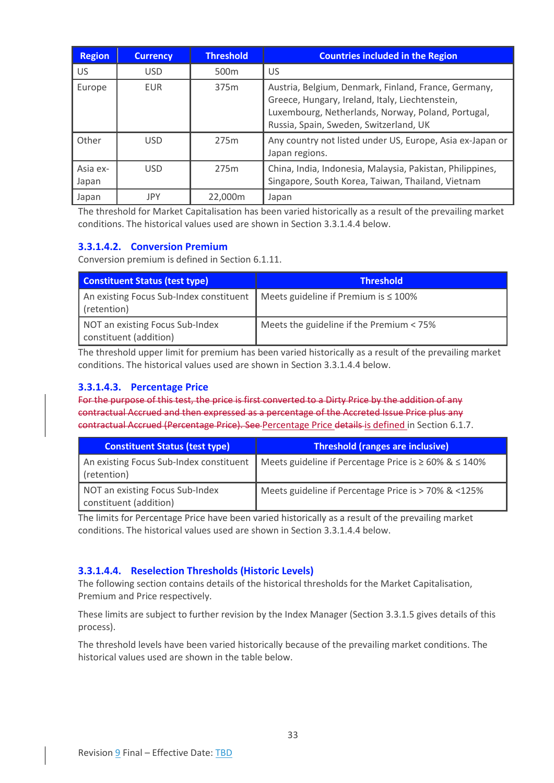| <b>Region</b>     | <b>Currency</b> | <b>Threshold</b> | <b>Countries included in the Region</b>                                                                                                                                                                 |
|-------------------|-----------------|------------------|---------------------------------------------------------------------------------------------------------------------------------------------------------------------------------------------------------|
| US.               | <b>USD</b>      | 500 <sub>m</sub> | US                                                                                                                                                                                                      |
| Europe            | <b>EUR</b>      | 375 <sub>m</sub> | Austria, Belgium, Denmark, Finland, France, Germany,<br>Greece, Hungary, Ireland, Italy, Liechtenstein,<br>Luxembourg, Netherlands, Norway, Poland, Portugal,<br>Russia, Spain, Sweden, Switzerland, UK |
| Other             | USD.            | 275m             | Any country not listed under US, Europe, Asia ex-Japan or<br>Japan regions.                                                                                                                             |
| Asia ex-<br>Japan | <b>USD</b>      | 275m             | China, India, Indonesia, Malaysia, Pakistan, Philippines,<br>Singapore, South Korea, Taiwan, Thailand, Vietnam                                                                                          |
| Japan             | <b>JPY</b>      | 22,000m          | Japan                                                                                                                                                                                                   |

The threshold for Market Capitalisation has been varied historically as a result of the prevailing market conditions. The historical values used are shown in Section [3.3.1.4.4](#page-33-2) below.

## <span id="page-33-0"></span>**3.3.1.4.2. Conversion Premium**

Conversion premium is defined in Section [6.1.11.](#page-49-2)

| <b>Constituent Status (test type)</b>                     | <b>Threshold</b>                           |
|-----------------------------------------------------------|--------------------------------------------|
| An existing Focus Sub-Index constituent<br>(retention)    | Meets guideline if Premium is $\leq 100\%$ |
| NOT an existing Focus Sub-Index<br>constituent (addition) | Meets the guideline if the Premium < 75%   |

The threshold upper limit for premium has been varied historically as a result of the prevailing market conditions. The historical values used are shown in Sectio[n 3.3.1.4.4](#page-33-2) below.

## <span id="page-33-1"></span>**3.3.1.4.3. Percentage Price**

For the purpose of this test, the price is first converted to a Dirty Price by the addition of any contractual Accrued and then expressed as a percentage of the Accreted Issue Price plus any contractual Accrued (Percentage Price). See Percentage Price details is defined in Section [6.1.7.](#page-48-0)

| <b>Constituent Status (test type)</b>                     | <b>Threshold (ranges are inclusive)</b>                           |
|-----------------------------------------------------------|-------------------------------------------------------------------|
| An existing Focus Sub-Index constituent<br>(retention)    | Meets guideline if Percentage Price is $\geq 60\%$ & $\leq 140\%$ |
| NOT an existing Focus Sub-Index<br>constituent (addition) | Meets guideline if Percentage Price is > 70% & <125%              |

The limits for Percentage Price have been varied historically as a result of the prevailing market conditions. The historical values used are shown in Section [3.3.1.4.4](#page-33-2) below.

### <span id="page-33-2"></span>**3.3.1.4.4. Reselection Thresholds (Historic Levels)**

The following section contains details of the historical thresholds for the Market Capitalisation, Premium and Price respectively.

These limits are subject to further revision by the Index Manager (Sectio[n 3.3.1.5](#page-34-0) gives details of this process).

The threshold levels have been varied historically because of the prevailing market conditions. The historical values used are shown in the table below.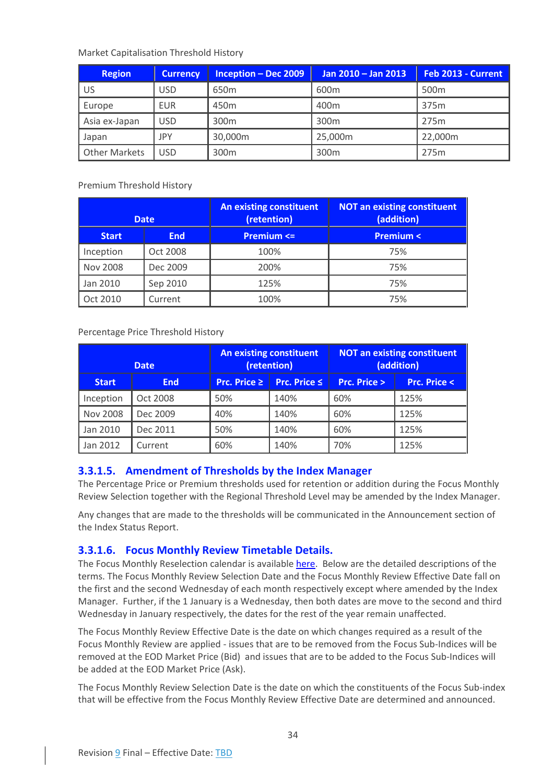#### Market Capitalisation Threshold History

| <b>Region</b>        | <b>Currency</b> | <b>Inception - Dec 2009</b> | Jan 2010 - Jan 2013 | Feb 2013 - Current |
|----------------------|-----------------|-----------------------------|---------------------|--------------------|
| US                   | USD             | 650 <sub>m</sub>            | 600 <sub>m</sub>    | 500 <sub>m</sub>   |
| Europe               | <b>EUR</b>      | 450 <sub>m</sub>            | 400 <sub>m</sub>    | 375m               |
| Asia ex-Japan        | USD             | 300 <sub>m</sub>            | 300 <sub>m</sub>    | 275m               |
| Japan                | JPY             | 30,000m                     | 25,000m             | 22,000m            |
| <b>Other Markets</b> | USD             | 300m                        | 300 <sub>m</sub>    | 275m               |

Premium Threshold History

| <b>Date</b>     |            | <b>An existing constituent</b><br>(retention) | <b>NOT an existing constituent</b><br>(addition) |  |
|-----------------|------------|-----------------------------------------------|--------------------------------------------------|--|
| <b>Start</b>    | <b>End</b> | <b>Premium &lt;=</b>                          | <b>Premium &lt;</b>                              |  |
| Inception       | Oct 2008   | 100%                                          | 75%                                              |  |
| <b>Nov 2008</b> | Dec 2009   | 200%                                          | 75%                                              |  |
| Jan 2010        | Sep 2010   | 125%                                          | 75%                                              |  |
| Oct 2010        | Current    | 100%                                          | 75%                                              |  |

Percentage Price Threshold History

| <b>Date</b>     |            |     | <b>An existing constituent</b><br>(retention) | <b>NOT an existing constituent</b><br>(addition) |                        |
|-----------------|------------|-----|-----------------------------------------------|--------------------------------------------------|------------------------|
| <b>Start</b>    | <b>End</b> |     | <b>Prc. Price <math>\leq</math></b>           | <b>Prc. Price &gt;</b>                           | <b>Prc. Price &lt;</b> |
| Inception       | Oct 2008   | 50% | 140%                                          | 60%                                              | 125%                   |
| <b>Nov 2008</b> | Dec 2009   | 40% | 140%                                          | 60%                                              | 125%                   |
| Jan 2010        | Dec 2011   | 50% | 140%                                          | 60%                                              | 125%                   |
| Jan 2012        | Current    | 60% | 140%                                          | 70%                                              | 125%                   |

## <span id="page-34-0"></span>**3.3.1.5. Amendment of Thresholds by the Index Manager**

The Percentage Price or Premium thresholds used for retention or addition during the Focus Monthly Review Selection together with the Regional Threshold Level may be amended by the Index Manager.

Any changes that are made to the thresholds will be communicated in the Announcement section of the Index Status Report.

## <span id="page-34-1"></span>**3.3.1.6. Focus Monthly Review Timetable Details.**

The Focus Monthly Reselection calendar is available [here.](https://www.refinitiv.com/content/dam/marketing/en_us/documents/methodology/convertible-indices-calendar.pdf) Below are the detailed descriptions of the terms. The Focus Monthly Review Selection Date and the Focus Monthly Review Effective Date fall on the first and the second Wednesday of each month respectively except where amended by the Index Manager. Further, if the 1 January is a Wednesday, then both dates are move to the second and third Wednesday in January respectively, the dates for the rest of the year remain unaffected.

The Focus Monthly Review Effective Date is the date on which changes required as a result of the Focus Monthly Review are applied - issues that are to be removed from the Focus Sub-Indices will be removed at the EOD Market Price (Bid) and issues that are to be added to the Focus Sub-Indices will be added at the EOD Market Price (Ask).

The Focus Monthly Review Selection Date is the date on which the constituents of the Focus Sub-index that will be effective from the Focus Monthly Review Effective Date are determined and announced.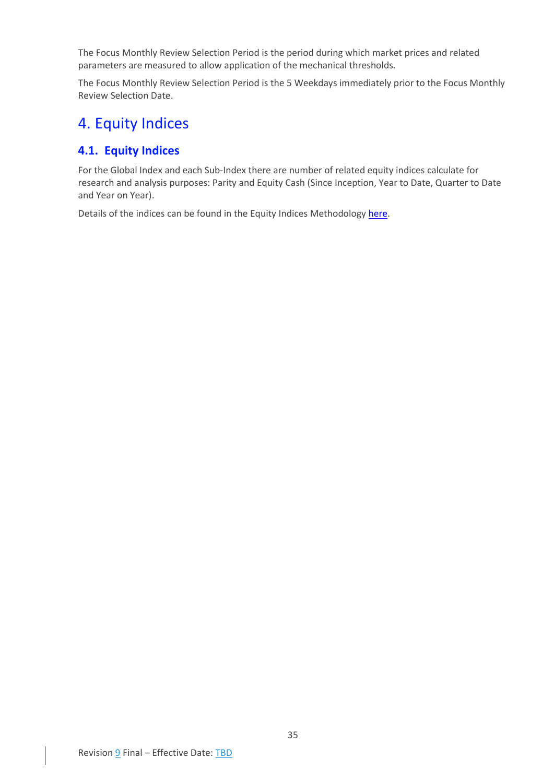The Focus Monthly Review Selection Period is the period during which market prices and related parameters are measured to allow application of the mechanical thresholds.

The Focus Monthly Review Selection Period is the 5 Weekdays immediately prior to the Focus Monthly Review Selection Date.

## <span id="page-35-0"></span>4. Equity Indices

## <span id="page-35-1"></span>**4.1. Equity Indices**

For the Global Index and each Sub-Index there are number of related equity indices calculate for research and analysis purposes: Parity and Equity Cash (Since Inception, Year to Date, Quarter to Date and Year on Year).

Details of the indices can be found in the Equity Indices Methodology [here.](https://www.refinitiv.com/en/financial-data/indices/convertible-indices)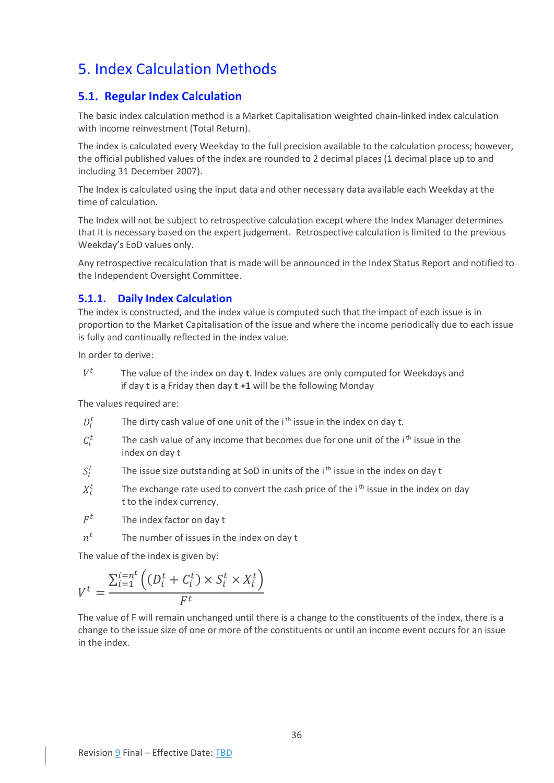## <span id="page-36-0"></span>5. Index Calculation Methods

## <span id="page-36-1"></span>**5.1. Regular Index Calculation**

The basic index calculation method is a Market Capitalisation weighted chain-linked index calculation with income reinvestment (Total Return).

The index is calculated every Weekday to the full precision available to the calculation process; however, the official published values of the index are rounded to 2 decimal places (1 decimal place up to and including 31 December 2007).

The Index is calculated using the input data and other necessary data available each Weekday at the time of calculation.

The Index will not be subject to retrospective calculation except where the Index Manager determines that it is necessary based on the expert judgement. Retrospective calculation is limited to the previous Weekday's EoD values only.

Any retrospective recalculation that is made will be announced in the Index Status Report and notified to the Independent Oversight Committee.

## <span id="page-36-2"></span>**5.1.1. Daily Index Calculation**

The index is constructed, and the index value is computed such that the impact of each issue is in proportion to the Market Capitalisation of the issue and where the income periodically due to each issue is fully and continually reflected in the index value.

In order to derive:

 $V^t$  The value of the index on day **t**. Index values are only computed for Weekdays and if day **t** is a Friday then day **t +1** will be the following Monday

The values required are:

- $D_i^t$ The dirty cash value of one unit of the  $i<sup>th</sup>$  issue in the index on day t.
- $C_i^t$ The cash value of any income that becomes due for one unit of the i<sup>th</sup> issue in the index on day t
- $S_i^t$ The issue size outstanding at SoD in units of the i<sup>th</sup> issue in the index on day t
- $X_i^t$ The exchange rate used to convert the cash price of the  $i<sup>th</sup>$  issue in the index on day t to the index currency.
- $F^t$ The index factor on day t
- $n^{t}$ The number of issues in the index on day t

The value of the index is given by:

$$
V^t = \frac{\sum_{i=1}^{i=n^t} \left( (D_i^t + C_i^t) \times S_i^t \times X_i^t \right)}{F^t}
$$

The value of F will remain unchanged until there is a change to the constituents of the index, there is a change to the issue size of one or more of the constituents or until an income event occurs for an issue in the index.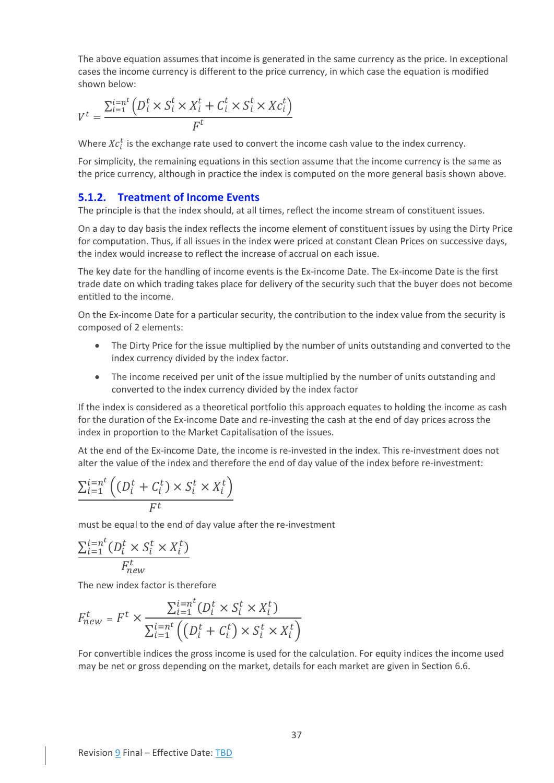The above equation assumes that income is generated in the same currency as the price. In exceptional cases the income currency is different to the price currency, in which case the equation is modified shown below:

$$
V^t = \frac{\sum_{i=1}^{i=n^t} \left( D_i^t \times S_i^t \times X_i^t + C_i^t \times S_i^t \times X_i^t \right)}{F^t}
$$

Where  $Xc_i^t$  is the exchange rate used to convert the income cash value to the index currency.

For simplicity, the remaining equations in this section assume that the income currency is the same as the price currency, although in practice the index is computed on the more general basis shown above.

#### <span id="page-37-0"></span>**5.1.2. Treatment of Income Events**

The principle is that the index should, at all times, reflect the income stream of constituent issues.

On a day to day basis the index reflects the income element of constituent issues by using the Dirty Price for computation. Thus, if all issues in the index were priced at constant Clean Prices on successive days, the index would increase to reflect the increase of accrual on each issue.

The key date for the handling of income events is the Ex-income Date. The Ex-income Date is the first trade date on which trading takes place for delivery of the security such that the buyer does not become entitled to the income.

On the Ex-income Date for a particular security, the contribution to the index value from the security is composed of 2 elements:

- The Dirty Price for the issue multiplied by the number of units outstanding and converted to the index currency divided by the index factor.
- The income received per unit of the issue multiplied by the number of units outstanding and converted to the index currency divided by the index factor

If the index is considered as a theoretical portfolio this approach equates to holding the income as cash for the duration of the Ex-income Date and re-investing the cash at the end of day prices across the index in proportion to the Market Capitalisation of the issues.

At the end of the Ex-income Date, the income is re-invested in the index. This re-investment does not alter the value of the index and therefore the end of day value of the index before re-investment:

$$
\frac{\sum_{i=1}^{i=n^t} \left( (D_i^t + C_i^t) \times S_i^t \times X_i^t \right)}{F^t}
$$

must be equal to the end of day value after the re-investment

$$
\frac{\sum_{i=1}^{i=n^t} (D_i^t \times S_i^t \times X_i^t)}{F_{new}^t}
$$

The new index factor is therefore

$$
F_{new}^t = F^t \times \frac{\sum_{i=1}^{i=n^t} (D_i^t \times S_i^t \times X_i^t)}{\sum_{i=1}^{i=n^t} \left( \left( D_i^t + C_i^t \right) \times S_i^t \times X_i^t \right)}
$$

For convertible indices the gross income is used for the calculation. For equity indices the income used may be net or gross depending on the market, details for each market are given in Section [6.6.](#page-58-1)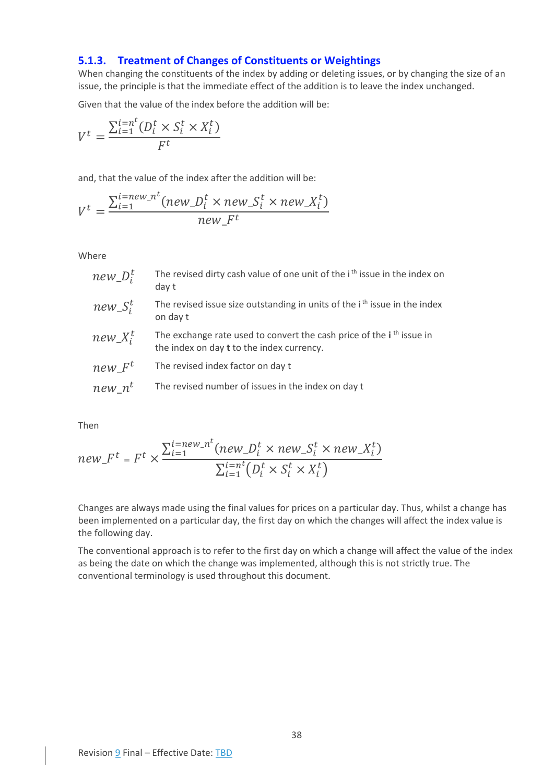### <span id="page-38-0"></span>**5.1.3. Treatment of Changes of Constituents or Weightings**

When changing the constituents of the index by adding or deleting issues, or by changing the size of an issue, the principle is that the immediate effect of the addition is to leave the index unchanged.

Given that the value of the index before the addition will be:

$$
V^t = \frac{\sum_{i=1}^{i=n^t} (D_i^t \times S_i^t \times X_i^t)}{F^t}
$$

 $\overline{a}$ 

and, that the value of the index after the addition will be:

$$
V^t = \frac{\sum_{i=1}^{i=new\_n^t} (new\_D_i^t \times new\_S_i^t \times new\_X_i^t)}{new\_F^t}
$$

Where

| $new\_D_i^t$      | The revised dirty cash value of one unit of the i <sup>th</sup> issue in the index on<br>day t                                       |
|-------------------|--------------------------------------------------------------------------------------------------------------------------------------|
| $new\_S_i^t$      | The revised issue size outstanding in units of the <i>i</i> <sup>th</sup> issue in the index<br>on day t                             |
| $new\_X_i^t$      | The exchange rate used to convert the cash price of the i <sup>th</sup> issue in<br>the index on day <b>t</b> to the index currency. |
| newF <sup>t</sup> | The revised index factor on day t                                                                                                    |
| $new\_n^t$        | The revised number of issues in the index on day t                                                                                   |

Then

$$
new_{\perp} F^t = F^t \times \frac{\sum_{i=1}^{i=new_{\perp} n^t} (new_{\perp} D_i^t \times new_{\perp} S_i^t \times new_{\perp} X_i^t)}{\sum_{i=1}^{i=n^t} (D_i^t \times S_i^t \times X_i^t)}
$$

Changes are always made using the final values for prices on a particular day. Thus, whilst a change has been implemented on a particular day, the first day on which the changes will affect the index value is the following day.

The conventional approach is to refer to the first day on which a change will affect the value of the index as being the date on which the change was implemented, although this is not strictly true. The conventional terminology is used throughout this document.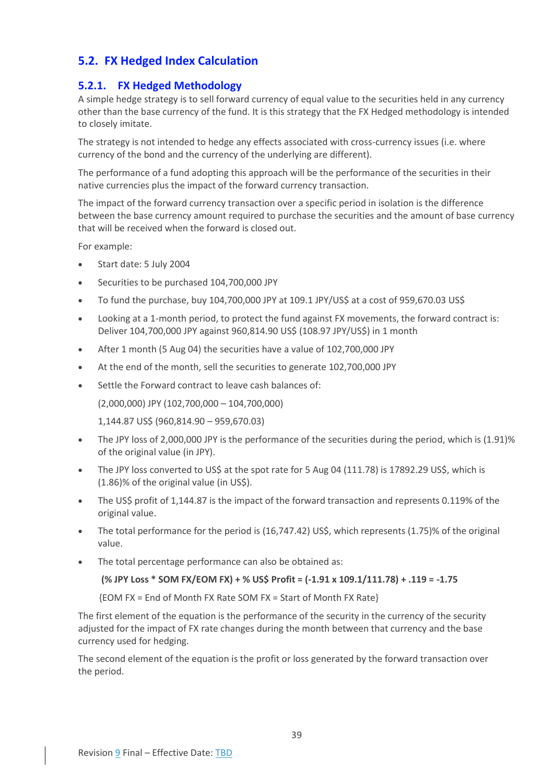## <span id="page-39-0"></span>**5.2. FX Hedged Index Calculation**

## <span id="page-39-1"></span>**5.2.1. FX Hedged Methodology**

A simple hedge strategy is to sell forward currency of equal value to the securities held in any currency other than the base currency of the fund. It is this strategy that the FX Hedged methodology is intended to closely imitate.

The strategy is not intended to hedge any effects associated with cross-currency issues (i.e. where currency of the bond and the currency of the underlying are different).

The performance of a fund adopting this approach will be the performance of the securities in their native currencies plus the impact of the forward currency transaction.

The impact of the forward currency transaction over a specific period in isolation is the difference between the base currency amount required to purchase the securities and the amount of base currency that will be received when the forward is closed out.

For example:

- Start date: 5 July 2004
- Securities to be purchased 104,700,000 JPY
- To fund the purchase, buy 104,700,000 JPY at 109.1 JPY/US\$ at a cost of 959,670.03 US\$
- Looking at a 1-month period, to protect the fund against FX movements, the forward contract is: Deliver 104,700,000 JPY against 960,814.90 US\$ (108.97 JPY/US\$) in 1 month
- After 1 month (5 Aug 04) the securities have a value of 102,700,000 JPY
- At the end of the month, sell the securities to generate 102,700,000 JPY
- Settle the Forward contract to leave cash balances of:

(2,000,000) JPY (102,700,000 – 104,700,000)

1,144.87 US\$ (960,814.90 – 959,670.03)

- The JPY loss of 2,000,000 JPY is the performance of the securities during the period, which is (1.91)% of the original value (in JPY).
- The JPY loss converted to US\$ at the spot rate for 5 Aug 04 (111.78) is 17892.29 US\$, which is (1.86)% of the original value (in US\$).
- The US\$ profit of 1,144.87 is the impact of the forward transaction and represents 0.119% of the original value.
- The total performance for the period is (16,747.42) US\$, which represents (1.75)% of the original value.
- The total percentage performance can also be obtained as:

**(% JPY Loss \* SOM FX/EOM FX) + % US\$ Profit = (-1.91 x 109.1/111.78) + .119 = -1.75**

{EOM FX = End of Month FX Rate SOM FX = Start of Month FX Rate}

The first element of the equation is the performance of the security in the currency of the security adjusted for the impact of FX rate changes during the month between that currency and the base currency used for hedging.

The second element of the equation is the profit or loss generated by the forward transaction over the period.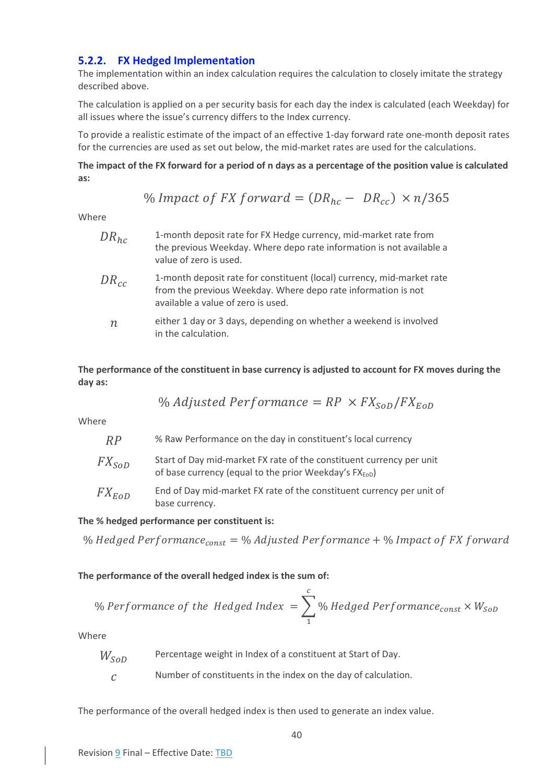## <span id="page-40-0"></span>**5.2.2. FX Hedged Implementation**

The implementation within an index calculation requires the calculation to closely imitate the strategy described above.

The calculation is applied on a per security basis for each day the index is calculated (each Weekday) for all issues where the issue's currency differs to the Index currency.

To provide a realistic estimate of the impact of an effective 1-day forward rate one-month deposit rates for the currencies are used as set out below, the mid-market rates are used for the calculations.

**The impact of the FX forward for a period of n days as a percentage of the position value is calculated as:**

% *Impact of FX forward* = 
$$
(DR_{hc} - DR_{cc}) \times n/365
$$

Where

| $DR_{hc}$        | 1-month deposit rate for FX Hedge currency, mid-market rate from<br>the previous Weekday. Where depo rate information is not available a<br>value of zero is used.            |
|------------------|-------------------------------------------------------------------------------------------------------------------------------------------------------------------------------|
| $DR_{cc}$        | 1-month deposit rate for constituent (local) currency, mid-market rate<br>from the previous Weekday. Where depo rate information is not<br>available a value of zero is used. |
| $\boldsymbol{n}$ | either 1 day or 3 days, depending on whether a weekend is involved<br>in the calculation.                                                                                     |

**The performance of the constituent in base currency is adjusted to account for FX moves during the day as:**

% Adjusted Performance = 
$$
RP \times FX_{SOD}/FX_{EOD}
$$

Where

| RP         | % Raw Performance on the day in constituent's local currency                                                                               |
|------------|--------------------------------------------------------------------------------------------------------------------------------------------|
| $FX_{SOD}$ | Start of Day mid-market FX rate of the constituent currency per unit<br>of base currency (equal to the prior Weekday's FX <sub>EOD</sub> ) |
| $FX_{EoD}$ | End of Day mid-market FX rate of the constituent currency per unit of<br>base currency.                                                    |

#### **The % hedged performance per constituent is:**

% Hedged Performance<sub>const</sub> = % Adjusted Performance + % Impact of FX forward

**The performance of the overall hedged index is the sum of:**

% Performance of the Hedged Index = 
$$
\sum_{1}^{c} \%
$$
 Hedge Performance<sub>const</sub> ×  $W_{SOD}$ 

Where

 $W_{SOD}$  Percentage weight in Index of a constituent at Start of Day.

 $c$  Number of constituents in the index on the day of calculation.

The performance of the overall hedged index is then used to generate an index value.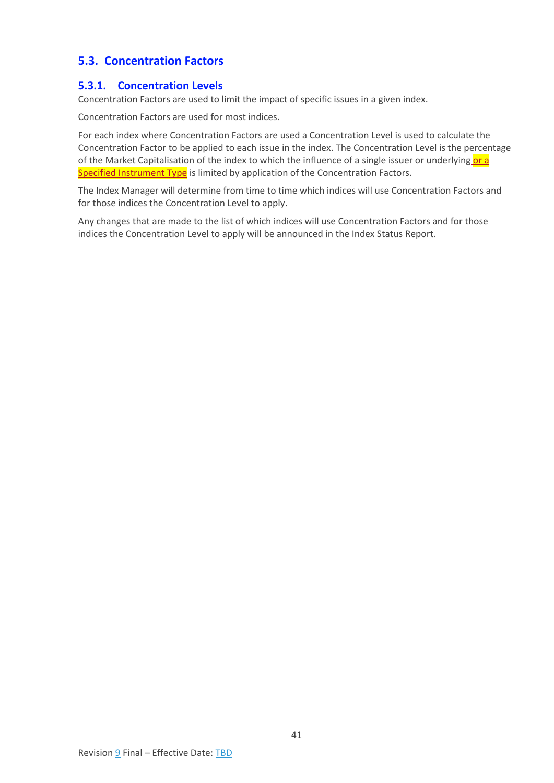## <span id="page-41-0"></span>**5.3. Concentration Factors**

### <span id="page-41-1"></span>**5.3.1. Concentration Levels**

Concentration Factors are used to limit the impact of specific issues in a given index.

Concentration Factors are used for most indices.

For each index where Concentration Factors are used a Concentration Level is used to calculate the Concentration Factor to be applied to each issue in the index. The Concentration Level is the percentage of the Market Capitalisation of the index to which the influence of a single issuer or underlying or a Specified Instrument Type is limited by application of the Concentration Factors.

The Index Manager will determine from time to time which indices will use Concentration Factors and for those indices the Concentration Level to apply.

Any changes that are made to the list of which indices will use Concentration Factors and for those indices the Concentration Level to apply will be announced in the Index Status Report.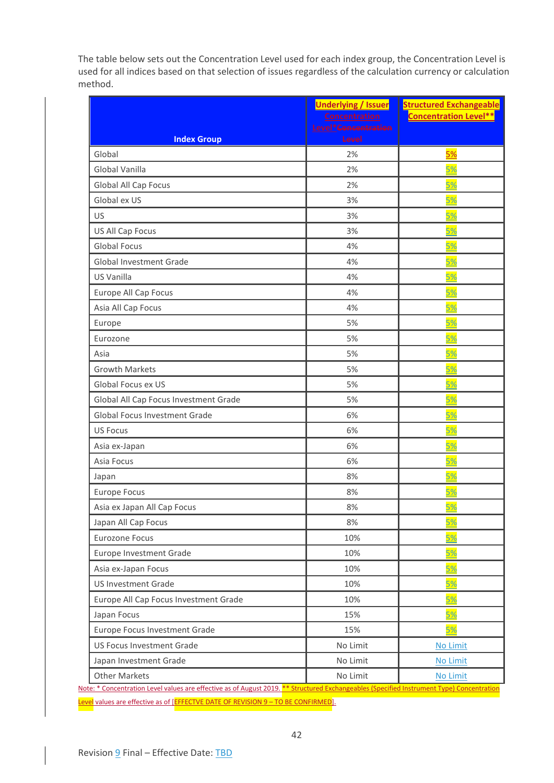The table below sets out the Concentration Level used for each index group, the Concentration Level is used for all indices based on that selection of issues regardless of the calculation currency or calculation method.

|                                       | <b>Underlying / Issuer</b><br><b>Concentration</b> | <b>Structured Exchangeable</b><br><b>Concentration Level**</b> |
|---------------------------------------|----------------------------------------------------|----------------------------------------------------------------|
|                                       | Level* <del>Concentration</del>                    |                                                                |
| <b>Index Group</b>                    | Level                                              |                                                                |
| Global                                | 2%                                                 | 5%                                                             |
| Global Vanilla                        | 2%                                                 | 5%                                                             |
| Global All Cap Focus                  | 2%                                                 | <u>5%</u>                                                      |
| Global ex US                          | 3%                                                 | <u>5%</u>                                                      |
| US                                    | 3%                                                 | 5%                                                             |
| US All Cap Focus                      | 3%                                                 | 5%                                                             |
| <b>Global Focus</b>                   | 4%                                                 | <u>5%</u>                                                      |
| <b>Global Investment Grade</b>        | 4%                                                 | 5%                                                             |
| US Vanilla                            | 4%                                                 | 5%                                                             |
| Europe All Cap Focus                  | 4%                                                 | 5%                                                             |
| Asia All Cap Focus                    | 4%                                                 | <u>5%</u>                                                      |
| Europe                                | 5%                                                 | 5%                                                             |
| Eurozone                              | 5%                                                 | 5%                                                             |
| Asia                                  | 5%                                                 | 5%                                                             |
| <b>Growth Markets</b>                 | 5%                                                 | <u>5%</u>                                                      |
| Global Focus ex US                    | 5%                                                 | 5%                                                             |
| Global All Cap Focus Investment Grade | 5%                                                 | 5%                                                             |
| Global Focus Investment Grade         | 6%                                                 | 5%                                                             |
| <b>US Focus</b>                       | 6%                                                 | <u>5%</u>                                                      |
| Asia ex-Japan                         | 6%                                                 | 5%                                                             |
| Asia Focus                            | 6%                                                 | <u>5%</u>                                                      |
| Japan                                 | 8%                                                 | 5%                                                             |
| <b>Europe Focus</b>                   | 8%                                                 | <u>5%</u>                                                      |
| Asia ex Japan All Cap Focus           | 8%                                                 | 5%                                                             |
| Japan All Cap Focus                   | 8%                                                 | <u>5%</u>                                                      |
| Eurozone Focus                        | 10%                                                | 5%                                                             |
| Europe Investment Grade               | 10%                                                | <u>5%</u>                                                      |
| Asia ex-Japan Focus                   | 10%                                                | 5%                                                             |
| <b>US Investment Grade</b>            | 10%                                                | 5%                                                             |
| Europe All Cap Focus Investment Grade | 10%                                                | <u>5%</u>                                                      |
| Japan Focus                           | 15%                                                | <u>5%</u>                                                      |
| Europe Focus Investment Grade         | 15%                                                | 5%                                                             |
| US Focus Investment Grade             | No Limit                                           | No Limit                                                       |
| Japan Investment Grade                | No Limit                                           | No Limit                                                       |
| Other Markets                         | No Limit                                           | No Limit                                                       |

Note: \* Concentration Level values are effective as of August 201 Level values are effective as of [EFFECTVE DATE OF REVISION 9 - TO BE CONFIRMED].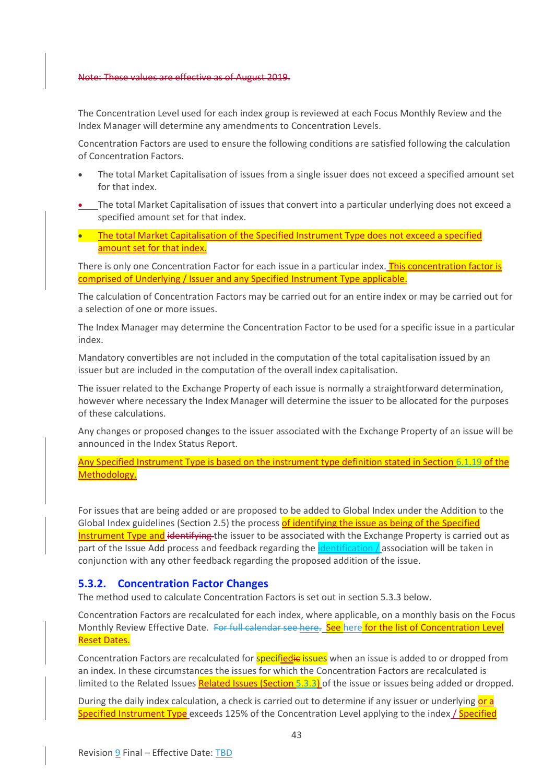#### Note: These values are effective as of August 2019.

The Concentration Level used for each index group is reviewed at each Focus Monthly Review and the Index Manager will determine any amendments to Concentration Levels.

Concentration Factors are used to ensure the following conditions are satisfied following the calculation of Concentration Factors.

- The total Market Capitalisation of issues from a single issuer does not exceed a specified amount set for that index.
- The total Market Capitalisation of issues that convert into a particular underlying does not exceed a specified amount set for that index.
- The total Market Capitalisation of the Specified Instrument Type does not exceed a specified amount set for that index.

There is only one Concentration Factor for each issue in a particular index. This concentration factor is comprised of Underlying / Issuer and any Specified Instrument Type applicable.

The calculation of Concentration Factors may be carried out for an entire index or may be carried out for a selection of one or more issues.

The Index Manager may determine the Concentration Factor to be used for a specific issue in a particular index.

Mandatory convertibles are not included in the computation of the total capitalisation issued by an issuer but are included in the computation of the overall index capitalisation.

The issuer related to the Exchange Property of each issue is normally a straightforward determination, however where necessary the Index Manager will determine the issuer to be allocated for the purposes of these calculations.

Any changes or proposed changes to the issuer associated with the Exchange Property of an issue will be announced in the Index Status Report.

Any Specified Instrument Type is based on the instrument type definition stated in Section [6.1.19](#page-50-6) of the Methodology.

For issues that are being added or are proposed to be added to Global Index under the Addition to the Global Index guidelines (Section [2.5\)](#page-12-0) the process of identifying the issue as being of the Specified Instrument Type and identifying the issuer to be associated with the Exchange Property is carried out as part of the Issue Add process and feedback regarding the *identification* association will be taken in conjunction with any other feedback regarding the proposed addition of the issue.

### <span id="page-43-0"></span>**5.3.2. Concentration Factor Changes**

The method used to calculate Concentration Factors is set out in section [5.3.3](#page-44-0) below.

Concentration Factors are recalculated for each index, where applicable, on a monthly basis on the Focus Monthly Review Effective Date. For full calendar see [here](https://www.refinitiv.com/content/dam/marketing/en_us/documents/methodology/convertible-indices-calendar.pdf). See here for the list of Concentration Level Reset Dates.

Concentration Factors are recalculated for **specifiedie issues** when an issue is added to or dropped from an index. In these circumstances the issues for which the Concentration Factors are recalculated is limited to the Related Issues Related Issues (Section [5.3.3\)](#page-44-0) of the issue or issues being added or dropped.

During the daily index calculation, a check is carried out to determine if any issuer or underlying or a Specified Instrument Type exceeds 125% of the Concentration Level applying to the index / Specified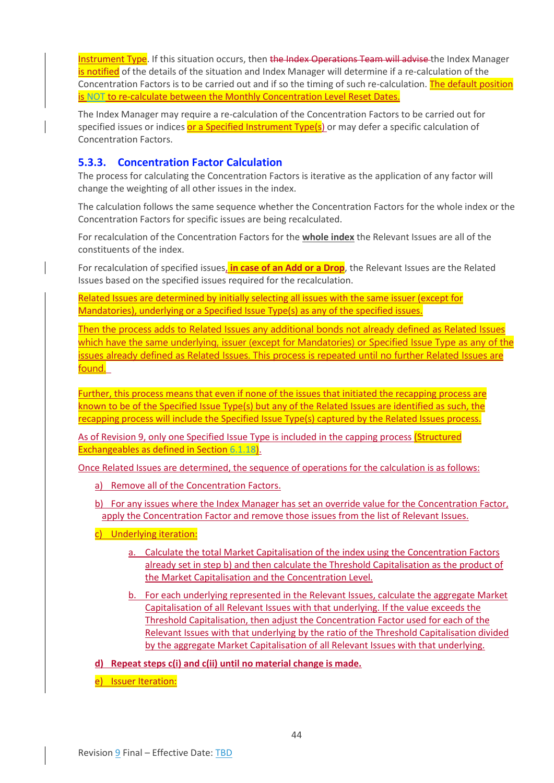Instrument Type. If this situation occurs, then the Index Operations Team will advise the Index Manager is notified of the details of the situation and Index Manager will determine if a re-calculation of the Concentration Factors is to be carried out and if so the timing of such re-calculation. The default position is NOT to re-calculate between the Monthly Concentration Level Reset Dates.

The Index Manager may require a re-calculation of the Concentration Factors to be carried out for specified issues or indices or a Specified Instrument Type(s) or may defer a specific calculation of Concentration Factors.

## <span id="page-44-0"></span>**5.3.3. Concentration Factor Calculation**

The process for calculating the Concentration Factors is iterative as the application of any factor will change the weighting of all other issues in the index.

The calculation follows the same sequence whether the Concentration Factors for the whole index or the Concentration Factors for specific issues are being recalculated.

For recalculation of the Concentration Factors for the **whole index** the Relevant Issues are all of the constituents of the index.

For recalculation of specified issues, **in case of an Add or a Drop**, the Relevant Issues are the Related Issues based on the specified issues required for the recalculation.

Related Issues are determined by initially selecting all issues with the same issuer (except for Mandatories), underlying or a Specified Issue Type(s) as any of the specified issues.

Then the process adds to Related Issues any additional bonds not already defined as Related Issues which have the same underlying, issuer (except for Mandatories) or Specified Issue Type as any of the issues already defined as Related Issues. This process is repeated until no further Related Issues are found.

Further, this process means that even if none of the issues that initiated the recapping process are known to be of the Specified Issue Type(s) but any of the Related Issues are identified as such, the recapping process will include the Specified Issue Type(s) captured by the Related Issues process.

As of Revision 9, only one Specified Issue Type is included in the capping process (Structured Exchangeables as defined in Section [6.1.18\)](#page-50-5).

Once Related Issues are determined, the sequence of operations for the calculation is as follows:

- a) Remove all of the Concentration Factors.
- b) For any issues where the Index Manager has set an override value for the Concentration Factor, apply the Concentration Factor and remove those issues from the list of Relevant Issues.
- c) Underlying iteration:
	- a. Calculate the total Market Capitalisation of the index using the Concentration Factors already set in step b) and then calculate the Threshold Capitalisation as the product of the Market Capitalisation and the Concentration Level.
	- b. For each underlying represented in the Relevant Issues, calculate the aggregate Market Capitalisation of all Relevant Issues with that underlying. If the value exceeds the Threshold Capitalisation, then adjust the Concentration Factor used for each of the Relevant Issues with that underlying by the ratio of the Threshold Capitalisation divided by the aggregate Market Capitalisation of all Relevant Issues with that underlying.
- **d) Repeat steps c(i) and c(ii) until no material change is made.**
- e) Issuer Iteration: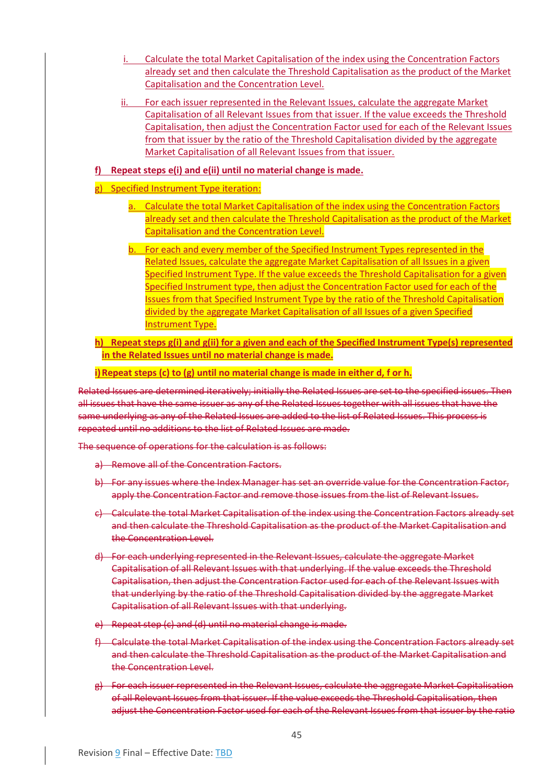- i. Calculate the total Market Capitalisation of the index using the Concentration Factors already set and then calculate the Threshold Capitalisation as the product of the Market Capitalisation and the Concentration Level.
- ii. For each issuer represented in the Relevant Issues, calculate the aggregate Market Capitalisation of all Relevant Issues from that issuer. If the value exceeds the Threshold Capitalisation, then adjust the Concentration Factor used for each of the Relevant Issues from that issuer by the ratio of the Threshold Capitalisation divided by the aggregate Market Capitalisation of all Relevant Issues from that issuer.

#### **f) Repeat steps e(i) and e(ii) until no material change is made.**

- g) Specified Instrument Type iteration:
	- a. Calculate the total Market Capitalisation of the index using the Concentration Factors already set and then calculate the Threshold Capitalisation as the product of the Market Capitalisation and the Concentration Level.
	- b. For each and every member of the Specified Instrument Types represented in the Related Issues, calculate the aggregate Market Capitalisation of all Issues in a given Specified Instrument Type. If the value exceeds the Threshold Capitalisation for a given Specified Instrument type, then adjust the Concentration Factor used for each of the Issues from that Specified Instrument Type by the ratio of the Threshold Capitalisation divided by the aggregate Market Capitalisation of all Issues of a given Specified Instrument Type.

**h) Repeat steps g(i) and g(ii) for a given and each of the Specified Instrument Type(s) represented in the Related Issues until no material change is made.**

**i)Repeat steps (c) to (g) until no material change is made in either d, f or h.**

Related Issues are determined iteratively; initially the Related Issues are set to the specified issues. Then all issues that have the same issuer as any of the Related Issues together with all issues that have the same underlying as any of the Related Issues are added to the list of Related Issues. This process is repeated until no additions to the list of Related Issues are made.

The sequence of operations for the calculation is as follows:

- a) Remove all of the Concentration Factors.
- b) For any issues where the Index Manager has set an override value for the Concentration Factor, apply the Concentration Factor and remove those issues from the list of Relevant Issues.
- c) Calculate the total Market Capitalisation of the index using the Concentration Factors already set and then calculate the Threshold Capitalisation as the product of the Market Capitalisation and the Concentration Level.
- d) For each underlying represented in the Relevant Issues, calculate the aggregate Market Capitalisation of all Relevant Issues with that underlying. If the value exceeds the Threshold Capitalisation, then adjust the Concentration Factor used for each of the Relevant Issues with that underlying by the ratio of the Threshold Capitalisation divided by the aggregate Market Capitalisation of all Relevant Issues with that underlying.
- e) Repeat step (c) and (d) until no material change is made.
- f) Calculate the total Market Capitalisation of the index using the Concentration Factors already set and then calculate the Threshold Capitalisation as the product of the Market Capitalisation and the Concentration Level.
- g) For each issuer represented in the Relevant Issues, calculate the aggregate Market Capitalisation of all Relevant Issues from that issuer. If the value exceeds the Threshold Capitalisation, then adjust the Concentration Factor used for each of the Relevant Issues from that issuer by the ratio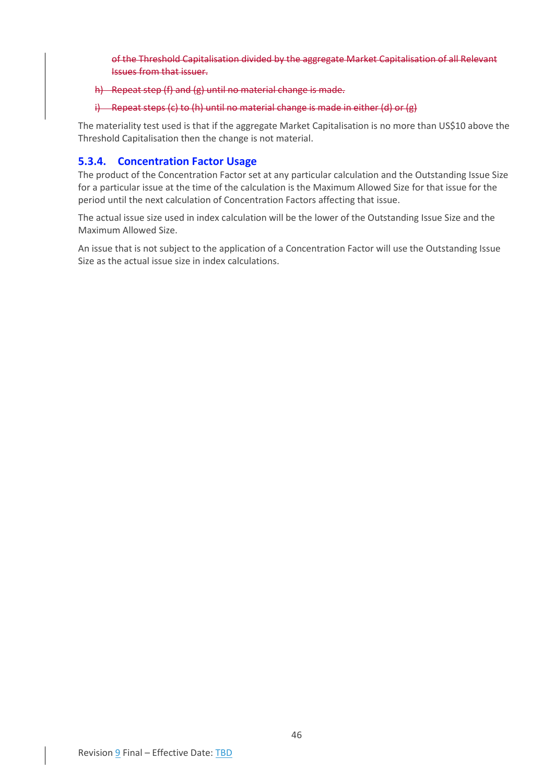of the Threshold Capitalisation divided by the aggregate Market Capitalisation of all Relevant Issues from that issuer.

#### h) Repeat step (f) and (g) until no material change is made.

#### i) Repeat steps (c) to (h) until no material change is made in either (d) or (g)

The materiality test used is that if the aggregate Market Capitalisation is no more than US\$10 above the Threshold Capitalisation then the change is not material.

## <span id="page-46-0"></span>**5.3.4. Concentration Factor Usage**

The product of the Concentration Factor set at any particular calculation and the Outstanding Issue Size for a particular issue at the time of the calculation is the Maximum Allowed Size for that issue for the period until the next calculation of Concentration Factors affecting that issue.

The actual issue size used in index calculation will be the lower of the Outstanding Issue Size and the Maximum Allowed Size.

An issue that is not subject to the application of a Concentration Factor will use the Outstanding Issue Size as the actual issue size in index calculations.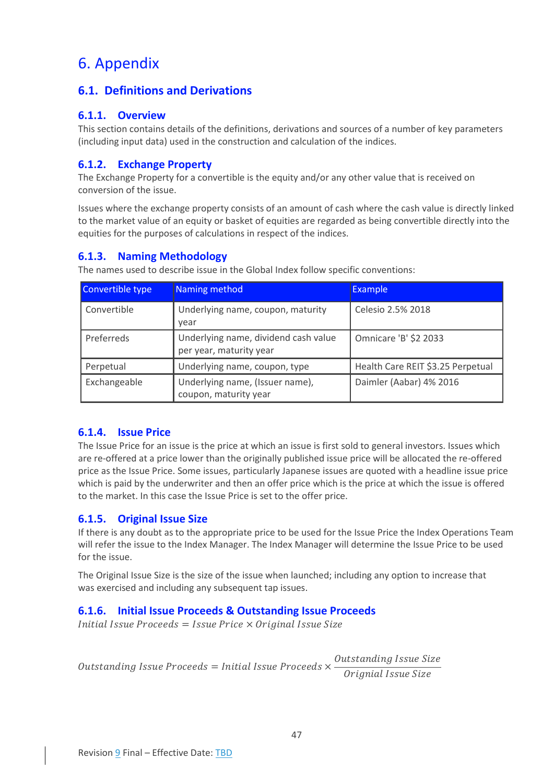## <span id="page-47-0"></span>6. Appendix

## <span id="page-47-1"></span>**6.1. Definitions and Derivations**

## <span id="page-47-2"></span>**6.1.1. Overview**

This section contains details of the definitions, derivations and sources of a number of key parameters (including input data) used in the construction and calculation of the indices.

## <span id="page-47-3"></span>**6.1.2. Exchange Property**

The Exchange Property for a convertible is the equity and/or any other value that is received on conversion of the issue.

Issues where the exchange property consists of an amount of cash where the cash value is directly linked to the market value of an equity or basket of equities are regarded as being convertible directly into the equities for the purposes of calculations in respect of the indices.

## <span id="page-47-4"></span>**6.1.3. Naming Methodology**

The names used to describe issue in the Global Index follow specific conventions:

| Convertible type | Naming method                                                   | <b>Example</b>                    |
|------------------|-----------------------------------------------------------------|-----------------------------------|
| Convertible      | Underlying name, coupon, maturity<br>year                       | Celesio 2.5% 2018                 |
| Preferreds       | Underlying name, dividend cash value<br>per year, maturity year | Omnicare 'B' \$2 2033             |
| Perpetual        | Underlying name, coupon, type                                   | Health Care REIT \$3.25 Perpetual |
| Exchangeable     | Underlying name, (Issuer name),<br>coupon, maturity year        | Daimler (Aabar) 4% 2016           |

## <span id="page-47-5"></span>**6.1.4. Issue Price**

The Issue Price for an issue is the price at which an issue is first sold to general investors. Issues which are re-offered at a price lower than the originally published issue price will be allocated the re-offered price as the Issue Price. Some issues, particularly Japanese issues are quoted with a headline issue price which is paid by the underwriter and then an offer price which is the price at which the issue is offered to the market. In this case the Issue Price is set to the offer price.

## <span id="page-47-6"></span>**6.1.5. Original Issue Size**

If there is any doubt as to the appropriate price to be used for the Issue Price the Index Operations Team will refer the issue to the Index Manager. The Index Manager will determine the Issue Price to be used for the issue.

The Original Issue Size is the size of the issue when launched; including any option to increase that was exercised and including any subsequent tap issues.

## <span id="page-47-7"></span>**6.1.6. Initial Issue Proceeds & Outstanding Issue Proceeds**

 $Initial$  Issue Proceeds = Issue Price  $\times$  Original Issue Size

Outstanding Issue Proceeds  $=$  Initial Issue Proceeds  $\times$ Outstanding Issue Size Orignial Issue Size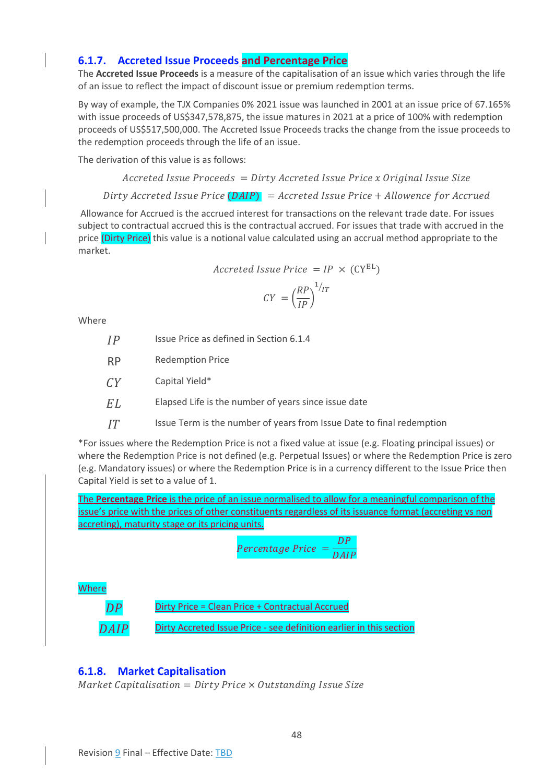## <span id="page-48-0"></span>**6.1.7. Accreted Issue Proceeds and Percentage Price**

The **Accreted Issue Proceeds** is a measure of the capitalisation of an issue which varies through the life of an issue to reflect the impact of discount issue or premium redemption terms.

By way of example, the TJX Companies 0% 2021 issue was launched in 2001 at an issue price of 67.165% with issue proceeds of US\$347,578,875, the issue matures in 2021 at a price of 100% with redemption proceeds of US\$517,500,000. The Accreted Issue Proceeds tracks the change from the issue proceeds to the redemption proceeds through the life of an issue.

The derivation of this value is as follows:

 $Accreted$  Issue Proceeds = Dirty Accreted Issue Price x Original Issue Size

Dirty Accreted Issue Price  $(DAIP)$  = Accreted Issue Price + Allowence for Accrued

Allowance for Accrued is the accrued interest for transactions on the relevant trade date. For issues subject to contractual accrued this is the contractual accrued. For issues that trade with accrued in the price (Dirty Price) this value is a notional value calculated using an accrual method appropriate to the market.

*Accreted Issue Price* = 
$$
IP \times (CY^{EL})
$$

$$
CY = \left(\frac{RP}{IP}\right)^{1/IT}
$$

Where

- **ID** Issue Price as defined in Sectio[n 6.1.4](#page-47-5)
- RP Redemption Price
- $CY$  Capital Yield\*

 $EL$  Elapsed Life is the number of years since issue date

 $IT$  Issue Term is the number of years from Issue Date to final redemption

\*For issues where the Redemption Price is not a fixed value at issue (e.g. Floating principal issues) or where the Redemption Price is not defined (e.g. Perpetual Issues) or where the Redemption Price is zero (e.g. Mandatory issues) or where the Redemption Price is in a currency different to the Issue Price then Capital Yield is set to a value of 1.

The **Percentage Price** is the price of an issue normalised to allow for a meaningful comparison of the issue's price with the prices of other constituents regardless of its issuance format (accreting vs non accreting), maturity stage or its pricing units.

$$
Percentage\ Price = \frac{DP}{DAIP}
$$

**Where** 

 $DP$  Dirty Price = Clean Price + Contractual Accrued

 $DAIP$  Dirty Accreted Issue Price - see definition earlier in this section

### <span id="page-48-1"></span>**6.1.8. Market Capitalisation**

Market Capitalisation =  $D$ irty Price  $\times$  Outstanding Issue Size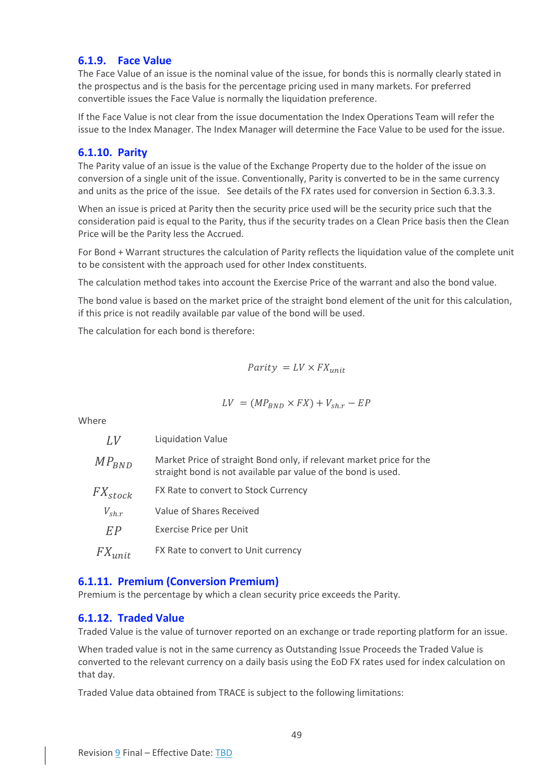## <span id="page-49-0"></span>**6.1.9. Face Value**

The Face Value of an issue is the nominal value of the issue, for bonds this is normally clearly stated in the prospectus and is the basis for the percentage pricing used in many markets. For preferred convertible issues the Face Value is normally the liquidation preference.

If the Face Value is not clear from the issue documentation the Index Operations Team will refer the issue to the Index Manager. The Index Manager will determine the Face Value to be used for the issue.

## <span id="page-49-1"></span>**6.1.10. Parity**

The Parity value of an issue is the value of the Exchange Property due to the holder of the issue on conversion of a single unit of the issue. Conventionally, Parity is converted to be in the same currency and units as the price of the issue. See details of the FX rates used for conversion in Sectio[n 6.3.3.3.](#page-52-3)

When an issue is priced at Parity then the security price used will be the security price such that the consideration paid is equal to the Parity, thus if the security trades on a Clean Price basis then the Clean Price will be the Parity less the Accrued.

For Bond + Warrant structures the calculation of Parity reflects the liquidation value of the complete unit to be consistent with the approach used for other Index constituents.

The calculation method takes into account the Exercise Price of the warrant and also the bond value.

The bond value is based on the market price of the straight bond element of the unit for this calculation, if this price is not readily available par value of the bond will be used.

The calculation for each bond is therefore:

 $Parity = LV \times FX_{unit}$ 

$$
LV = (MP_{BND} \times FX) + V_{sh.r} - EP
$$

Where

| LV                | <b>Liquidation Value</b>                                                                                                              |
|-------------------|---------------------------------------------------------------------------------------------------------------------------------------|
| $MP_{BND}$        | Market Price of straight Bond only, if relevant market price for the<br>straight bond is not available par value of the bond is used. |
| $FX_{stock}$      | FX Rate to convert to Stock Currency                                                                                                  |
| $V_{\text{sh},r}$ | Value of Shares Received                                                                                                              |
| EP                | Exercise Price per Unit                                                                                                               |
| $FX_{unit}$       | FX Rate to convert to Unit currency                                                                                                   |

## <span id="page-49-2"></span>**6.1.11. Premium (Conversion Premium)**

Premium is the percentage by which a clean security price exceeds the Parity.

## <span id="page-49-3"></span>**6.1.12. Traded Value**

Traded Value is the value of turnover reported on an exchange or trade reporting platform for an issue.

When traded value is not in the same currency as Outstanding Issue Proceeds the Traded Value is converted to the relevant currency on a daily basis using the EoD FX rates used for index calculation on that day.

Traded Value data obtained from TRACE is subject to the following limitations: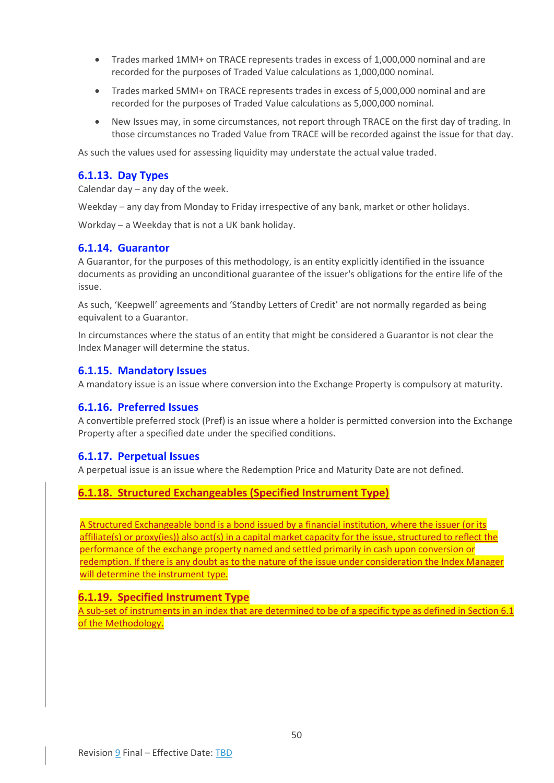- Trades marked 1MM+ on TRACE represents trades in excess of 1,000,000 nominal and are recorded for the purposes of Traded Value calculations as 1,000,000 nominal.
- Trades marked 5MM+ on TRACE represents trades in excess of 5,000,000 nominal and are recorded for the purposes of Traded Value calculations as 5,000,000 nominal.
- New Issues may, in some circumstances, not report through TRACE on the first day of trading. In those circumstances no Traded Value from TRACE will be recorded against the issue for that day.

As such the values used for assessing liquidity may understate the actual value traded.

#### <span id="page-50-0"></span>**6.1.13. Day Types**

Calendar day – any day of the week.

Weekday – any day from Monday to Friday irrespective of any bank, market or other holidays.

Workday – a Weekday that is not a UK bank holiday.

### <span id="page-50-1"></span>**6.1.14. Guarantor**

A Guarantor, for the purposes of this methodology, is an entity explicitly identified in the issuance documents as providing an unconditional guarantee of the issuer's obligations for the entire life of the issue.

As such, 'Keepwell' agreements and 'Standby Letters of Credit' are not normally regarded as being equivalent to a Guarantor.

In circumstances where the status of an entity that might be considered a Guarantor is not clear the Index Manager will determine the status.

#### <span id="page-50-2"></span>**6.1.15. Mandatory Issues**

A mandatory issue is an issue where conversion into the Exchange Property is compulsory at maturity.

#### <span id="page-50-3"></span>**6.1.16. Preferred Issues**

A convertible preferred stock (Pref) is an issue where a holder is permitted conversion into the Exchange Property after a specified date under the specified conditions.

#### <span id="page-50-4"></span>**6.1.17. Perpetual Issues**

A perpetual issue is an issue where the Redemption Price and Maturity Date are not defined.

### <span id="page-50-5"></span>**6.1.18. Structured Exchangeables (Specified Instrument Type)**

A Structured Exchangeable bond is a bond issued by a financial institution, where the issuer (or its affiliate(s) or proxy(ies)) also act(s) in a capital market capacity for the issue, structured to reflect the performance of the exchange property named and settled primarily in cash upon conversion or redemption. If there is any doubt as to the nature of the issue under consideration the Index Manager will determine the instrument type.

#### <span id="page-50-6"></span>**6.1.19. Specified Instrument Type**

A sub-set of instruments in an index that are determined to be of a specific type as defined in Section 6.1 of the Methodology.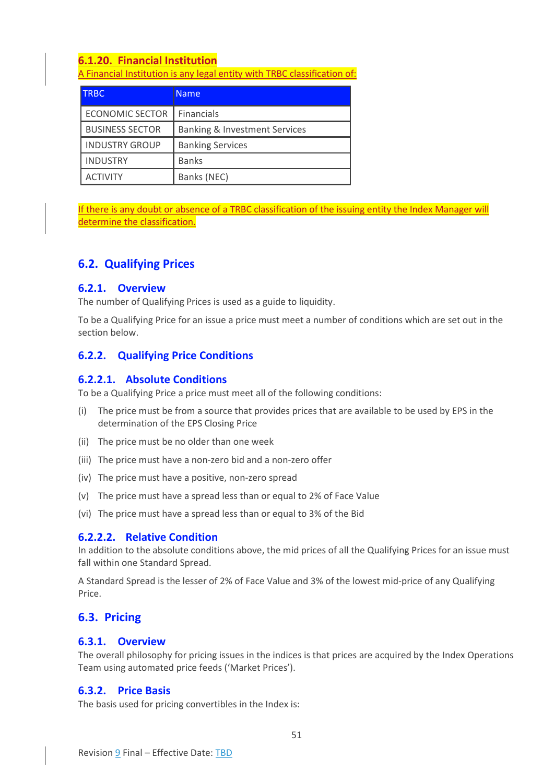## <span id="page-51-0"></span>**6.1.20. Financial Institution**

A Financial Institution is any legal entity with TRBC classification of:

| <b>TRBC</b>            | <b>Name</b>                              |
|------------------------|------------------------------------------|
| <b>ECONOMIC SECTOR</b> | <b>Financials</b>                        |
| <b>BUSINESS SECTOR</b> | <b>Banking &amp; Investment Services</b> |
| <b>INDUSTRY GROUP</b>  | <b>Banking Services</b>                  |
| <b>INDUSTRY</b>        | <b>Banks</b>                             |
| <b>ACTIVITY</b>        | Banks (NEC)                              |

If there is any doubt or absence of a TRBC classification of the issuing entity the Index Manager will determine the classification.

## <span id="page-51-1"></span>**6.2. Qualifying Prices**

## <span id="page-51-2"></span>**6.2.1. Overview**

The number of Qualifying Prices is used as a guide to liquidity.

To be a Qualifying Price for an issue a price must meet a number of conditions which are set out in the section below.

## <span id="page-51-3"></span>**6.2.2. Qualifying Price Conditions**

## <span id="page-51-4"></span>**6.2.2.1. Absolute Conditions**

To be a Qualifying Price a price must meet all of the following conditions:

- (i) The price must be from a source that provides prices that are available to be used by EPS in the determination of the EPS Closing Price
- (ii) The price must be no older than one week
- (iii) The price must have a non-zero bid and a non-zero offer
- (iv) The price must have a positive, non-zero spread
- (v) The price must have a spread less than or equal to 2% of Face Value
- (vi) The price must have a spread less than or equal to 3% of the Bid

## <span id="page-51-5"></span>**6.2.2.2. Relative Condition**

In addition to the absolute conditions above, the mid prices of all the Qualifying Prices for an issue must fall within one Standard Spread.

A Standard Spread is the lesser of 2% of Face Value and 3% of the lowest mid-price of any Qualifying Price.

## <span id="page-51-6"></span>**6.3. Pricing**

### <span id="page-51-7"></span>**6.3.1. Overview**

The overall philosophy for pricing issues in the indices is that prices are acquired by the Index Operations Team using automated price feeds ('Market Prices').

## <span id="page-51-8"></span>**6.3.2. Price Basis**

The basis used for pricing convertibles in the Index is: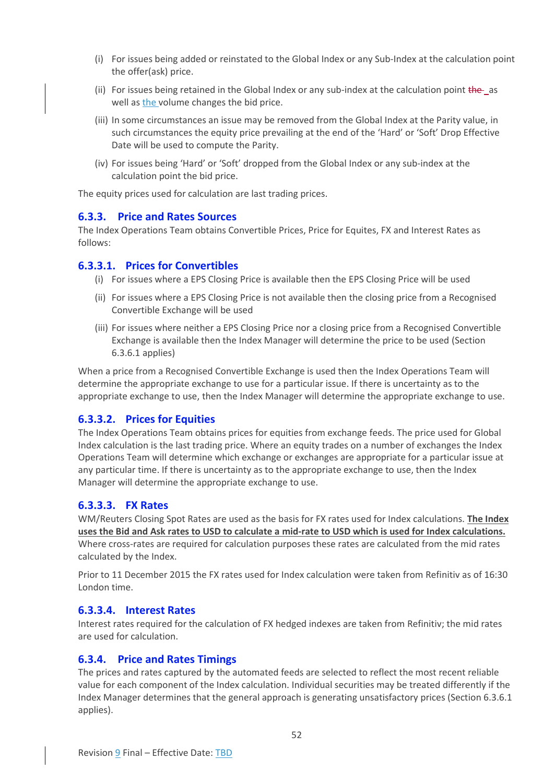- (i) For issues being added or reinstated to the Global Index or any Sub-Index at the calculation point the offer(ask) price.
- (ii) For issues being retained in the Global Index or any sub-index at the calculation point the as well as the volume changes the bid price.
- (iii) In some circumstances an issue may be removed from the Global Index at the Parity value, in such circumstances the equity price prevailing at the end of the 'Hard' or 'Soft' Drop Effective Date will be used to compute the Parity.
- (iv) For issues being 'Hard' or 'Soft' dropped from the Global Index or any sub-index at the calculation point the bid price.

The equity prices used for calculation are last trading prices.

#### <span id="page-52-0"></span>**6.3.3. Price and Rates Sources**

The Index Operations Team obtains Convertible Prices, Price for Equites, FX and Interest Rates as follows:

#### <span id="page-52-1"></span>**6.3.3.1. Prices for Convertibles**

- (i) For issues where a EPS Closing Price is available then the EPS Closing Price will be used
- (ii) For issues where a EPS Closing Price is not available then the closing price from a Recognised Convertible Exchange will be used
- (iii) For issues where neither a EPS Closing Price nor a closing price from a Recognised Convertible Exchange is available then the Index Manager will determine the price to be used (Section [6.3.6.1](#page-54-1) applies)

When a price from a Recognised Convertible Exchange is used then the Index Operations Team will determine the appropriate exchange to use for a particular issue. If there is uncertainty as to the appropriate exchange to use, then the Index Manager will determine the appropriate exchange to use.

### <span id="page-52-2"></span>**6.3.3.2. Prices for Equities**

The Index Operations Team obtains prices for equities from exchange feeds. The price used for Global Index calculation is the last trading price. Where an equity trades on a number of exchanges the Index Operations Team will determine which exchange or exchanges are appropriate for a particular issue at any particular time. If there is uncertainty as to the appropriate exchange to use, then the Index Manager will determine the appropriate exchange to use.

#### <span id="page-52-3"></span>**6.3.3.3. FX Rates**

WM/Reuters Closing Spot Rates are used as the basis for FX rates used for Index calculations. **The Index uses the Bid and Ask rates to USD to calculate a mid-rate to USD which is used for Index calculations.** Where cross-rates are required for calculation purposes these rates are calculated from the mid rates calculated by the Index.

Prior to 11 December 2015 the FX rates used for Index calculation were taken from Refinitiv as of 16:30 London time.

#### <span id="page-52-4"></span>**6.3.3.4. Interest Rates**

Interest rates required for the calculation of FX hedged indexes are taken from Refinitiv; the mid rates are used for calculation.

#### <span id="page-52-5"></span>**6.3.4. Price and Rates Timings**

The prices and rates captured by the automated feeds are selected to reflect the most recent reliable value for each component of the Index calculation. Individual securities may be treated differently if the Index Manager determines that the general approach is generating unsatisfactory prices (Section [6.3.6.1](#page-54-1) applies).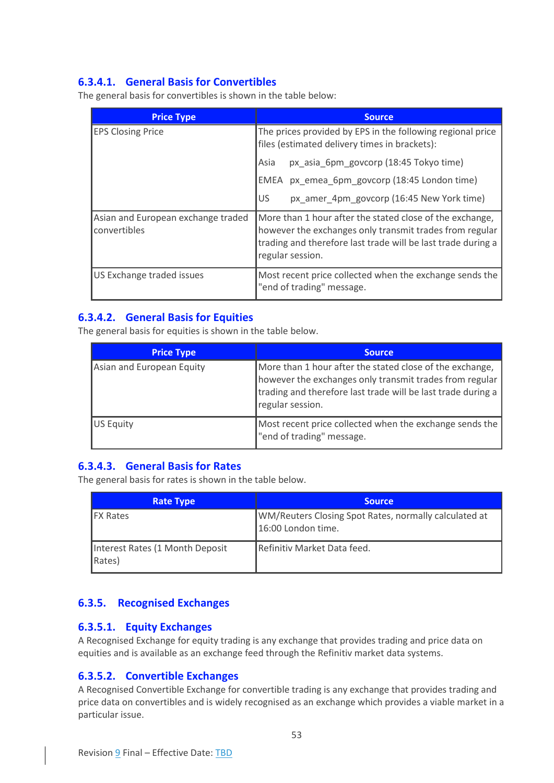## <span id="page-53-0"></span>**6.3.4.1. General Basis for Convertibles**

The general basis for convertibles is shown in the table below:

| <b>Price Type</b>                                  | <b>Source</b>                                                                                                                                                                                           |  |  |  |  |
|----------------------------------------------------|---------------------------------------------------------------------------------------------------------------------------------------------------------------------------------------------------------|--|--|--|--|
| <b>EPS Closing Price</b>                           | The prices provided by EPS in the following regional price<br>files (estimated delivery times in brackets):                                                                                             |  |  |  |  |
|                                                    | px_asia_6pm_govcorp (18:45 Tokyo time)<br>Asia                                                                                                                                                          |  |  |  |  |
|                                                    | px_emea_6pm_govcorp (18:45 London time)<br>EMEA                                                                                                                                                         |  |  |  |  |
|                                                    | US<br>px_amer_4pm_govcorp (16:45 New York time)                                                                                                                                                         |  |  |  |  |
| Asian and European exchange traded<br>convertibles | More than 1 hour after the stated close of the exchange,<br>however the exchanges only transmit trades from regular<br>trading and therefore last trade will be last trade during a<br>regular session. |  |  |  |  |
| US Exchange traded issues                          | Most recent price collected when the exchange sends the<br>"end of trading" message.                                                                                                                    |  |  |  |  |

## <span id="page-53-1"></span>**6.3.4.2. General Basis for Equities**

The general basis for equities is shown in the table below.

| <b>Price Type</b>         | <b>Source</b>                                                                                                                                                                                           |
|---------------------------|---------------------------------------------------------------------------------------------------------------------------------------------------------------------------------------------------------|
| Asian and European Equity | More than 1 hour after the stated close of the exchange,<br>however the exchanges only transmit trades from regular<br>trading and therefore last trade will be last trade during a<br>regular session. |
| US Equity                 | Most recent price collected when the exchange sends the<br>"end of trading" message.                                                                                                                    |

## <span id="page-53-2"></span>**6.3.4.3. General Basis for Rates**

The general basis for rates is shown in the table below.

| Rate Type                                 | <b>Source</b>                                                               |
|-------------------------------------------|-----------------------------------------------------------------------------|
| <b>IFX Rates</b>                          | WM/Reuters Closing Spot Rates, normally calculated at<br>16:00 London time. |
| Interest Rates (1 Month Deposit<br>Rates) | Refinitiv Market Data feed.                                                 |

## <span id="page-53-3"></span>**6.3.5. Recognised Exchanges**

## <span id="page-53-4"></span>**6.3.5.1. Equity Exchanges**

A Recognised Exchange for equity trading is any exchange that provides trading and price data on equities and is available as an exchange feed through the Refinitiv market data systems.

## <span id="page-53-5"></span>**6.3.5.2. Convertible Exchanges**

A Recognised Convertible Exchange for convertible trading is any exchange that provides trading and price data on convertibles and is widely recognised as an exchange which provides a viable market in a particular issue.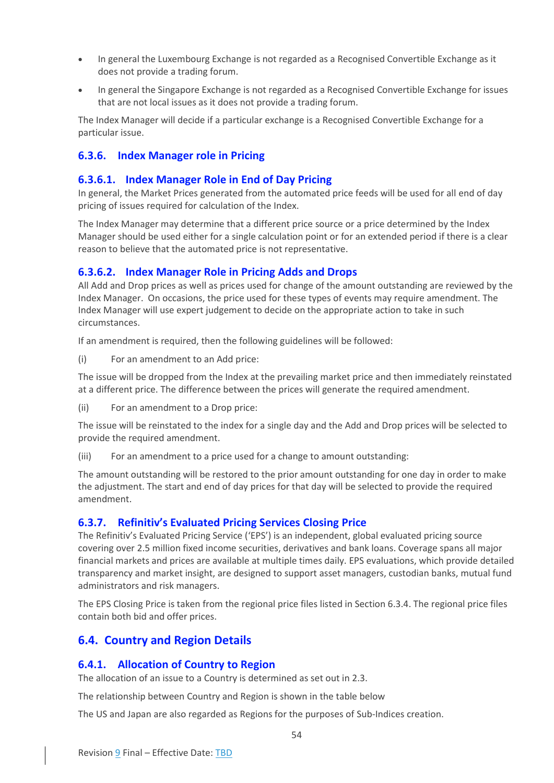- In general the Luxembourg Exchange is not regarded as a Recognised Convertible Exchange as it does not provide a trading forum.
- In general the Singapore Exchange is not regarded as a Recognised Convertible Exchange for issues that are not local issues as it does not provide a trading forum.

The Index Manager will decide if a particular exchange is a Recognised Convertible Exchange for a particular issue.

## <span id="page-54-0"></span>**6.3.6. Index Manager role in Pricing**

### <span id="page-54-1"></span>**6.3.6.1. Index Manager Role in End of Day Pricing**

In general, the Market Prices generated from the automated price feeds will be used for all end of day pricing of issues required for calculation of the Index.

The Index Manager may determine that a different price source or a price determined by the Index Manager should be used either for a single calculation point or for an extended period if there is a clear reason to believe that the automated price is not representative.

## <span id="page-54-2"></span>**6.3.6.2. Index Manager Role in Pricing Adds and Drops**

All Add and Drop prices as well as prices used for change of the amount outstanding are reviewed by the Index Manager. On occasions, the price used for these types of events may require amendment. The Index Manager will use expert judgement to decide on the appropriate action to take in such circumstances.

If an amendment is required, then the following guidelines will be followed:

(i) For an amendment to an Add price:

The issue will be dropped from the Index at the prevailing market price and then immediately reinstated at a different price. The difference between the prices will generate the required amendment.

(ii) For an amendment to a Drop price:

The issue will be reinstated to the index for a single day and the Add and Drop prices will be selected to provide the required amendment.

(iii) For an amendment to a price used for a change to amount outstanding:

The amount outstanding will be restored to the prior amount outstanding for one day in order to make the adjustment. The start and end of day prices for that day will be selected to provide the required amendment.

### <span id="page-54-3"></span>**6.3.7. Refinitiv's Evaluated Pricing Services Closing Price**

The Refinitiv's Evaluated Pricing Service ('EPS') is an independent, global evaluated pricing source covering over 2.5 million fixed income securities, derivatives and bank loans. Coverage spans all major financial markets and prices are available at multiple times daily. EPS evaluations, which provide detailed transparency and market insight, are designed to support asset managers, custodian banks, mutual fund administrators and risk managers.

The EPS Closing Price is taken from the regional price files listed in Section [6.3.4.](#page-52-5) The regional price files contain both bid and offer prices.

## <span id="page-54-4"></span>**6.4. Country and Region Details**

### <span id="page-54-5"></span>**6.4.1. Allocation of Country to Region**

The allocation of an issue to a Country is determined as set out i[n 2.3.](#page-10-2)

The relationship between Country and Region is shown in the table below

The US and Japan are also regarded as Regions for the purposes of Sub-Indices creation.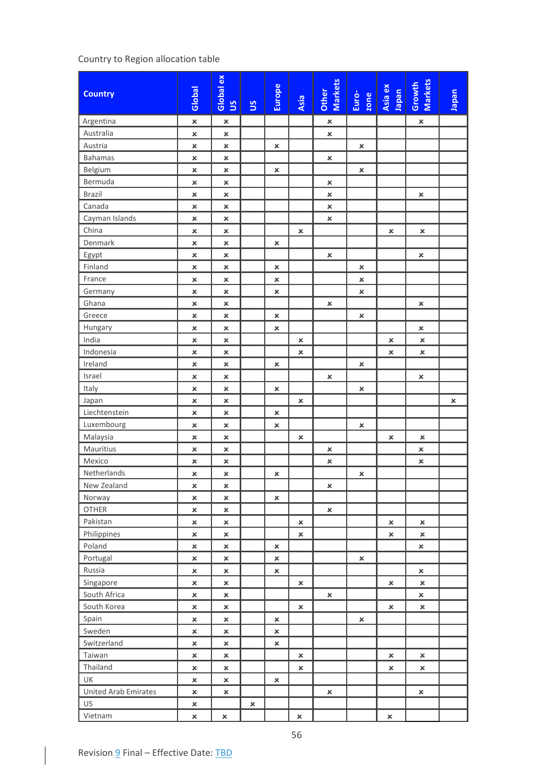## Country to Region allocation table

| <b>Country</b>              | Global                           | Global ex<br>5 <sup>o</sup> | S | Europe         | Asia           | Other<br>Markets | Euro-<br>zone  | Asia ex<br>hapan | <b>Markets</b><br>Growth | neder          |
|-----------------------------|----------------------------------|-----------------------------|---|----------------|----------------|------------------|----------------|------------------|--------------------------|----------------|
| Argentina                   | $\boldsymbol{\mathsf{x}}$        | $\pmb{\times}$              |   |                |                | $\pmb{\times}$   |                |                  | $\pmb{\times}$           |                |
| Australia                   | $\pmb{\times}$                   | ×                           |   |                |                | $\pmb{\times}$   |                |                  |                          |                |
| Austria                     | $\pmb{\times}$                   | $\pmb{\times}$              |   | $\pmb{\times}$ |                |                  | $\pmb{\times}$ |                  |                          |                |
| <b>Bahamas</b>              | ×                                | $\pmb{\times}$              |   |                |                | $\pmb{\times}$   |                |                  |                          |                |
| Belgium                     | ×                                | ×                           |   | $\pmb{\times}$ |                |                  | ×              |                  |                          |                |
| Bermuda                     | $\pmb{\times}$                   | $\pmb{\times}$              |   |                |                | ×                |                |                  |                          |                |
| <b>Brazil</b>               | $\pmb{\times}$                   | ×                           |   |                |                | $\pmb{\times}$   |                |                  | $\pmb{\times}$           |                |
| Canada                      | $\pmb{\times}$                   | $\pmb{\times}$              |   |                |                | $\pmb{\times}$   |                |                  |                          |                |
| Cayman Islands              | $\pmb{\times}$                   | $\pmb{\times}$              |   |                |                | $\pmb{\times}$   |                |                  |                          |                |
| China                       | ×                                | ×                           |   |                | ×              |                  |                | $\pmb{\times}$   | $\pmb{\times}$           |                |
| Denmark                     | $\pmb{\times}$                   | ×                           |   | $\pmb{\times}$ |                |                  |                |                  |                          |                |
| Egypt                       | $\pmb{\times}$                   | $\pmb{\times}$              |   |                |                | $\pmb{\times}$   |                |                  | $\pmb{\times}$           |                |
| Finland                     | $\pmb{\times}$                   | ×                           |   | $\pmb{\times}$ |                |                  | ×              |                  |                          |                |
| France                      | $\boldsymbol{\mathsf{x}}$        | $\pmb{\times}$              |   | $\pmb{\times}$ |                |                  | $\pmb{\times}$ |                  |                          |                |
| Germany                     | $\pmb{\times}$                   | $\pmb{\times}$              |   | $\pmb{\times}$ |                |                  | ×              |                  |                          |                |
| Ghana                       | $\pmb{\times}$                   | ×                           |   |                |                | ×                |                |                  | ×                        |                |
| Greece                      | $\pmb{\times}$                   | $\pmb{\times}$              |   | $\pmb{\times}$ |                |                  | ×              |                  |                          |                |
| Hungary                     | $\pmb{\times}$                   | $\pmb{\times}$              |   | ×              |                |                  |                |                  | $\pmb{\times}$           |                |
| India                       | $\boldsymbol{\mathsf{x}}$        | ×                           |   |                | $\pmb{\times}$ |                  |                | $\pmb{\times}$   | $\pmb{\times}$           |                |
| Indonesia                   | $\pmb{\times}$                   | $\pmb{\times}$              |   |                | ×              |                  |                | $\pmb{\times}$   | $\pmb{\times}$           |                |
| Ireland                     | $\pmb{\times}$                   | $\pmb{\times}$              |   | $\pmb{\times}$ |                |                  | ×              |                  |                          |                |
| Israel                      | $\pmb{\times}$                   | $\pmb{\times}$              |   |                |                | ×                |                |                  | $\pmb{\times}$           |                |
| Italy                       | $\pmb{\times}$                   | $\pmb{\times}$              |   | $\pmb{\times}$ |                |                  | $\pmb{\times}$ |                  |                          |                |
| Japan                       | $\pmb{\times}$                   | ×                           |   |                | ×              |                  |                |                  |                          | $\pmb{\times}$ |
| Liechtenstein               | $\pmb{\times}$                   | ×                           |   | $\pmb{\times}$ |                |                  |                |                  |                          |                |
| Luxembourg                  | $\pmb{\times}$                   | $\pmb{\times}$              |   | $\pmb{\times}$ |                |                  | $\pmb{\times}$ |                  |                          |                |
| Malaysia                    | ×                                | ×                           |   |                | $\pmb{\times}$ |                  |                | ×                | ×                        |                |
| Mauritius                   | $\pmb{\times}$                   | $\pmb{\times}$              |   |                |                | ×                |                |                  | ×                        |                |
| Mexico                      | $\pmb{\times}$                   | $\pmb{\times}$              |   |                |                | $\pmb{\times}$   |                |                  | $\pmb{\times}$           |                |
| Netherlands                 | $\boldsymbol{\mathsf{x}}$        | ×                           |   | ×              |                |                  | ×              |                  |                          |                |
| New Zealand                 | ×                                | ×                           |   |                |                | $\pmb{\times}$   |                |                  |                          |                |
| Norway                      | ×                                | ×                           |   | $\pmb{\times}$ |                |                  |                |                  |                          |                |
| <b>OTHER</b>                | ×                                | ×                           |   |                |                | ×                |                |                  |                          |                |
| Pakistan                    | ×                                | ×                           |   |                | ×              |                  |                | ×                | ×                        |                |
| Philippines                 | $\pmb{\times}$                   | ×                           |   |                | $\pmb{\times}$ |                  |                | ×                | ×                        |                |
| Poland                      | $\pmb{\times}$                   | ×                           |   | $\pmb{\times}$ |                |                  |                |                  | ×                        |                |
| Portugal                    | $\pmb{\times}$                   | ×                           |   | ×              |                |                  | ×              |                  |                          |                |
| Russia                      | ×                                | ×                           |   | $\pmb{\times}$ |                |                  |                |                  | $\pmb{\times}$           |                |
| Singapore<br>South Africa   | $\pmb{\times}$<br>$\pmb{\times}$ | ×<br>×                      |   |                | $\pmb{\times}$ | ×                |                | ×                | ×<br>×                   |                |
| South Korea                 |                                  |                             |   |                |                |                  |                |                  |                          |                |
| Spain                       | $\pmb{\times}$<br>$\pmb{\times}$ | ×                           |   |                | ×              |                  |                | ×                | ×                        |                |
| Sweden                      | $\pmb{\times}$                   | ×<br>$\pmb{\times}$         |   | ×<br>×         |                |                  | ×              |                  |                          |                |
| Switzerland                 | ×                                | ×                           |   | $\pmb{\times}$ |                |                  |                |                  |                          |                |
| Taiwan                      | ×                                | ×                           |   |                | ×              |                  |                | ×                | ×                        |                |
| Thailand                    | $\pmb{\times}$                   | ×                           |   |                | ×              |                  |                | ×                | ×                        |                |
| UK                          | $\pmb{\times}$                   | ×                           |   | ×              |                |                  |                |                  |                          |                |
| <b>United Arab Emirates</b> | $\pmb{\times}$                   | ×                           |   |                |                | ×                |                |                  | ×                        |                |
| US                          | $\pmb{\times}$                   |                             | × |                |                |                  |                |                  |                          |                |
| Vietnam                     | ×                                | $\pmb{\times}$              |   |                | $\pmb{\times}$ |                  |                | $\pmb{\times}$   |                          |                |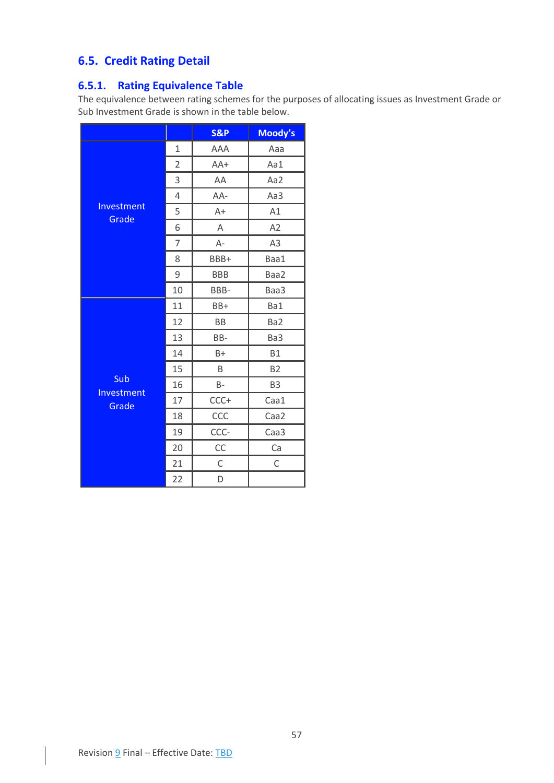## <span id="page-57-0"></span>**6.5. Credit Rating Detail**

## <span id="page-57-1"></span>**6.5.1. Rating Equivalence Table**

The equivalence between rating schemes for the purposes of allocating issues as Investment Grade or Sub Investment Grade is shown in the table below.

|                     |                | <b>S&amp;P</b> | Moody's        |
|---------------------|----------------|----------------|----------------|
|                     | 1              | AAA            | Aaa            |
|                     | $\overline{2}$ | $AA+$          | Aa1            |
|                     | 3              | AA             | Aa2            |
|                     | 4              | AA-            | Aa3            |
| Investment          | 5              | $A+$           | A1             |
| Grade               | 6              | A              | A2             |
|                     | 7              | А-             | A3             |
|                     | 8              | BBB+           | Baa1           |
|                     | 9              | <b>BBB</b>     | Baa2           |
|                     | 10             | BBB-           | Baa3           |
|                     | 11             | BB+            | Ba1            |
|                     | 12             | <b>BB</b>      | Ba2            |
|                     | 13             | BB-            | Ba3            |
|                     | 14             | $B+$           | <b>B1</b>      |
|                     | 15             | B              | B <sub>2</sub> |
| Sub                 | 16             | $B -$          | B <sub>3</sub> |
| Investment<br>Grade | 17             | CCC+           | Caa1           |
|                     | 18             | CCC            | Caa2           |
|                     | 19             | CCC-           | Caa3           |
|                     | 20             | CC             | Ca             |
|                     | 21             | $\mathsf C$    | $\mathsf C$    |
|                     | 22             | D              |                |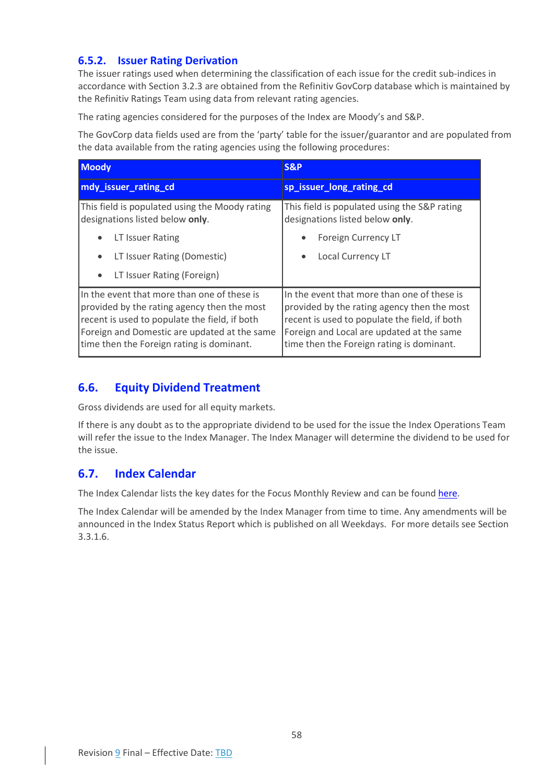## <span id="page-58-0"></span>**6.5.2. Issuer Rating Derivation**

The issuer ratings used when determining the classification of each issue for the credit sub-indices in accordance with Sectio[n 3.2.3](#page-28-0) are obtained from the Refinitiv GovCorp database which is maintained by the Refinitiv Ratings Team using data from relevant rating agencies.

The rating agencies considered for the purposes of the Index are Moody's and S&P.

The GovCorp data fields used are from the 'party' table for the issuer/guarantor and are populated from the data available from the rating agencies using the following procedures:

| <b>Moody</b>                                                                                                                                                                                                                             | <b>S&amp;P</b>                                                                                                                                                                                                                        |
|------------------------------------------------------------------------------------------------------------------------------------------------------------------------------------------------------------------------------------------|---------------------------------------------------------------------------------------------------------------------------------------------------------------------------------------------------------------------------------------|
| mdy_issuer_rating_cd                                                                                                                                                                                                                     | sp_issuer_long_rating_cd                                                                                                                                                                                                              |
| This field is populated using the Moody rating<br>designations listed below only.                                                                                                                                                        | This field is populated using the S&P rating<br>designations listed below only.                                                                                                                                                       |
| LT Issuer Rating                                                                                                                                                                                                                         | Foreign Currency LT                                                                                                                                                                                                                   |
| LT Issuer Rating (Domestic)<br>٠                                                                                                                                                                                                         | Local Currency LT                                                                                                                                                                                                                     |
| LT Issuer Rating (Foreign)<br>٠                                                                                                                                                                                                          |                                                                                                                                                                                                                                       |
| In the event that more than one of these is<br>provided by the rating agency then the most<br>recent is used to populate the field, if both<br>Foreign and Domestic are updated at the same<br>time then the Foreign rating is dominant. | In the event that more than one of these is<br>provided by the rating agency then the most<br>recent is used to populate the field, if both<br>Foreign and Local are updated at the same<br>time then the Foreign rating is dominant. |

## <span id="page-58-1"></span>**6.6. Equity Dividend Treatment**

Gross dividends are used for all equity markets.

If there is any doubt as to the appropriate dividend to be used for the issue the Index Operations Team will refer the issue to the Index Manager. The Index Manager will determine the dividend to be used for the issue.

## <span id="page-58-2"></span>**6.7. Index Calendar**

The Index Calendar lists the key dates for the Focus Monthly Review and can be found [here.](https://www.refinitiv.com/content/dam/marketing/en_us/documents/methodology/convertible-indices-calendar.pdf)

The Index Calendar will be amended by the Index Manager from time to time. Any amendments will be announced in the Index Status Report which is published on all Weekdays. For more details see Section [3.3.1.6.](#page-34-1)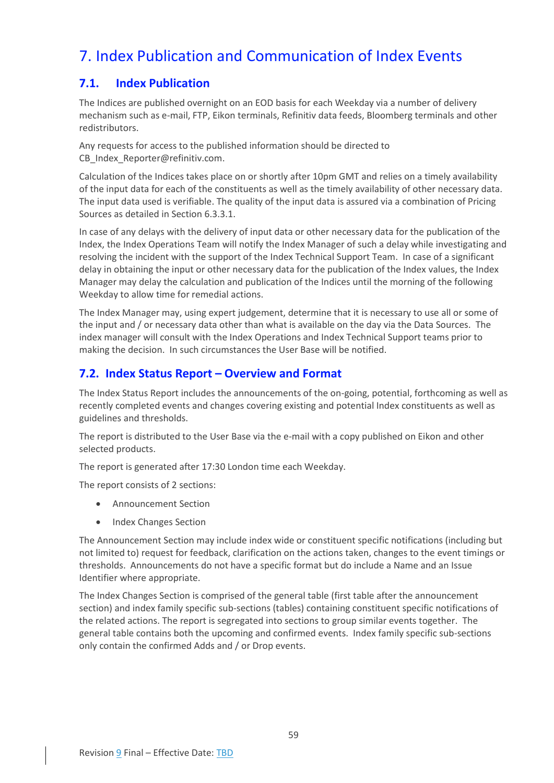## <span id="page-59-0"></span>7. Index Publication and Communication of Index Events

## <span id="page-59-1"></span>**7.1. Index Publication**

The Indices are published overnight on an EOD basis for each Weekday via a number of delivery mechanism such as e-mail, FTP, Eikon terminals, Refinitiv data feeds, Bloomberg terminals and other redistributors.

Any requests for access to the published information should be directed to CB Index Reporter@refinitiv.com.

Calculation of the Indices takes place on or shortly after 10pm GMT and relies on a timely availability of the input data for each of the constituents as well as the timely availability of other necessary data. The input data used is verifiable. The quality of the input data is assured via a combination of Pricing Sources as detailed in Sectio[n 6.3.3.1.](#page-52-1)

In case of any delays with the delivery of input data or other necessary data for the publication of the Index, the Index Operations Team will notify the Index Manager of such a delay while investigating and resolving the incident with the support of the Index Technical Support Team. In case of a significant delay in obtaining the input or other necessary data for the publication of the Index values, the Index Manager may delay the calculation and publication of the Indices until the morning of the following Weekday to allow time for remedial actions.

The Index Manager may, using expert judgement, determine that it is necessary to use all or some of the input and / or necessary data other than what is available on the day via the Data Sources. The index manager will consult with the Index Operations and Index Technical Support teams prior to making the decision. In such circumstances the User Base will be notified.

## <span id="page-59-2"></span>**7.2. Index Status Report – Overview and Format**

The Index Status Report includes the announcements of the on-going, potential, forthcoming as well as recently completed events and changes covering existing and potential Index constituents as well as guidelines and thresholds.

The report is distributed to the User Base via the e-mail with a copy published on Eikon and other selected products.

The report is generated after 17:30 London time each Weekday.

The report consists of 2 sections:

- Announcement Section
- Index Changes Section

The Announcement Section may include index wide or constituent specific notifications (including but not limited to) request for feedback, clarification on the actions taken, changes to the event timings or thresholds. Announcements do not have a specific format but do include a Name and an Issue Identifier where appropriate.

The Index Changes Section is comprised of the general table (first table after the announcement section) and index family specific sub-sections (tables) containing constituent specific notifications of the related actions. The report is segregated into sections to group similar events together. The general table contains both the upcoming and confirmed events. Index family specific sub-sections only contain the confirmed Adds and / or Drop events.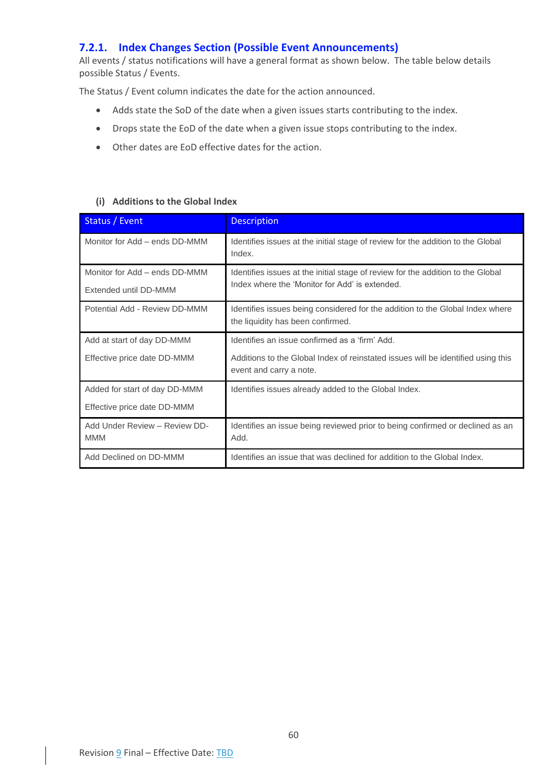## <span id="page-60-0"></span>**7.2.1. Index Changes Section (Possible Event Announcements)**

All events / status notifications will have a general format as shown below. The table below details possible Status / Events.

The Status / Event column indicates the date for the action announced.

- Adds state the SoD of the date when a given issues starts contributing to the index.
- Drops state the EoD of the date when a given issue stops contributing to the index.
- Other dates are EoD effective dates for the action.

#### **(i) Additions to the Global Index**

| Status / Event                                         | <b>Description</b>                                                                                                                |
|--------------------------------------------------------|-----------------------------------------------------------------------------------------------------------------------------------|
| Monitor for Add - ends DD-MMM                          | Identifies issues at the initial stage of review for the addition to the Global<br>Index.                                         |
| Monitor for Add - ends DD-MMM<br>Extended until DD-MMM | Identifies issues at the initial stage of review for the addition to the Global<br>Index where the 'Monitor for Add' is extended. |
| Potential Add - Review DD-MMM                          | Identifies issues being considered for the addition to the Global Index where<br>the liquidity has been confirmed.                |
| Add at start of day DD-MMM                             | Identifies an issue confirmed as a 'firm' Add.                                                                                    |
| Effective price date DD-MMM                            | Additions to the Global Index of reinstated issues will be identified using this<br>event and carry a note.                       |
| Added for start of day DD-MMM                          | Identifies issues already added to the Global Index.                                                                              |
| Effective price date DD-MMM                            |                                                                                                                                   |
| Add Under Review - Review DD-<br><b>MMM</b>            | Identifies an issue being reviewed prior to being confirmed or declined as an<br>Add.                                             |
| Add Declined on DD-MMM                                 | Identifies an issue that was declined for addition to the Global Index.                                                           |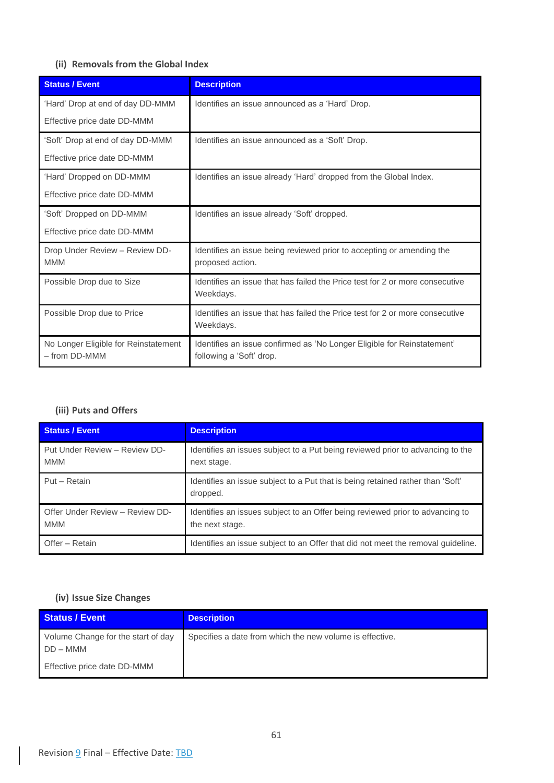## **(ii) Removals from the Global Index**

| <b>Status / Event</b>                                 | <b>Description</b>                                                                                  |
|-------------------------------------------------------|-----------------------------------------------------------------------------------------------------|
| 'Hard' Drop at end of day DD-MMM                      | Identifies an issue announced as a 'Hard' Drop.                                                     |
| Effective price date DD-MMM                           |                                                                                                     |
| 'Soft' Drop at end of day DD-MMM                      | Identifies an issue announced as a 'Soft' Drop.                                                     |
| Effective price date DD-MMM                           |                                                                                                     |
| 'Hard' Dropped on DD-MMM                              | Identifies an issue already 'Hard' dropped from the Global Index.                                   |
| Effective price date DD-MMM                           |                                                                                                     |
| 'Soft' Dropped on DD-MMM                              | Identifies an issue already 'Soft' dropped.                                                         |
| Effective price date DD-MMM                           |                                                                                                     |
| Drop Under Review - Review DD-<br><b>MMM</b>          | Identifies an issue being reviewed prior to accepting or amending the<br>proposed action.           |
| Possible Drop due to Size                             | Identifies an issue that has failed the Price test for 2 or more consecutive<br>Weekdays.           |
| Possible Drop due to Price                            | Identifies an issue that has failed the Price test for 2 or more consecutive<br>Weekdays.           |
| No Longer Eligible for Reinstatement<br>- from DD-MMM | Identifies an issue confirmed as 'No Longer Eligible for Reinstatement'<br>following a 'Soft' drop. |

## **(iii) Puts and Offers**

| <b>Status / Event</b>                         | <b>Description</b>                                                                               |
|-----------------------------------------------|--------------------------------------------------------------------------------------------------|
| Put Under Review - Review DD-<br><b>MMM</b>   | Identifies an issues subject to a Put being reviewed prior to advancing to the<br>next stage.    |
| Put - Retain                                  | Identifies an issue subject to a Put that is being retained rather than 'Soft'<br>dropped.       |
| Offer Under Review - Review DD-<br><b>MMM</b> | Identifies an issues subject to an Offer being reviewed prior to advancing to<br>the next stage. |
| Offer - Retain                                | Identifies an issue subject to an Offer that did not meet the removal guideline.                 |

## **(iv) Issue Size Changes**

| <b>Status / Event</b>                            | <b>Description</b>                                       |
|--------------------------------------------------|----------------------------------------------------------|
| Volume Change for the start of day<br>$DD - MMM$ | Specifies a date from which the new volume is effective. |
| Effective price date DD-MMM                      |                                                          |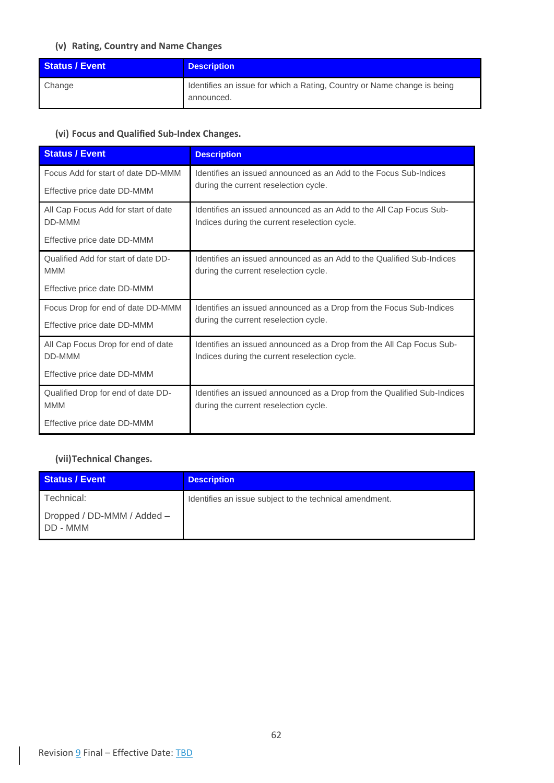## **(v) Rating, Country and Name Changes**

| <b>Status / Event</b> | <b>Description</b>                                                                    |
|-----------------------|---------------------------------------------------------------------------------------|
| Change                | Identifies an issue for which a Rating, Country or Name change is being<br>announced. |

## **(vi) Focus and Qualified Sub-Index Changes.**

| <b>Status / Event</b>               | <b>Description</b>                                                      |
|-------------------------------------|-------------------------------------------------------------------------|
| Focus Add for start of date DD-MMM  | Identifies an issued announced as an Add to the Focus Sub-Indices       |
| Effective price date DD-MMM         | during the current reselection cycle.                                   |
| All Cap Focus Add for start of date | Identifies an issued announced as an Add to the All Cap Focus Sub-      |
| DD-MMM                              | Indices during the current reselection cycle.                           |
| Effective price date DD-MMM         |                                                                         |
| Qualified Add for start of date DD- | Identifies an issued announced as an Add to the Qualified Sub-Indices   |
| <b>MMM</b>                          | during the current reselection cycle.                                   |
| Effective price date DD-MMM         |                                                                         |
| Focus Drop for end of date DD-MMM   | Identifies an issued announced as a Drop from the Focus Sub-Indices     |
| Effective price date DD-MMM         | during the current reselection cycle.                                   |
| All Cap Focus Drop for end of date  | Identifies an issued announced as a Drop from the All Cap Focus Sub-    |
| DD-MMM                              | Indices during the current reselection cycle.                           |
| Effective price date DD-MMM         |                                                                         |
| Qualified Drop for end of date DD-  | Identifies an issued announced as a Drop from the Qualified Sub-Indices |
| <b>MMM</b>                          | during the current reselection cycle.                                   |
| Effective price date DD-MMM         |                                                                         |

## **(vii)Technical Changes.**

| <b>Status / Event</b>                  | <b>Description</b>                                      |
|----------------------------------------|---------------------------------------------------------|
| Technical:                             | Identifies an issue subject to the technical amendment. |
| Dropped / DD-MMM / Added -<br>DD - MMM |                                                         |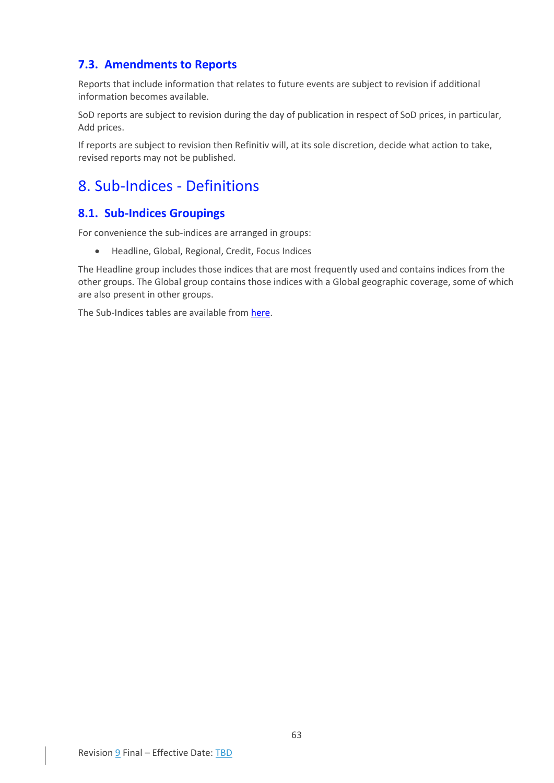## <span id="page-63-0"></span>**7.3. Amendments to Reports**

Reports that include information that relates to future events are subject to revision if additional information becomes available.

SoD reports are subject to revision during the day of publication in respect of SoD prices, in particular, Add prices.

If reports are subject to revision then Refinitiv will, at its sole discretion, decide what action to take, revised reports may not be published.

## <span id="page-63-1"></span>8. Sub-Indices - Definitions

## <span id="page-63-2"></span>**8.1. Sub-Indices Groupings**

For convenience the sub-indices are arranged in groups:

• Headline, Global, Regional, Credit, Focus Indices

The Headline group includes those indices that are most frequently used and contains indices from the other groups. The Global group contains those indices with a Global geographic coverage, some of which are also present in other groups.

The Sub-Indices tables are available from [here.](https://www.refinitiv.com/content/dam/marketing/en_us/documents/fact-sheets/convertible-bond-indices-from-refinitiv.pdf)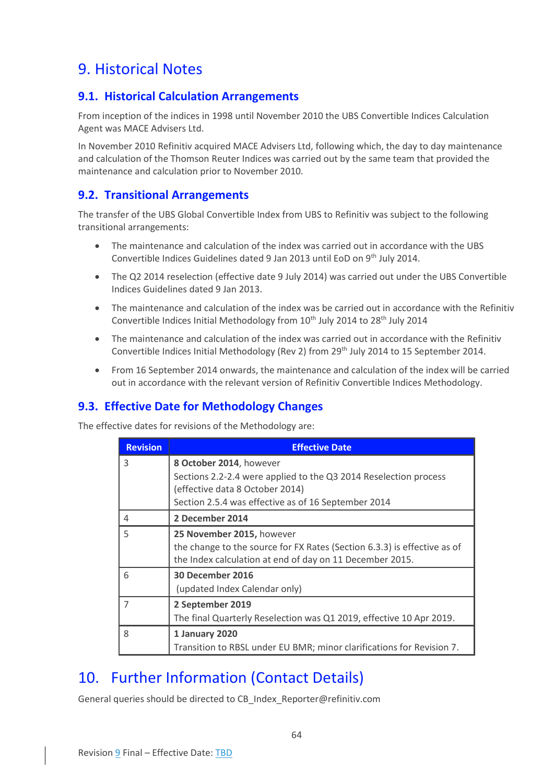## <span id="page-64-0"></span>9. Historical Notes

## <span id="page-64-1"></span>**9.1. Historical Calculation Arrangements**

From inception of the indices in 1998 until November 2010 the UBS Convertible Indices Calculation Agent was MACE Advisers Ltd.

In November 2010 Refinitiv acquired MACE Advisers Ltd, following which, the day to day maintenance and calculation of the Thomson Reuter Indices was carried out by the same team that provided the maintenance and calculation prior to November 2010.

## <span id="page-64-2"></span>**9.2. Transitional Arrangements**

The transfer of the UBS Global Convertible Index from UBS to Refinitiv was subject to the following transitional arrangements:

- The maintenance and calculation of the index was carried out in accordance with the UBS Convertible Indices Guidelines dated 9 Jan 2013 until EoD on 9th July 2014.
- The Q2 2014 reselection (effective date 9 July 2014) was carried out under the UBS Convertible Indices Guidelines dated 9 Jan 2013.
- The maintenance and calculation of the index was be carried out in accordance with the Refinitiv Convertible Indices Initial Methodology from 10<sup>th</sup> July 2014 to 28<sup>th</sup> July 2014
- The maintenance and calculation of the index was carried out in accordance with the Refinitiv Convertible Indices Initial Methodology (Rev 2) from 29th July 2014 to 15 September 2014.
- From 16 September 2014 onwards, the maintenance and calculation of the index will be carried out in accordance with the relevant version of Refinitiv Convertible Indices Methodology.

## <span id="page-64-3"></span>**9.3. Effective Date for Methodology Changes**

The effective dates for revisions of the Methodology are:

| <b>Revision</b> | <b>Effective Date</b>                                                                                                                |
|-----------------|--------------------------------------------------------------------------------------------------------------------------------------|
| 3               | 8 October 2014, however                                                                                                              |
|                 | Sections 2.2-2.4 were applied to the Q3 2014 Reselection process<br>(effective data 8 October 2014)                                  |
|                 | Section 2.5.4 was effective as of 16 September 2014                                                                                  |
| 4               | 2 December 2014                                                                                                                      |
| 5               | 25 November 2015, however                                                                                                            |
|                 | the change to the source for FX Rates (Section 6.3.3) is effective as of<br>the Index calculation at end of day on 11 December 2015. |
| 6               | 30 December 2016                                                                                                                     |
|                 | (updated Index Calendar only)                                                                                                        |
| 7               | 2 September 2019                                                                                                                     |
|                 | The final Quarterly Reselection was Q1 2019, effective 10 Apr 2019.                                                                  |
| 8               | 1 January 2020                                                                                                                       |
|                 | Transition to RBSL under EU BMR; minor clarifications for Revision 7.                                                                |

## <span id="page-64-4"></span>10. Further Information (Contact Details)

General queries should be directed to CB\_Index\_Reporter@refinitiv.com